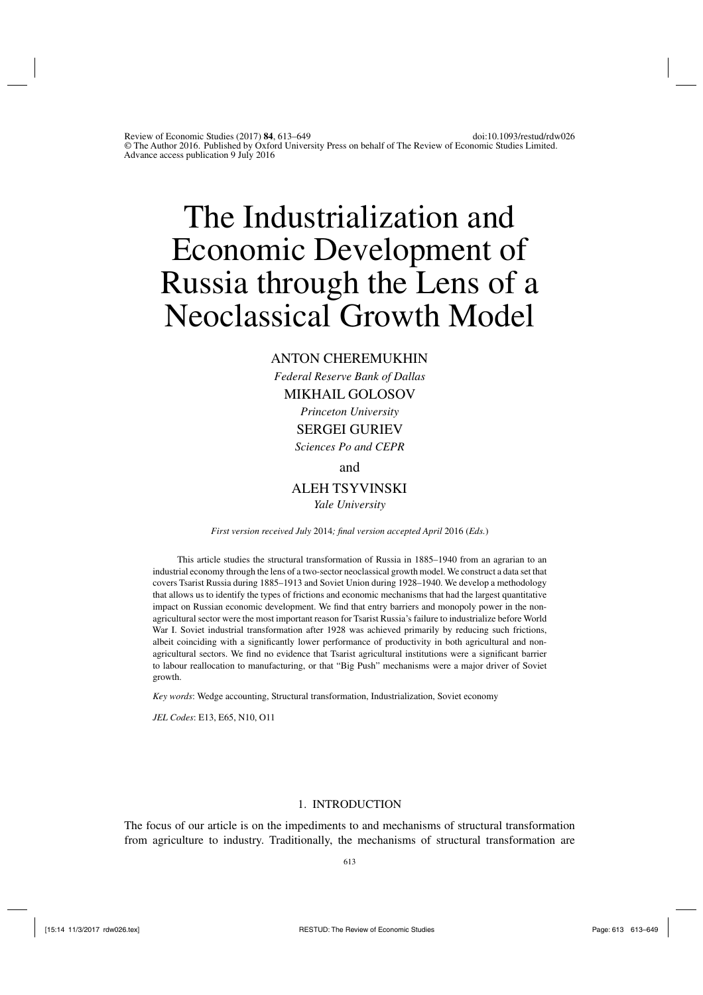# The Industrialization and Economic Development of Russia through the Lens of a Neoclassical Growth Model

# ANTON CHEREMUKHIN

*Federal Reserve Bank of Dallas* MIKHAIL GOLOSOV *Princeton University*

SERGEI GURIEV

*Sciences Po and CEPR*

and

# ALEH TSYVINSKI

*Yale University*

*First version received July* 2014*; final version accepted April* 2016 (*Eds.*)

This article studies the structural transformation of Russia in 1885–1940 from an agrarian to an industrial economy through the lens of a two-sector neoclassical growth model. We construct a data set that covers Tsarist Russia during 1885–1913 and Soviet Union during 1928–1940. We develop a methodology that allows us to identify the types of frictions and economic mechanisms that had the largest quantitative impact on Russian economic development. We find that entry barriers and monopoly power in the nonagricultural sector were the most important reason for Tsarist Russia's failure to industrialize before World War I. Soviet industrial transformation after 1928 was achieved primarily by reducing such frictions, albeit coinciding with a significantly lower performance of productivity in both agricultural and nonagricultural sectors. We find no evidence that Tsarist agricultural institutions were a significant barrier to labour reallocation to manufacturing, or that "Big Push" mechanisms were a major driver of Soviet growth.

*Key words*: Wedge accounting, Structural transformation, Industrialization, Soviet economy

*JEL Codes*: E13, E65, N10, O11

# 1. INTRODUCTION

The focus of our article is on the impediments to and mechanisms of structural transformation from agriculture to industry. Traditionally, the mechanisms of structural transformation are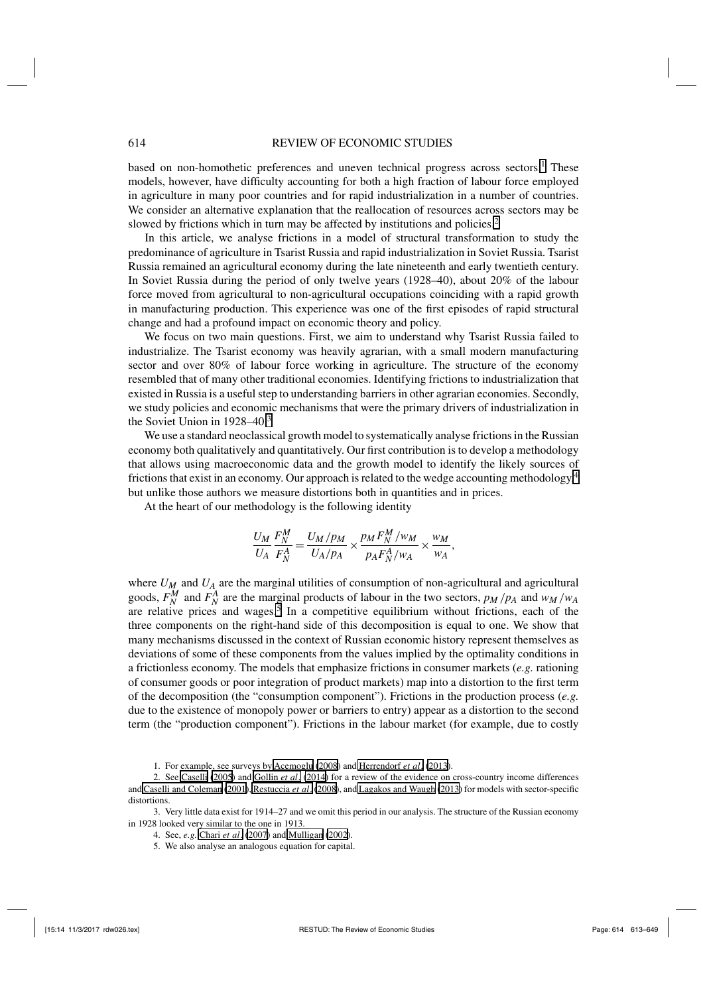based on non-homothetic preferences and uneven technical progress across sectors.<sup>1</sup> These models, however, have difficulty accounting for both a high fraction of labour force employed in agriculture in many poor countries and for rapid industrialization in a number of countries. We consider an alternative explanation that the reallocation of resources across sectors may be slowed by frictions which in turn may be affected by institutions and policies.<sup>2</sup>

In this article, we analyse frictions in a model of structural transformation to study the predominance of agriculture in Tsarist Russia and rapid industrialization in Soviet Russia. Tsarist Russia remained an agricultural economy during the late nineteenth and early twentieth century. In Soviet Russia during the period of only twelve years (1928–40), about 20% of the labour force moved from agricultural to non-agricultural occupations coinciding with a rapid growth in manufacturing production. This experience was one of the first episodes of rapid structural change and had a profound impact on economic theory and policy.

We focus on two main questions. First, we aim to understand why Tsarist Russia failed to industrialize. The Tsarist economy was heavily agrarian, with a small modern manufacturing sector and over 80% of labour force working in agriculture. The structure of the economy resembled that of many other traditional economies. Identifying frictions to industrialization that existed in Russia is a useful step to understanding barriers in other agrarian economies. Secondly, we study policies and economic mechanisms that were the primary drivers of industrialization in the Soviet Union in 1928–40.<sup>3</sup>

We use a standard neoclassical growth model to systematically analyse frictions in the Russian economy both qualitatively and quantitatively. Our first contribution is to develop a methodology that allows using macroeconomic data and the growth model to identify the likely sources of frictions that exist in an economy. Our approach is related to the wedge accounting methodology,<sup>4</sup> but unlike those authors we measure distortions both in quantities and in prices.

At the heart of our methodology is the following identity

$$
\frac{U_M}{U_A}\frac{F_N^M}{F_N^A} = \frac{U_M/p_M}{U_A/p_A} \times \frac{p_M F_N^M/w_M}{p_A F_N^A/w_A} \times \frac{w_M}{w_A},
$$

where  $U_M$  and  $U_A$  are the marginal utilities of consumption of non-agricultural and agricultural goods,  $F_N^M$  and  $F_N^A$  are the marginal products of labour in the two sectors,  $p_M/p_A$  and  $w_M/w_A$ are relative prices and wages.<sup>5</sup> In a competitive equilibrium without frictions, each of the three components on the right-hand side of this decomposition is equal to one. We show that many mechanisms discussed in the context of Russian economic history represent themselves as deviations of some of these components from the values implied by the optimality conditions in a frictionless economy. The models that emphasize frictions in consumer markets (*e.g.* rationing of consumer goods or poor integration of product markets) map into a distortion to the first term of the decomposition (the "consumption component"). Frictions in the production process (*e.g.* due to the existence of monopoly power or barriers to entry) appear as a distortion to the second term (the "production component"). Frictions in the labour market (for example, due to costly

1. For example, see surveys by [Acemoglu](#page-34-0) [\(2008\)](#page-34-0) and [Herrendorf](#page-35-0) *et al*. [\(2013](#page-35-0)).

3. Very little data exist for 1914–27 and we omit this period in our analysis. The structure of the Russian economy in 1928 looked very similar to the one in 1913.

4. See, *e.g.* [Chari](#page-35-0) *et al*. [\(2007](#page-35-0)) and [Mulligan](#page-36-0) [\(2002](#page-36-0)).

5. We also analyse an analogous equation for capital.

<sup>2.</sup> See [Caselli](#page-34-0) [\(2005\)](#page-34-0) and [Gollin](#page-35-0) *et al*. [\(2014\)](#page-35-0) for a review of the evidence on cross-country income differences and [Caselli and Coleman](#page-34-0) [\(2001](#page-34-0)), [Restuccia](#page-36-0) *et al*. [\(2008\)](#page-36-0), and [Lagakos and Waugh](#page-36-0) [\(2013\)](#page-36-0) for models with sector-specific distortions.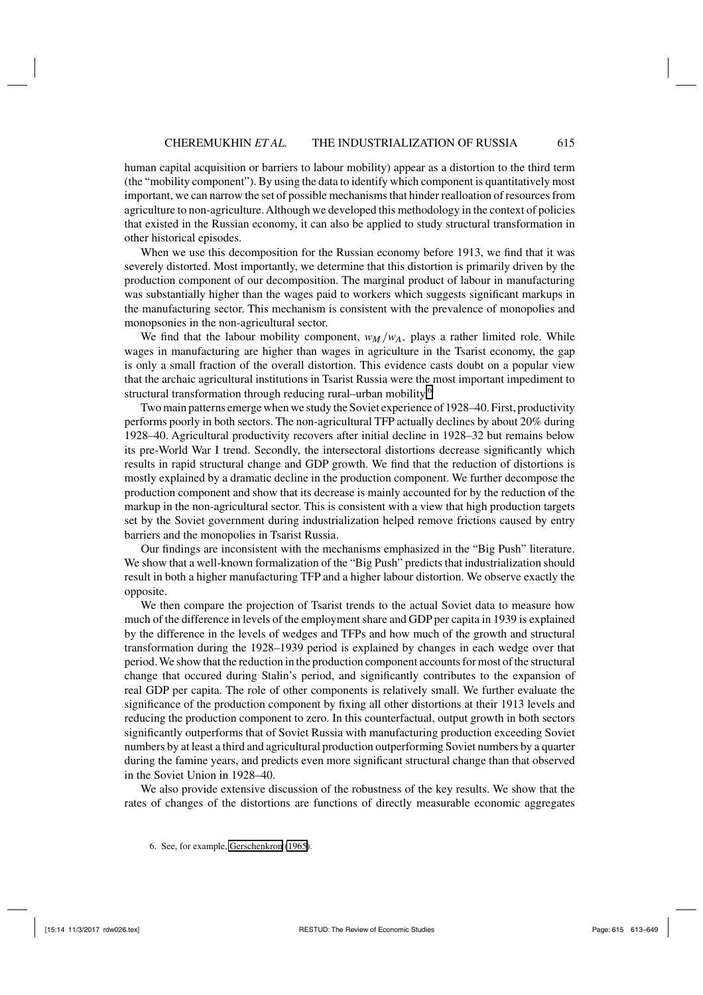human capital acquisition or barriers to labour mobility) appear as a distortion to the third term (the "mobility component"). By using the data to identify which component is quantitatively most important, we can narrow the set of possible mechanisms that hinder realloation of resources from agriculture to non-agriculture.Although we developed this methodology in the context of policies that existed in the Russian economy, it can also be applied to study structural transformation in other historical episodes.

When we use this decomposition for the Russian economy before 1913, we find that it was severely distorted. Most importantly, we determine that this distortion is primarily driven by the production component of our decomposition. The marginal product of labour in manufacturing was substantially higher than the wages paid to workers which suggests significant markups in the manufacturing sector. This mechanism is consistent with the prevalence of monopolies and monopsonies in the non-agricultural sector.

We find that the labour mobility component,  $w_M/w_A$ , plays a rather limited role. While wages in manufacturing are higher than wages in agriculture in the Tsarist economy, the gap is only a small fraction of the overall distortion. This evidence casts doubt on a popular view that the archaic agricultural institutions in Tsarist Russia were the most important impediment to structural transformation through reducing rural–urban mobility.<sup>6</sup>

Two main patterns emerge when we study the Soviet experience of 1928–40. First, productivity performs poorly in both sectors. The non-agricultural TFP actually declines by about 20% during 1928–40. Agricultural productivity recovers after initial decline in 1928–32 but remains below its pre-World War I trend. Secondly, the intersectoral distortions decrease significantly which results in rapid structural change and GDP growth. We find that the reduction of distortions is mostly explained by a dramatic decline in the production component. We further decompose the production component and show that its decrease is mainly accounted for by the reduction of the markup in the non-agricultural sector. This is consistent with a view that high production targets set by the Soviet government during industrialization helped remove frictions caused by entry barriers and the monopolies in Tsarist Russia.

Our findings are inconsistent with the mechanisms emphasized in the "Big Push" literature. We show that a well-known formalization of the "Big Push" predicts that industrialization should result in both a higher manufacturing TFP and a higher labour distortion. We observe exactly the opposite.

We then compare the projection of Tsarist trends to the actual Soviet data to measure how much of the difference in levels of the employment share and GDP per capita in 1939 is explained by the difference in the levels of wedges and TFPs and how much of the growth and structural transformation during the 1928–1939 period is explained by changes in each wedge over that period. We show that the reduction in the production component accounts for most of the structural change that occured during Stalin's period, and significantly contributes to the expansion of real GDP per capita. The role of other components is relatively small. We further evaluate the significance of the production component by fixing all other distortions at their 1913 levels and reducing the production component to zero. In this counterfactual, output growth in both sectors significantly outperforms that of Soviet Russia with manufacturing production exceeding Soviet numbers by at least a third and agricultural production outperforming Soviet numbers by a quarter during the famine years, and predicts even more significant structural change than that observed in the Soviet Union in 1928–40.

We also provide extensive discussion of the robustness of the key results. We show that the rates of changes of the distortions are functions of directly measurable economic aggregates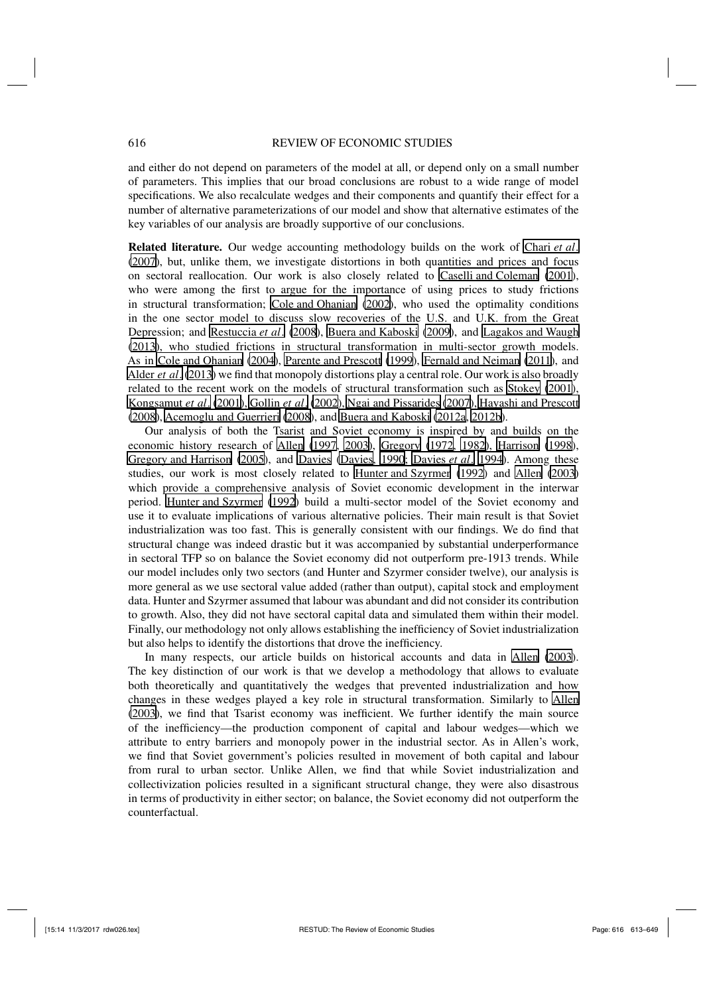and either do not depend on parameters of the model at all, or depend only on a small number of parameters. This implies that our broad conclusions are robust to a wide range of model specifications. We also recalculate wedges and their components and quantify their effect for a number of alternative parameterizations of our model and show that alternative estimates of the key variables of our analysis are broadly supportive of our conclusions.

**Related literature.** Our wedge accounting methodology builds on the work of [Chari](#page-35-0) *et al*. [\(2007](#page-35-0)), but, unlike them, we investigate distortions in both quantities and prices and focus on sectoral reallocation. Our work is also closely related to [Caselli and Coleman](#page-34-0) [\(2001](#page-34-0)), who were among the first to argue for the importance of using prices to study frictions in structural transformation; [Cole and Ohanian](#page-35-0) [\(2002](#page-35-0)), who used the optimality conditions in the one sector model to discuss slow recoveries of the U.S. and U.K. from the Great Depression; and [Restuccia](#page-36-0) *et al*. [\(2008](#page-36-0)), [Buera and Kaboski](#page-34-0) [\(2009](#page-34-0)), and [Lagakos and Waugh](#page-36-0) [\(2013](#page-36-0)), who studied frictions in structural transformation in multi-sector growth models. As in [Cole and Ohanian](#page-35-0) [\(2004](#page-35-0)), [Parente and Prescott](#page-36-0) [\(1999\)](#page-36-0), [Fernald and Neiman](#page-35-0) [\(2011\)](#page-35-0), and [Alder](#page-34-0) *et al*. [\(2013\)](#page-34-0) we find that monopoly distortions play a central role. Our work is also broadly related to the recent work on the models of structural transformation such as [Stokey](#page-36-0) [\(2001](#page-36-0)), [Kongsamut](#page-36-0) *et al*. [\(2001\)](#page-36-0), [Gollin](#page-35-0) *et al*. [\(2002](#page-35-0)), [Ngai and Pissarides](#page-36-0) [\(2007](#page-36-0)), [Hayashi and Prescott](#page-35-0) [\(2008](#page-35-0)), [Acemoglu and Guerrieri](#page-34-0) [\(2008\)](#page-34-0), and [Buera and Kaboski](#page-34-0) [\(2012a, 2012b\)](#page-34-0).

Our analysis of both the Tsarist and Soviet economy is inspired by and builds on the economic history research of [Allen](#page-34-0) [\(1997](#page-34-0), [2003](#page-34-0)), [Gregory](#page-35-0) [\(1972, 1982](#page-35-0)), [Harrison](#page-35-0) [\(1998](#page-35-0)), [Gregory and Harrison](#page-35-0) [\(2005\)](#page-35-0), and [Davies](#page-35-0) [\(Davies, 1990; Davies](#page-35-0) *et al*. [1994\)](#page-35-0). Among these studies, our work is most closely related to [Hunter and Szyrmer](#page-35-0) [\(1992\)](#page-35-0) and [Allen](#page-34-0) [\(2003\)](#page-34-0) which provide a comprehensive analysis of Soviet economic development in the interwar period. [Hunter and Szyrmer](#page-35-0) [\(1992](#page-35-0)) build a multi-sector model of the Soviet economy and use it to evaluate implications of various alternative policies. Their main result is that Soviet industrialization was too fast. This is generally consistent with our findings. We do find that structural change was indeed drastic but it was accompanied by substantial underperformance in sectoral TFP so on balance the Soviet economy did not outperform pre-1913 trends. While our model includes only two sectors (and Hunter and Szyrmer consider twelve), our analysis is more general as we use sectoral value added (rather than output), capital stock and employment data. Hunter and Szyrmer assumed that labour was abundant and did not consider its contribution to growth. Also, they did not have sectoral capital data and simulated them within their model. Finally, our methodology not only allows establishing the inefficiency of Soviet industrialization but also helps to identify the distortions that drove the inefficiency.

In many respects, our article builds on historical accounts and data in [Allen](#page-34-0) [\(2003](#page-34-0)). The key distinction of our work is that we develop a methodology that allows to evaluate both theoretically and quantitatively the wedges that prevented industrialization and how changes in these wedges played a key role in structural transformation. Similarly to [Allen](#page-34-0) [\(2003](#page-34-0)), we find that Tsarist economy was inefficient. We further identify the main source of the inefficiency—the production component of capital and labour wedges—which we attribute to entry barriers and monopoly power in the industrial sector. As in Allen's work, we find that Soviet government's policies resulted in movement of both capital and labour from rural to urban sector. Unlike Allen, we find that while Soviet industrialization and collectivization policies resulted in a significant structural change, they were also disastrous in terms of productivity in either sector; on balance, the Soviet economy did not outperform the counterfactual.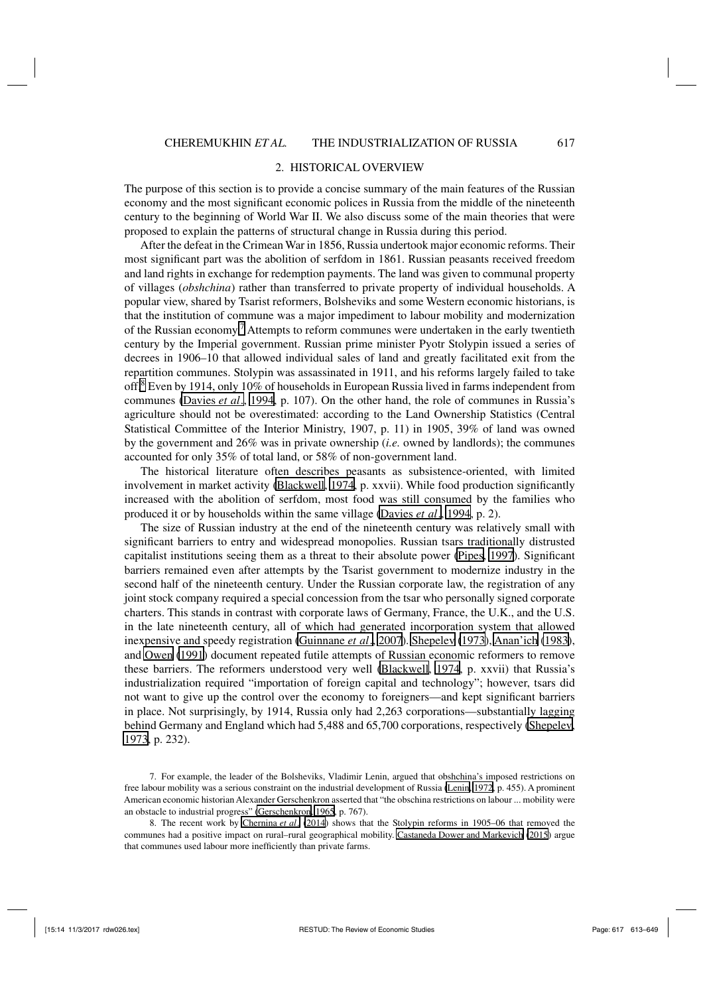# 2. HISTORICAL OVERVIEW

<span id="page-4-0"></span>The purpose of this section is to provide a concise summary of the main features of the Russian economy and the most significant economic polices in Russia from the middle of the nineteenth century to the beginning of World War II. We also discuss some of the main theories that were proposed to explain the patterns of structural change in Russia during this period.

After the defeat in the Crimean War in 1856, Russia undertook major economic reforms. Their most significant part was the abolition of serfdom in 1861. Russian peasants received freedom and land rights in exchange for redemption payments. The land was given to communal property of villages (*obshchina*) rather than transferred to private property of individual households. A popular view, shared by Tsarist reformers, Bolsheviks and some Western economic historians, is that the institution of commune was a major impediment to labour mobility and modernization of the Russian economy.<sup>7</sup> Attempts to reform communes were undertaken in the early twentieth century by the Imperial government. Russian prime minister Pyotr Stolypin issued a series of decrees in 1906–10 that allowed individual sales of land and greatly facilitated exit from the repartition communes. Stolypin was assassinated in 1911, and his reforms largely failed to take off.<sup>8</sup> Even by 1914, only 10% of households in European Russia lived in farms independent from communes [\(Davies](#page-35-0) *et al*., [1994](#page-35-0), p. 107). On the other hand, the role of communes in Russia's agriculture should not be overestimated: according to the Land Ownership Statistics (Central Statistical Committee of the Interior Ministry, 1907, p. 11) in 1905, 39% of land was owned by the government and 26% was in private ownership (*i.e.* owned by landlords); the communes accounted for only 35% of total land, or 58% of non-government land.

The historical literature often describes peasants as subsistence-oriented, with limited involvement in market activity [\(Blackwell, 1974](#page-34-0), p. xxvii). While food production significantly increased with the abolition of serfdom, most food was still consumed by the families who produced it or by households within the same village [\(Davies](#page-35-0) *et al*., [1994,](#page-35-0) p. 2).

The size of Russian industry at the end of the nineteenth century was relatively small with significant barriers to entry and widespread monopolies. Russian tsars traditionally distrusted capitalist institutions seeing them as a threat to their absolute power [\(Pipes](#page-36-0), [1997\)](#page-36-0). Significant barriers remained even after attempts by the Tsarist government to modernize industry in the second half of the nineteenth century. Under the Russian corporate law, the registration of any joint stock company required a special concession from the tsar who personally signed corporate charters. This stands in contrast with corporate laws of Germany, France, the U.K., and the U.S. in the late nineteenth century, all of which had generated incorporation system that allowed inexpensive and speedy registration [\(Guinnane](#page-35-0) *et al*., [2007\)](#page-35-0). [Shepelev](#page-36-0) [\(1973\)](#page-36-0), [Anan'ich](#page-34-0) [\(1983](#page-34-0)), and [Owen](#page-36-0) [\(1991\)](#page-36-0) document repeated futile attempts of Russian economic reformers to remove these barriers. The reformers understood very well [\(Blackwell](#page-34-0), [1974](#page-34-0), p. xxvii) that Russia's industrialization required "importation of foreign capital and technology"; however, tsars did not want to give up the control over the economy to foreigners—and kept significant barriers in place. Not surprisingly, by 1914, Russia only had 2,263 corporations—substantially lagging behind Germany and England which had 5,488 and 65,700 corporations, respectively [\(Shepelev](#page-36-0), [1973](#page-36-0), p. 232).

7. For example, the leader of the Bolsheviks, Vladimir Lenin, argued that obshchina's imposed restrictions on free labour mobility was a serious constraint on the industrial development of Russia [\(Lenin, 1972](#page-36-0), p. 455). A prominent American economic historian Alexander Gerschenkron asserted that "the obschina restrictions on labour ... mobility were an obstacle to industrial progress" [\(Gerschenkron](#page-35-0), [1965](#page-35-0), p. 767).

8. The recent work by [Chernina](#page-35-0) *et al*. [\(2014\)](#page-35-0) shows that the Stolypin reforms in 1905–06 that removed the communes had a positive impact on rural–rural geographical mobility. [Castaneda Dower and Markevich](#page-34-0) [\(2015](#page-34-0)) argue that communes used labour more inefficiently than private farms.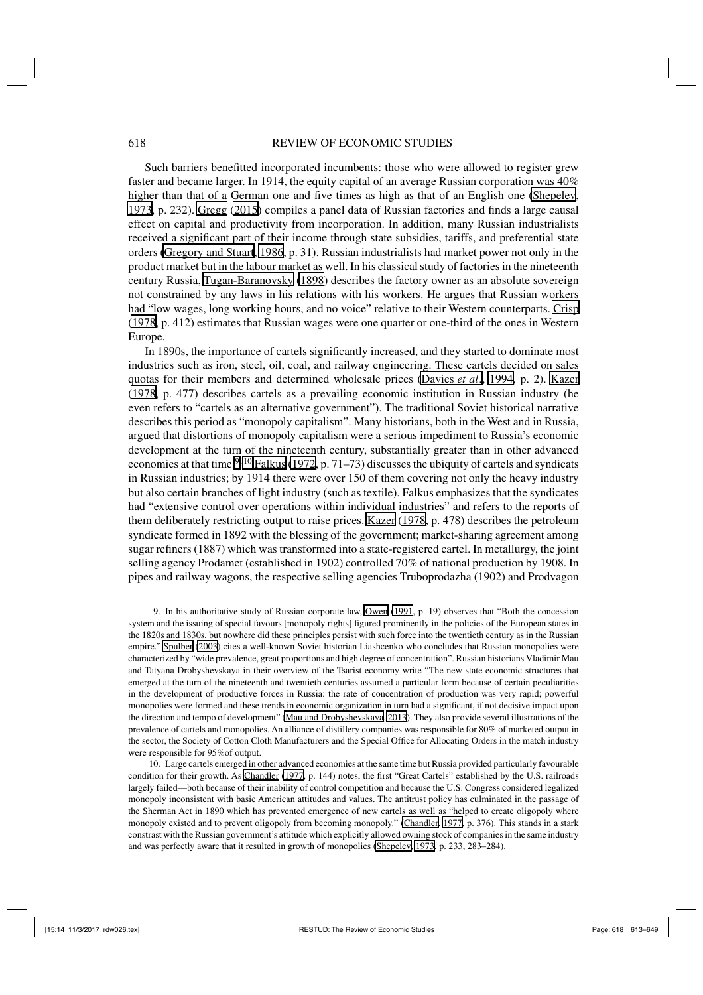Such barriers benefitted incorporated incumbents: those who were allowed to register grew faster and became larger. In 1914, the equity capital of an average Russian corporation was 40% higher than that of a German one and five times as high as that of an English one [\(Shepelev,](#page-36-0) [1973,](#page-36-0) p. 232). [Gregg](#page-35-0) [\(2015\)](#page-35-0) compiles a panel data of Russian factories and finds a large causal effect on capital and productivity from incorporation. In addition, many Russian industrialists received a significant part of their income through state subsidies, tariffs, and preferential state orders [\(Gregory and Stuart](#page-35-0), [1986](#page-35-0), p. 31). Russian industrialists had market power not only in the product market but in the labour market as well. In his classical study of factories in the nineteenth century Russia, [Tugan-Baranovsky](#page-36-0) [\(1898](#page-36-0)) describes the factory owner as an absolute sovereign not constrained by any laws in his relations with his workers. He argues that Russian workers had "low wages, long working hours, and no voice" relative to their Western counterparts. [Crisp](#page-35-0) [\(1978](#page-35-0), p. 412) estimates that Russian wages were one quarter or one-third of the ones in Western Europe.

In 1890s, the importance of cartels significantly increased, and they started to dominate most industries such as iron, steel, oil, coal, and railway engineering. These cartels decided on sales quotas for their members and determined wholesale prices [\(Davies](#page-35-0) *et al*., [1994,](#page-35-0) p. 2). [Kazer](#page-36-0) [\(1978](#page-36-0), p. 477) describes cartels as a prevailing economic institution in Russian industry (he even refers to "cartels as an alternative government"). The traditional Soviet historical narrative describes this period as "monopoly capitalism". Many historians, both in the West and in Russia, argued that distortions of monopoly capitalism were a serious impediment to Russia's economic development at the turn of the nineteenth century, substantially greater than in other advanced economies at that time.<sup>9, 10</sup> [Falkus](#page-35-0) [\(1972](#page-35-0), p. 71–73) discusses the ubiquity of cartels and syndicats in Russian industries; by 1914 there were over 150 of them covering not only the heavy industry but also certain branches of light industry (such as textile). Falkus emphasizes that the syndicates had "extensive control over operations within individual industries" and refers to the reports of them deliberately restricting output to raise prices. [Kazer](#page-36-0) [\(1978](#page-36-0), p. 478) describes the petroleum syndicate formed in 1892 with the blessing of the government; market-sharing agreement among sugar refiners (1887) which was transformed into a state-registered cartel. In metallurgy, the joint selling agency Prodamet (established in 1902) controlled 70% of national production by 1908. In pipes and railway wagons, the respective selling agencies Truboprodazha (1902) and Prodvagon

9. In his authoritative study of Russian corporate law, [Owen](#page-36-0) [\(1991,](#page-36-0) p. 19) observes that "Both the concession system and the issuing of special favours [monopoly rights] figured prominently in the policies of the European states in the 1820s and 1830s, but nowhere did these principles persist with such force into the twentieth century as in the Russian empire." [Spulber](#page-36-0) [\(2003](#page-36-0)) cites a well-known Soviet historian Liashcenko who concludes that Russian monopolies were characterized by "wide prevalence, great proportions and high degree of concentration". Russian historians Vladimir Mau and Tatyana Drobyshevskaya in their overview of the Tsarist economy write "The new state economic structures that emerged at the turn of the nineteenth and twentieth centuries assumed a particular form because of certain peculiarities in the development of productive forces in Russia: the rate of concentration of production was very rapid; powerful monopolies were formed and these trends in economic organization in turn had a significant, if not decisive impact upon the direction and tempo of development" [\(Mau and Drobyshevskaya, 2013](#page-36-0)). They also provide several illustrations of the prevalence of cartels and monopolies. An alliance of distillery companies was responsible for 80% of marketed output in the sector, the Society of Cotton Cloth Manufacturers and the Special Office for Allocating Orders in the match industry were responsible for 95%of output.

10. Large cartels emerged in other advanced economies at the same time but Russia provided particularly favourable condition for their growth. As [Chandler](#page-35-0) [\(1977](#page-35-0), p. 144) notes, the first "Great Cartels" established by the U.S. railroads largely failed—both because of their inability of control competition and because the U.S. Congress considered legalized monopoly inconsistent with basic American attitudes and values. The antitrust policy has culminated in the passage of the Sherman Act in 1890 which has prevented emergence of new cartels as well as "helped to create oligopoly where monopoly existed and to prevent oligopoly from becoming monopoly." [\(Chandler](#page-35-0), [1977](#page-35-0), p. 376). This stands in a stark constrast with the Russian government's attitude which explicitly allowed owning stock of companies in the same industry and was perfectly aware that it resulted in growth of monopolies [\(Shepelev](#page-36-0), [1973](#page-36-0), p. 233, 283–284).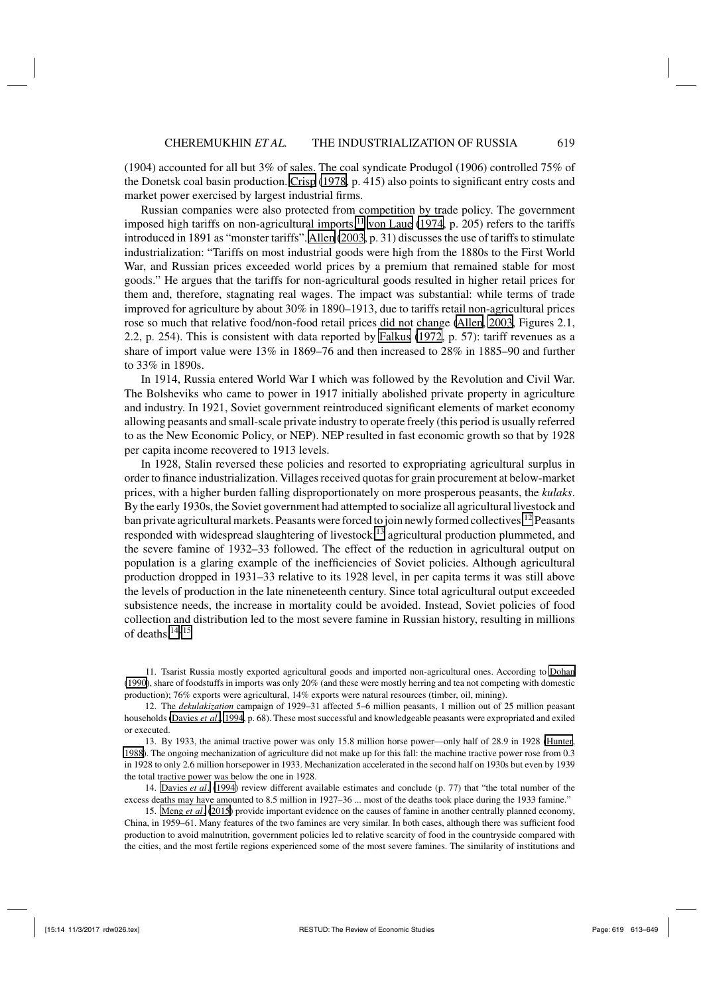(1904) accounted for all but 3% of sales. The coal syndicate Produgol (1906) controlled 75% of the Donetsk coal basin production. [Crisp](#page-35-0) [\(1978](#page-35-0), p. 415) also points to significant entry costs and market power exercised by largest industrial firms.

Russian companies were also protected from competition by trade policy. The government imposed high tariffs on non-agricultural imports.<sup>11</sup> [von Laue](#page-36-0) [\(1974](#page-36-0), p. 205) refers to the tariffs introduced in 1891 as "monster tariffs". [Allen](#page-34-0) [\(2003,](#page-34-0) p. 31) discusses the use of tariffs to stimulate industrialization: "Tariffs on most industrial goods were high from the 1880s to the First World War, and Russian prices exceeded world prices by a premium that remained stable for most goods." He argues that the tariffs for non-agricultural goods resulted in higher retail prices for them and, therefore, stagnating real wages. The impact was substantial: while terms of trade improved for agriculture by about 30% in 1890–1913, due to tariffs retail non-agricultural prices rose so much that relative food/non-food retail prices did not change [\(Allen, 2003](#page-34-0), Figures 2.1, 2.2, p. 254). This is consistent with data reported by [Falkus](#page-35-0) [\(1972](#page-35-0), p. 57): tariff revenues as a share of import value were 13% in 1869–76 and then increased to 28% in 1885–90 and further to 33% in 1890s.

In 1914, Russia entered World War I which was followed by the Revolution and Civil War. The Bolsheviks who came to power in 1917 initially abolished private property in agriculture and industry. In 1921, Soviet government reintroduced significant elements of market economy allowing peasants and small-scale private industry to operate freely (this period is usually referred to as the New Economic Policy, or NEP). NEP resulted in fast economic growth so that by 1928 per capita income recovered to 1913 levels.

In 1928, Stalin reversed these policies and resorted to expropriating agricultural surplus in order to finance industrialization. Villages received quotas for grain procurement at below-market prices, with a higher burden falling disproportionately on more prosperous peasants, the *kulaks*. By the early 1930s, the Soviet government had attempted to socialize all agricultural livestock and ban private agricultural markets. Peasants were forced to join newly formed collectives.<sup>12</sup> Peasants responded with widespread slaughtering of livestock; $13$  agricultural production plummeted, and the severe famine of 1932–33 followed. The effect of the reduction in agricultural output on population is a glaring example of the inefficiencies of Soviet policies. Although agricultural production dropped in 1931–33 relative to its 1928 level, in per capita terms it was still above the levels of production in the late nineneteenth century. Since total agricultural output exceeded subsistence needs, the increase in mortality could be avoided. Instead, Soviet policies of food collection and distribution led to the most severe famine in Russian history, resulting in millions of deaths. $14,15$ 

11. Tsarist Russia mostly exported agricultural goods and imported non-agricultural ones. According to [Dohan](#page-35-0) [\(1990](#page-35-0)), share of foodstuffs in imports was only 20% (and these were mostly herring and tea not competing with domestic production); 76% exports were agricultural, 14% exports were natural resources (timber, oil, mining).

12. The *dekulakization* campaign of 1929–31 affected 5–6 million peasants, 1 million out of 25 million peasant households [\(Davies](#page-35-0) *et al*., [1994](#page-35-0), p. 68). These most successful and knowledgeable peasants were expropriated and exiled or executed.

13. By 1933, the animal tractive power was only 15.8 million horse power—only half of 28.9 in 1928 [\(Hunter,](#page-35-0) [1988\)](#page-35-0). The ongoing mechanization of agriculture did not make up for this fall: the machine tractive power rose from 0.3 in 1928 to only 2.6 million horsepower in 1933. Mechanization accelerated in the second half on 1930s but even by 1939 the total tractive power was below the one in 1928.

14. [Davies](#page-35-0) *et al*. [\(1994](#page-35-0)) review different available estimates and conclude (p. 77) that "the total number of the excess deaths may have amounted to 8.5 million in 1927–36 ... most of the deaths took place during the 1933 famine."

15. [Meng](#page-36-0) *et al*. [\(2015\)](#page-36-0) provide important evidence on the causes of famine in another centrally planned economy, China, in 1959–61. Many features of the two famines are very similar. In both cases, although there was sufficient food production to avoid malnutrition, government policies led to relative scarcity of food in the countryside compared with the cities, and the most fertile regions experienced some of the most severe famines. The similarity of institutions and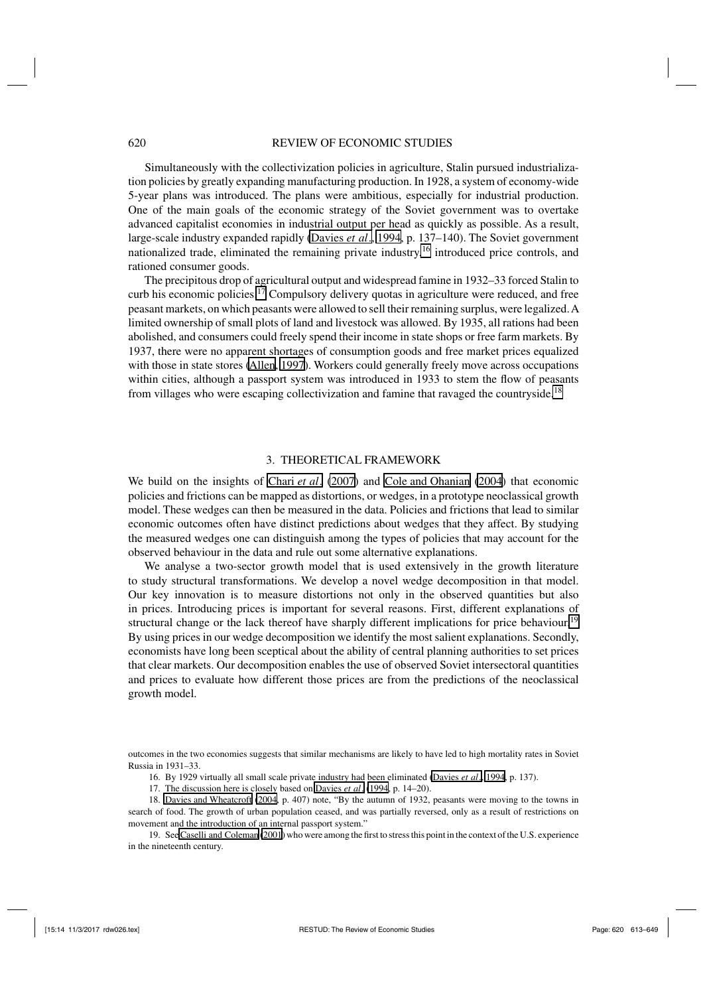Simultaneously with the collectivization policies in agriculture, Stalin pursued industrialization policies by greatly expanding manufacturing production. In 1928, a system of economy-wide 5-year plans was introduced. The plans were ambitious, especially for industrial production. One of the main goals of the economic strategy of the Soviet government was to overtake advanced capitalist economies in industrial output per head as quickly as possible. As a result, large-scale industry expanded rapidly [\(Davies](#page-35-0) *et al*., [1994,](#page-35-0) p. 137–140). The Soviet government nationalized trade, eliminated the remaining private industry, $^{16}$  introduced price controls, and rationed consumer goods.

The precipitous drop of agricultural output and widespread famine in 1932–33 forced Stalin to curb his economic policies.<sup>17</sup> Compulsory delivery quotas in agriculture were reduced, and free peasant markets, on which peasants were allowed to sell their remaining surplus, were legalized.A limited ownership of small plots of land and livestock was allowed. By 1935, all rations had been abolished, and consumers could freely spend their income in state shops or free farm markets. By 1937, there were no apparent shortages of consumption goods and free market prices equalized with those in state stores [\(Allen](#page-34-0), [1997\)](#page-34-0). Workers could generally freely move across occupations within cities, although a passport system was introduced in 1933 to stem the flow of peasants from villages who were escaping collectivization and famine that ravaged the countryside.<sup>18</sup>

# 3. THEORETICAL FRAMEWORK

We build on the insights of [Chari](#page-35-0) *et al*. [\(2007](#page-35-0)) and [Cole and Ohanian](#page-35-0) [\(2004](#page-35-0)) that economic policies and frictions can be mapped as distortions, or wedges, in a prototype neoclassical growth model. These wedges can then be measured in the data. Policies and frictions that lead to similar economic outcomes often have distinct predictions about wedges that they affect. By studying the measured wedges one can distinguish among the types of policies that may account for the observed behaviour in the data and rule out some alternative explanations.

We analyse a two-sector growth model that is used extensively in the growth literature to study structural transformations. We develop a novel wedge decomposition in that model. Our key innovation is to measure distortions not only in the observed quantities but also in prices. Introducing prices is important for several reasons. First, different explanations of structural change or the lack thereof have sharply different implications for price behaviour.<sup>19</sup> By using prices in our wedge decomposition we identify the most salient explanations. Secondly, economists have long been sceptical about the ability of central planning authorities to set prices that clear markets. Our decomposition enables the use of observed Soviet intersectoral quantities and prices to evaluate how different those prices are from the predictions of the neoclassical growth model.

outcomes in the two economies suggests that similar mechanisms are likely to have led to high mortality rates in Soviet Russia in 1931–33.

16. By 1929 virtually all small scale private industry had been eliminated [\(Davies](#page-35-0) *et al*., [1994,](#page-35-0) p. 137).

19. See [Caselli and Coleman](#page-34-0) [\(2001\)](#page-34-0) who were among the first to stress this point in the context of the U.S. experience in the nineteenth century.

<sup>17.</sup> The discussion here is closely based on [Davies](#page-35-0) *et al*. [\(1994,](#page-35-0) p. 14–20).

<sup>18.</sup> [Davies and Wheatcroft](#page-35-0) [\(2004,](#page-35-0) p. 407) note, "By the autumn of 1932, peasants were moving to the towns in search of food. The growth of urban population ceased, and was partially reversed, only as a result of restrictions on movement and the introduction of an internal passport system."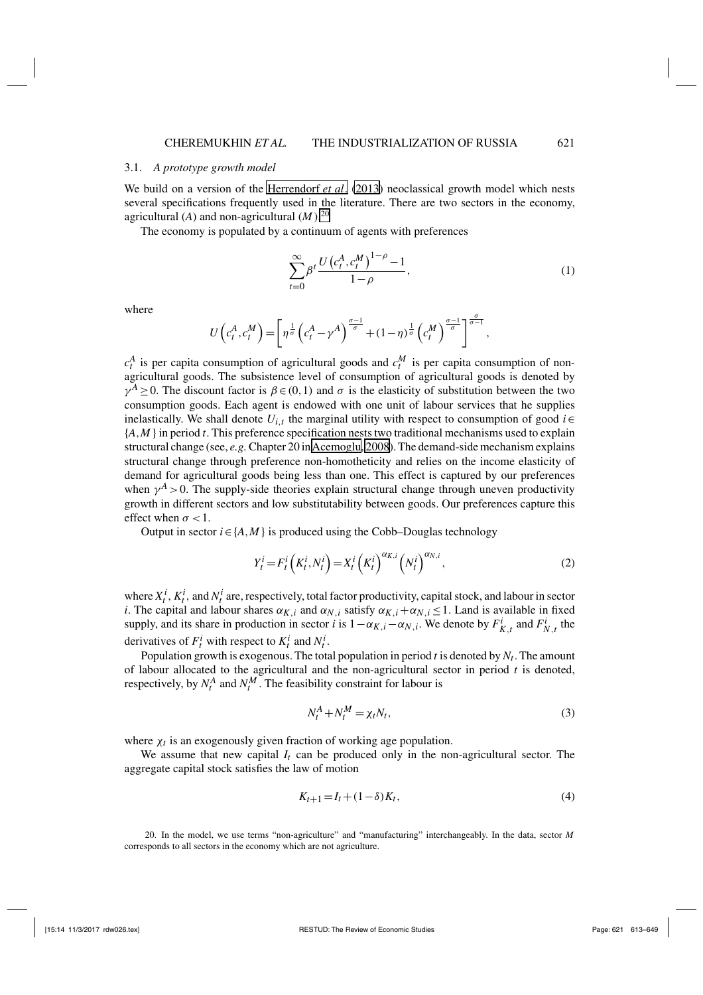#### <span id="page-8-0"></span>3.1. *A prototype growth model*

We build on a version of the [Herrendorf](#page-35-0) *et al.* [\(2013](#page-35-0)) neoclassical growth model which nests several specifications frequently used in the literature. There are two sectors in the economy, agricultural (*A*) and non-agricultural (*M* ).<sup>20</sup>

The economy is populated by a continuum of agents with preferences

$$
\sum_{t=0}^{\infty} \beta^t \frac{U(c_t^A, c_t^M)^{1-\rho} - 1}{1-\rho},
$$
\n(1)

where

$$
U\left(c_t^A, c_t^M\right) = \left[\eta^{\frac{1}{\sigma}}\left(c_t^A - \gamma^A\right)^{\frac{\sigma-1}{\sigma}} + (1-\eta)^{\frac{1}{\sigma}}\left(c_t^M\right)^{\frac{\sigma-1}{\sigma}}\right]^{\frac{\sigma}{\sigma-1}},
$$

 $c_t^A$  is per capita consumption of agricultural goods and  $c_t^M$  is per capita consumption of nonagricultural goods. The subsistence level of consumption of agricultural goods is denoted by  $\gamma^A \geq 0$ . The discount factor is  $\beta \in (0,1)$  and  $\sigma$  is the elasticity of substitution between the two consumption goods. Each agent is endowed with one unit of labour services that he supplies inelastically. We shall denote  $U_{i,t}$  the marginal utility with respect to consumption of good  $i \in$ {*A*,*M* } in period *t*. This preference specification nests two traditional mechanisms used to explain structural change (see, *e.g.* Chapter 20 in [Acemoglu, 2008\)](#page-34-0). The demand-side mechanism explains structural change through preference non-homotheticity and relies on the income elasticity of demand for agricultural goods being less than one. This effect is captured by our preferences when  $\gamma^A > 0$ . The supply-side theories explain structural change through uneven productivity growth in different sectors and low substitutability between goods. Our preferences capture this effect when  $\sigma$  < 1.

Output in sector  $i \in \{A, M\}$  is produced using the Cobb–Douglas technology

$$
Y_t^i = F_t^i\left(K_t^i, N_t^i\right) = X_t^i\left(K_t^i\right)^{\alpha_{K,i}}\left(N_t^i\right)^{\alpha_{N,i}},\tag{2}
$$

where  $X_t^i$ ,  $K_t^i$ , and  $N_t^i$  are, respectively, total factor productivity, capital stock, and labour in sector *i*. The capital and labour shares  $\alpha_{K,i}$  and  $\alpha_{N,i}$  satisfy  $\alpha_{K,i} + \alpha_{N,i} \leq 1$ . Land is available in fixed supply, and its share in production in sector *i* is  $1-\alpha_{K,i}-\alpha_{N,i}$ . We denote by  $F_{K,t}^i$  and  $F_{N,t}^i$  the derivatives of  $F_t^i$  with respect to  $K_t^i$  and  $N_t^i$ .

Population growth is exogenous. The total population in period *t* is denoted by *Nt*. The amount of labour allocated to the agricultural and the non-agricultural sector in period  $t$  is denoted, respectively, by  $N_t^A$  and  $N_t^M$ . The feasibility constraint for labour is

$$
N_t^A + N_t^M = \chi_t N_t,\tag{3}
$$

where  $\chi_t$  is an exogenously given fraction of working age population.

We assume that new capital  $I_t$  can be produced only in the non-agricultural sector. The aggregate capital stock satisfies the law of motion

$$
K_{t+1} = I_t + (1 - \delta)K_t,
$$
\n(4)

20. In the model, we use terms "non-agriculture" and "manufacturing" interchangeably. In the data, sector *M* corresponds to all sectors in the economy which are not agriculture.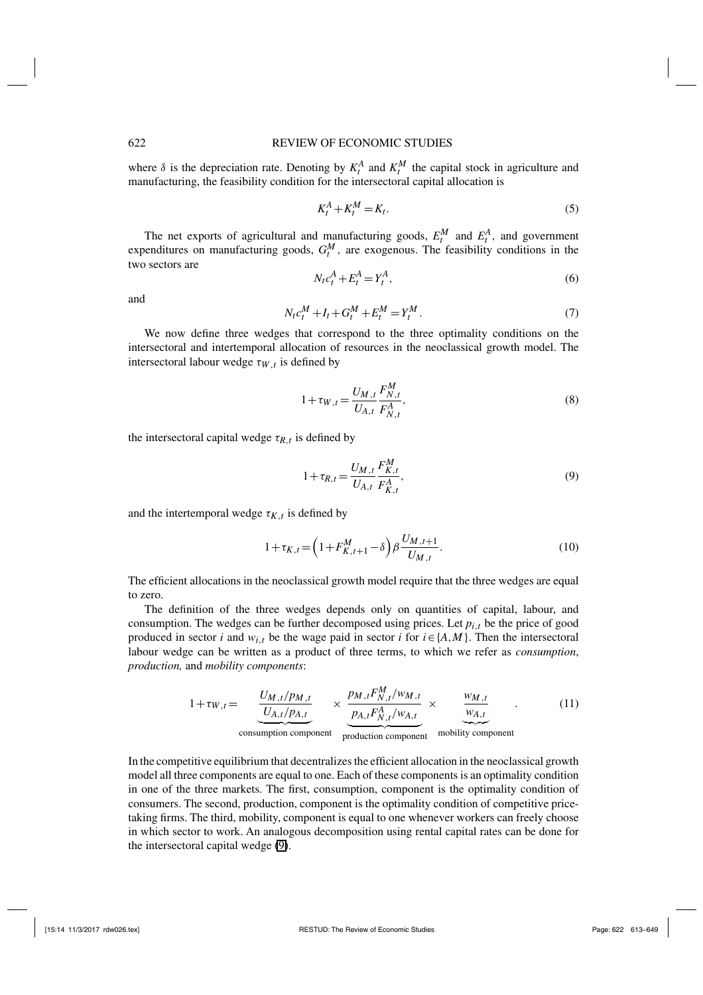<span id="page-9-0"></span>where  $\delta$  is the depreciation rate. Denoting by  $K_t^A$  and  $K_t^M$  the capital stock in agriculture and manufacturing, the feasibility condition for the intersectoral capital allocation is

$$
K_t^A + K_t^M = K_t. \tag{5}
$$

The net exports of agricultural and manufacturing goods,  $E_t^M$  and  $E_t^A$ , and government expenditures on manufacturing goods,  $G_t^M$ , are exogenous. The feasibility conditions in the two sectors are

$$
N_t c_t^A + E_t^A = Y_t^A,\tag{6}
$$

and

$$
N_t c_t^M + I_t + G_t^M + E_t^M = Y_t^M.
$$
\n(7)

We now define three wedges that correspond to the three optimality conditions on the intersectoral and intertemporal allocation of resources in the neoclassical growth model. The intersectoral labour wedge  $\tau_{W,t}$  is defined by

$$
1 + \tau_{W,t} = \frac{U_{M,t}}{U_{A,t}} \frac{F_{N,t}^M}{F_{N,t}^A},
$$
\n(8)

the intersectoral capital wedge  $\tau_{R,t}$  is defined by

$$
1 + \tau_{R,t} = \frac{U_{M,t}}{U_{A,t}} \frac{F_{K,t}^M}{F_{K,t}^A},
$$
\n(9)

and the intertemporal wedge  $\tau_{K,t}$  is defined by

$$
1 + \tau_{K,t} = \left(1 + F_{K,t+1}^M - \delta\right) \beta \frac{U_{M,t+1}}{U_{M,t}}.
$$
\n(10)

The efficient allocations in the neoclassical growth model require that the three wedges are equal to zero.

The definition of the three wedges depends only on quantities of capital, labour, and consumption. The wedges can be further decomposed using prices. Let *pi*,*t* be the price of good produced in sector *i* and  $w_{i,t}$  be the wage paid in sector *i* for  $i \in \{A, M\}$ . Then the intersectoral labour wedge can be written as a product of three terms, to which we refer as *consumption*, *production,* and *mobility components*:

$$
1 + \tau_{W,t} = \underbrace{\frac{U_{M,t}/p_{M,t}}{U_{A,t}/p_{A,t}}}_{\text{consumption component}} \times \underbrace{\frac{p_{M,t}F_{N,t}^{M}/w_{M,t}}{p_{A,t}F_{N,t}^{A}/w_{A,t}}}_{\text{production component}} \times \underbrace{\frac{w_{M,t}}{w_{A,t}}}_{\text{mobility component}}.
$$
 (11)

In the competitive equilibrium that decentralizes the efficient allocation in the neoclassical growth model all three components are equal to one. Each of these components is an optimality condition in one of the three markets. The first, consumption, component is the optimality condition of consumers. The second, production, component is the optimality condition of competitive pricetaking firms. The third, mobility, component is equal to one whenever workers can freely choose in which sector to work. An analogous decomposition using rental capital rates can be done for the intersectoral capital wedge (9).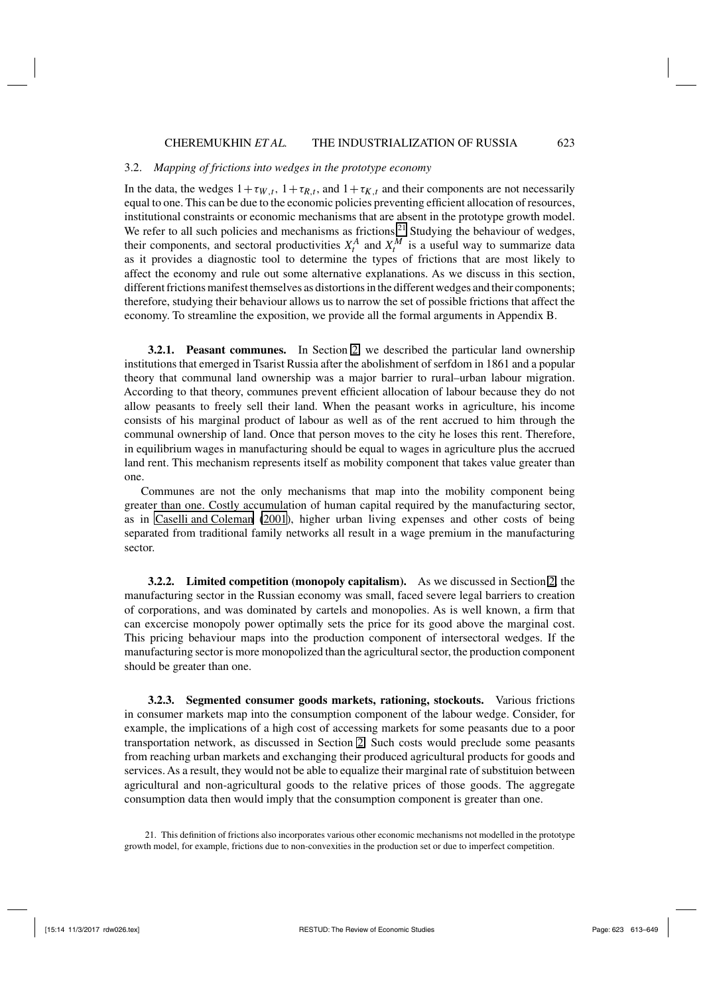#### <span id="page-10-0"></span>3.2. *Mapping of frictions into wedges in the prototype economy*

In the data, the wedges  $1+\tau_{W,t}$ ,  $1+\tau_{R,t}$ , and  $1+\tau_{K,t}$  and their components are not necessarily equal to one. This can be due to the economic policies preventing efficient allocation of resources, institutional constraints or economic mechanisms that are absent in the prototype growth model. We refer to all such policies and mechanisms as frictions.<sup>21</sup> Studying the behaviour of wedges, their components, and sectoral productivities  $X_t^A$  and  $X_t^M$  is a useful way to summarize data as it provides a diagnostic tool to determine the types of frictions that are most likely to affect the economy and rule out some alternative explanations. As we discuss in this section, different frictions manifest themselves as distortions in the different wedges and their components; therefore, studying their behaviour allows us to narrow the set of possible frictions that affect the economy. To streamline the exposition, we provide all the formal arguments in Appendix B.

**3.2.1. Peasant communes.** In Section [2,](#page-4-0) we described the particular land ownership institutions that emerged in Tsarist Russia after the abolishment of serfdom in 1861 and a popular theory that communal land ownership was a major barrier to rural–urban labour migration. According to that theory, communes prevent efficient allocation of labour because they do not allow peasants to freely sell their land. When the peasant works in agriculture, his income consists of his marginal product of labour as well as of the rent accrued to him through the communal ownership of land. Once that person moves to the city he loses this rent. Therefore, in equilibrium wages in manufacturing should be equal to wages in agriculture plus the accrued land rent. This mechanism represents itself as mobility component that takes value greater than one.

Communes are not the only mechanisms that map into the mobility component being greater than one. Costly accumulation of human capital required by the manufacturing sector, as in [Caselli and Coleman](#page-34-0) [\(2001](#page-34-0)), higher urban living expenses and other costs of being separated from traditional family networks all result in a wage premium in the manufacturing sector.

**3.2.2. Limited competition (monopoly capitalism).** As we discussed in Section [2,](#page-4-0) the manufacturing sector in the Russian economy was small, faced severe legal barriers to creation of corporations, and was dominated by cartels and monopolies. As is well known, a firm that can excercise monopoly power optimally sets the price for its good above the marginal cost. This pricing behaviour maps into the production component of intersectoral wedges. If the manufacturing sector is more monopolized than the agricultural sector, the production component should be greater than one.

**3.2.3. Segmented consumer goods markets, rationing, stockouts.** Various frictions in consumer markets map into the consumption component of the labour wedge. Consider, for example, the implications of a high cost of accessing markets for some peasants due to a poor transportation network, as discussed in Section [2.](#page-4-0) Such costs would preclude some peasants from reaching urban markets and exchanging their produced agricultural products for goods and services. As a result, they would not be able to equalize their marginal rate of substituion between agricultural and non-agricultural goods to the relative prices of those goods. The aggregate consumption data then would imply that the consumption component is greater than one.

21. This definition of frictions also incorporates various other economic mechanisms not modelled in the prototype growth model, for example, frictions due to non-convexities in the production set or due to imperfect competition.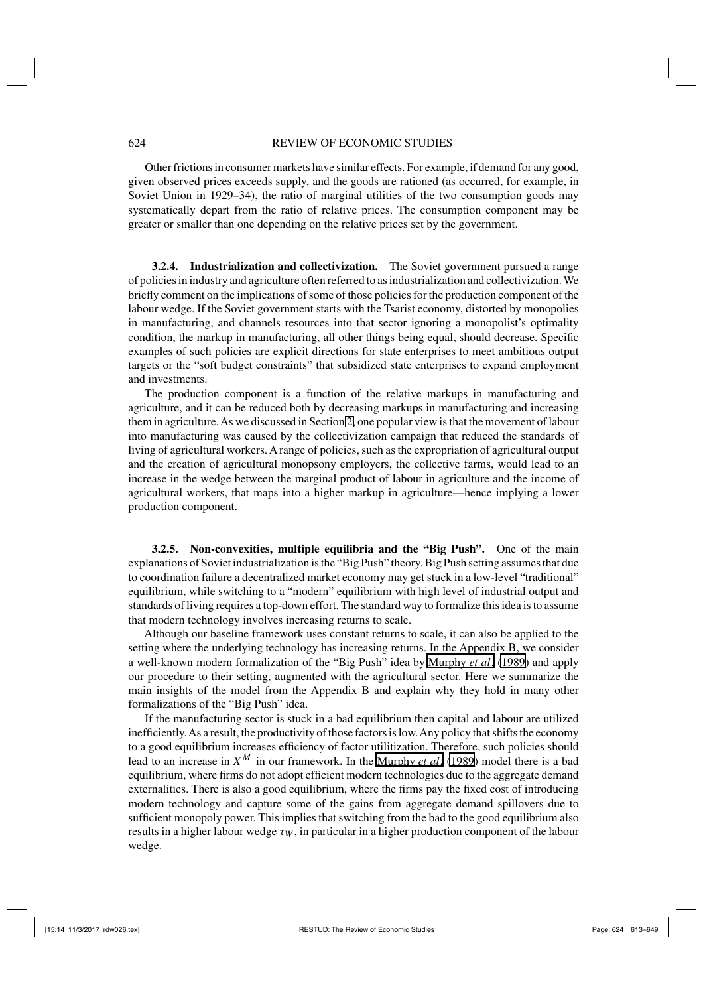Other frictions in consumer markets have similar effects. For example, if demand for any good, given observed prices exceeds supply, and the goods are rationed (as occurred, for example, in Soviet Union in 1929–34), the ratio of marginal utilities of the two consumption goods may systematically depart from the ratio of relative prices. The consumption component may be greater or smaller than one depending on the relative prices set by the government.

**3.2.4. Industrialization and collectivization.** The Soviet government pursued a range of policies in industry and agriculture often referred to as industrialization and collectivization. We briefly comment on the implications of some of those policies for the production component of the labour wedge. If the Soviet government starts with the Tsarist economy, distorted by monopolies in manufacturing, and channels resources into that sector ignoring a monopolist's optimality condition, the markup in manufacturing, all other things being equal, should decrease. Specific examples of such policies are explicit directions for state enterprises to meet ambitious output targets or the "soft budget constraints" that subsidized state enterprises to expand employment and investments.

The production component is a function of the relative markups in manufacturing and agriculture, and it can be reduced both by decreasing markups in manufacturing and increasing them in agriculture.As we discussed in Section [2,](#page-4-0) one popular view is that the movement of labour into manufacturing was caused by the collectivization campaign that reduced the standards of living of agricultural workers. A range of policies, such as the expropriation of agricultural output and the creation of agricultural monopsony employers, the collective farms, would lead to an increase in the wedge between the marginal product of labour in agriculture and the income of agricultural workers, that maps into a higher markup in agriculture—hence implying a lower production component.

**3.2.5. Non-convexities, multiple equilibria and the "Big Push".** One of the main explanations of Soviet industrialization is the "Big Push" theory. Big Push setting assumes that due to coordination failure a decentralized market economy may get stuck in a low-level "traditional" equilibrium, while switching to a "modern" equilibrium with high level of industrial output and standards of living requires a top-down effort. The standard way to formalize this idea is to assume that modern technology involves increasing returns to scale.

Although our baseline framework uses constant returns to scale, it can also be applied to the setting where the underlying technology has increasing returns. In the Appendix B, we consider a well-known modern formalization of the "Big Push" idea by [Murphy](#page-36-0) *et al*. [\(1989\)](#page-36-0) and apply our procedure to their setting, augmented with the agricultural sector. Here we summarize the main insights of the model from the Appendix B and explain why they hold in many other formalizations of the "Big Push" idea.

If the manufacturing sector is stuck in a bad equilibrium then capital and labour are utilized inefficiently.As a result, the productivity of those factors is low.Any policy that shifts the economy to a good equilibrium increases efficiency of factor utilitization. Therefore, such policies should lead to an increase in  $X^M$  in our framework. In the [Murphy](#page-36-0) *et al.* [\(1989\)](#page-36-0) model there is a bad equilibrium, where firms do not adopt efficient modern technologies due to the aggregate demand externalities. There is also a good equilibrium, where the firms pay the fixed cost of introducing modern technology and capture some of the gains from aggregate demand spillovers due to sufficient monopoly power. This implies that switching from the bad to the good equilibrium also results in a higher labour wedge τ*W* , in particular in a higher production component of the labour wedge.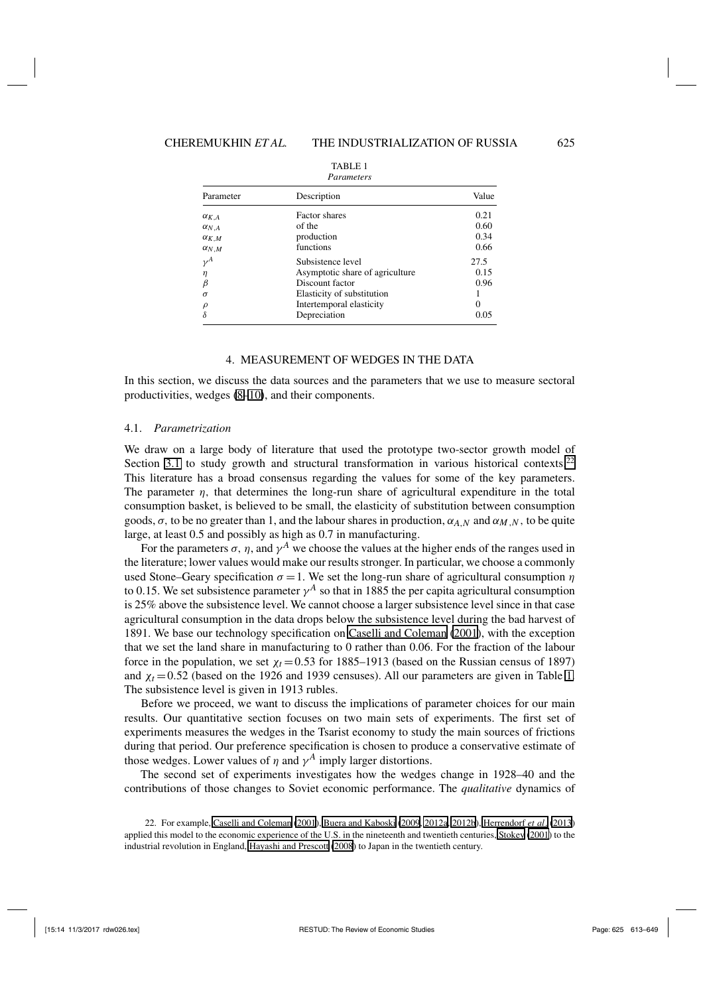| Parameter      | Description                     | Value |  |  |  |  |
|----------------|---------------------------------|-------|--|--|--|--|
| $\alpha_{K,A}$ | Factor shares                   | 0.21  |  |  |  |  |
| $\alpha_{N,A}$ | of the                          | 0.60  |  |  |  |  |
| $\alpha_{K,M}$ | production                      | 0.34  |  |  |  |  |
| $\alpha_{N,M}$ | functions                       | 0.66  |  |  |  |  |
| $\gamma^A$     | Subsistence level               | 27.5  |  |  |  |  |
| η              | Asymptotic share of agriculture | 0.15  |  |  |  |  |
| β              | Discount factor                 | 0.96  |  |  |  |  |
| σ              | Elasticity of substitution      |       |  |  |  |  |
| $\rho$         | Intertemporal elasticity        | 0     |  |  |  |  |
| δ              | Depreciation                    | 0.05  |  |  |  |  |
|                |                                 |       |  |  |  |  |

TABLE 1 *Parameters*

# 4. MEASUREMENT OF WEDGES IN THE DATA

In this section, we discuss the data sources and the parameters that we use to measure sectoral productivities, wedges [\(8–10\)](#page-9-0), and their components.

#### 4.1. *Parametrization*

We draw on a large body of literature that used the prototype two-sector growth model of Section [3.1](#page-8-0) to study growth and structural transformation in various historical contexts.<sup>22</sup> This literature has a broad consensus regarding the values for some of the key parameters. The parameter  $\eta$ , that determines the long-run share of agricultural expenditure in the total consumption basket, is believed to be small, the elasticity of substitution between consumption goods,  $\sigma$ , to be no greater than 1, and the labour shares in production,  $\alpha_{A,N}$  and  $\alpha_{M,N}$ , to be quite large, at least 0.5 and possibly as high as 0.7 in manufacturing.

For the parameters  $\sigma$ ,  $\eta$ , and  $\gamma^A$  we choose the values at the higher ends of the ranges used in the literature; lower values would make our results stronger. In particular, we choose a commonly used Stone–Geary specification  $\sigma = 1$ . We set the long-run share of agricultural consumption  $\eta$ to 0.15. We set subsistence parameter  $\gamma^A$  so that in 1885 the per capita agricultural consumption is 25% above the subsistence level. We cannot choose a larger subsistence level since in that case agricultural consumption in the data drops below the subsistence level during the bad harvest of 1891. We base our technology specification on [Caselli and Coleman](#page-34-0) [\(2001](#page-34-0)), with the exception that we set the land share in manufacturing to 0 rather than 0.06. For the fraction of the labour force in the population, we set  $\chi_t$  =0.53 for 1885–1913 (based on the Russian census of 1897) and  $\chi_t$  =0.52 (based on the 1926 and 1939 censuses). All our parameters are given in Table 1. The subsistence level is given in 1913 rubles.

Before we proceed, we want to discuss the implications of parameter choices for our main results. Our quantitative section focuses on two main sets of experiments. The first set of experiments measures the wedges in the Tsarist economy to study the main sources of frictions during that period. Our preference specification is chosen to produce a conservative estimate of those wedges. Lower values of  $\eta$  and  $\gamma^A$  imply larger distortions.

The second set of experiments investigates how the wedges change in 1928–40 and the contributions of those changes to Soviet economic performance. The *qualitative* dynamics of

<sup>22.</sup> For example, [Caselli and Coleman](#page-34-0) [\(2001\)](#page-34-0), [Buera and Kaboski](#page-34-0) [\(2009, 2012a](#page-34-0), [2012b\)](#page-34-0), [Herrendorf](#page-35-0) *et al*. [\(2013](#page-35-0)) applied this model to the economic experience of the U.S. in the nineteenth and twentieth centuries, [Stokey](#page-36-0) [\(2001\)](#page-36-0) to the industrial revolution in England, [Hayashi and Prescott](#page-35-0) [\(2008](#page-35-0)) to Japan in the twentieth century.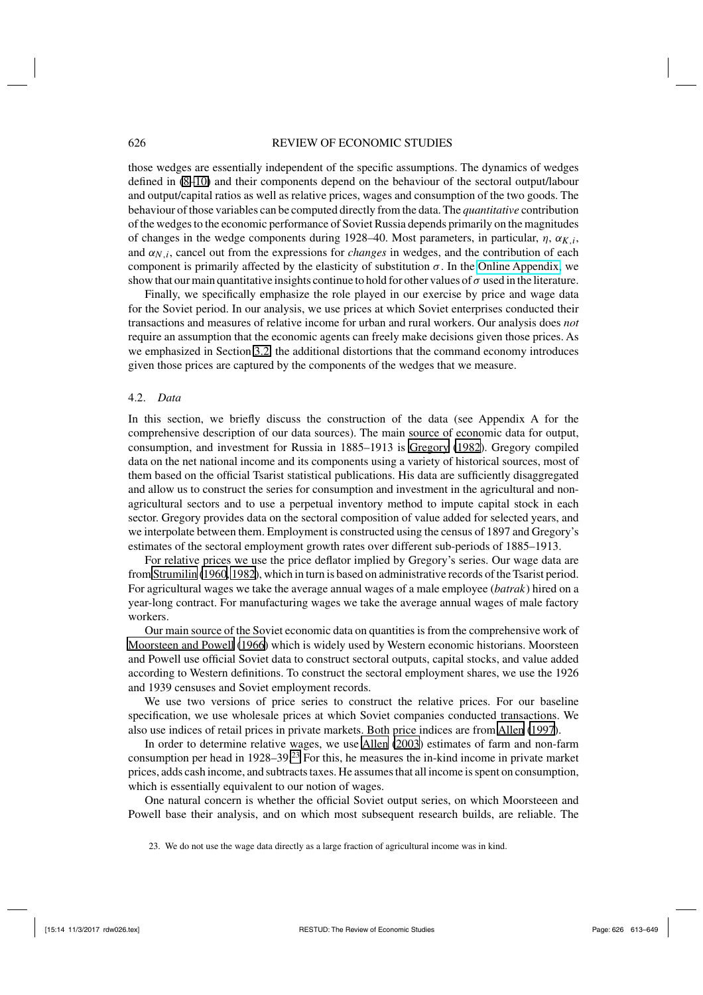those wedges are essentially independent of the specific assumptions. The dynamics of wedges defined in [\(8–10\)](#page-9-0) and their components depend on the behaviour of the sectoral output/labour and output/capital ratios as well as relative prices, wages and consumption of the two goods. The behaviour of those variables can be computed directly from the data. The *quantitative* contribution of the wedges to the economic performance of Soviet Russia depends primarily on the magnitudes of changes in the wedge components during 1928–40. Most parameters, in particular,  $\eta$ ,  $\alpha_{K,i}$ , and  $\alpha_{N,i}$ , cancel out from the expressions for *changes* in wedges, and the contribution of each component is primarily affected by the elasticity of substitution  $\sigma$ . In the [Online Appendix,](http://restud.oxfordjournals.org/lookup/suppl/doi:10.1093/restud/rdw026/-/DC1) we show that our main quantitative insights continue to hold for other values of  $\sigma$  used in the literature.

Finally, we specifically emphasize the role played in our exercise by price and wage data for the Soviet period. In our analysis, we use prices at which Soviet enterprises conducted their transactions and measures of relative income for urban and rural workers. Our analysis does *not* require an assumption that the economic agents can freely make decisions given those prices. As we emphasized in Section [3.2,](#page-10-0) the additional distortions that the command economy introduces given those prices are captured by the components of the wedges that we measure.

# 4.2. *Data*

In this section, we briefly discuss the construction of the data (see Appendix A for the comprehensive description of our data sources). The main source of economic data for output, consumption, and investment for Russia in 1885–1913 is [Gregory](#page-35-0) [\(1982\)](#page-35-0). Gregory compiled data on the net national income and its components using a variety of historical sources, most of them based on the official Tsarist statistical publications. His data are sufficiently disaggregated and allow us to construct the series for consumption and investment in the agricultural and nonagricultural sectors and to use a perpetual inventory method to impute capital stock in each sector. Gregory provides data on the sectoral composition of value added for selected years, and we interpolate between them. Employment is constructed using the census of 1897 and Gregory's estimates of the sectoral employment growth rates over different sub-periods of 1885–1913.

For relative prices we use the price deflator implied by Gregory's series. Our wage data are from [Strumilin](#page-36-0) [\(1960](#page-36-0), [1982](#page-36-0)), which in turn is based on administrative records of the Tsarist period. For agricultural wages we take the average annual wages of a male employee (*batrak*) hired on a year-long contract. For manufacturing wages we take the average annual wages of male factory workers.

Our main source of the Soviet economic data on quantities is from the comprehensive work of [Moorsteen and Powell](#page-36-0) [\(1966](#page-36-0)) which is widely used by Western economic historians. Moorsteen and Powell use official Soviet data to construct sectoral outputs, capital stocks, and value added according to Western definitions. To construct the sectoral employment shares, we use the 1926 and 1939 censuses and Soviet employment records.

We use two versions of price series to construct the relative prices. For our baseline specification, we use wholesale prices at which Soviet companies conducted transactions. We also use indices of retail prices in private markets. Both price indices are from [Allen](#page-34-0) [\(1997\)](#page-34-0).

In order to determine relative wages, we use [Allen](#page-34-0) [\(2003](#page-34-0)) estimates of farm and non-farm consumption per head in  $1928-39$ <sup>23</sup>. For this, he measures the in-kind income in private market prices, adds cash income, and subtracts taxes. He assumes that all income is spent on consumption, which is essentially equivalent to our notion of wages.

One natural concern is whether the official Soviet output series, on which Moorsteeen and Powell base their analysis, and on which most subsequent research builds, are reliable. The

<sup>23.</sup> We do not use the wage data directly as a large fraction of agricultural income was in kind.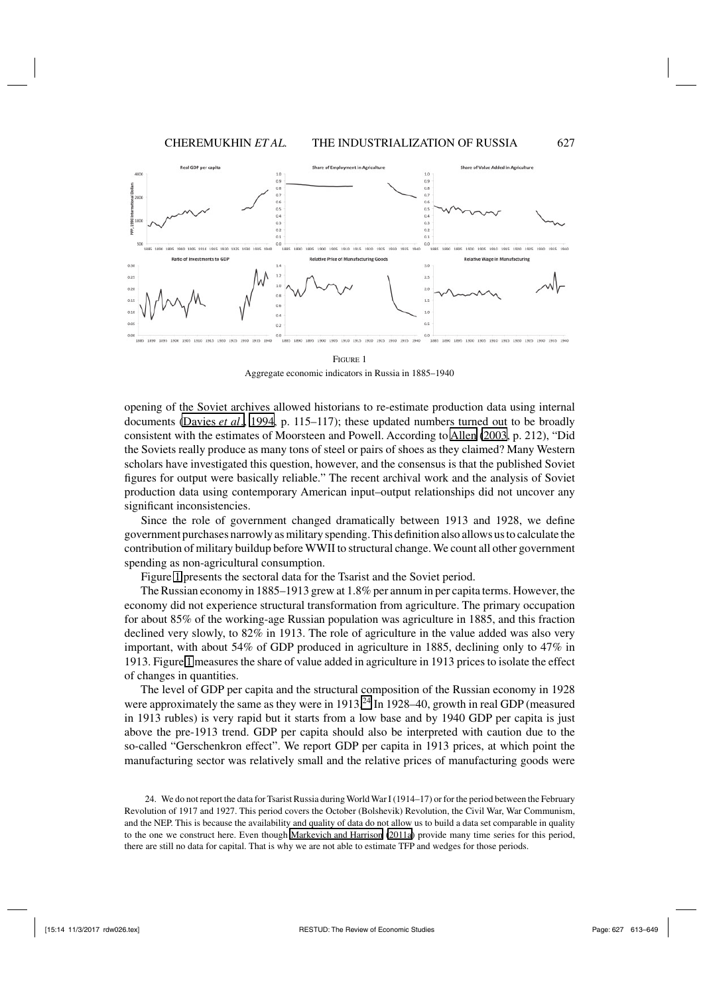

FIGURE 1 Aggregate economic indicators in Russia in 1885–1940

opening of the Soviet archives allowed historians to re-estimate production data using internal documents [\(Davies](#page-35-0) *et al*., [1994](#page-35-0), p. 115–117); these updated numbers turned out to be broadly consistent with the estimates of Moorsteen and Powell. According to [Allen](#page-34-0) [\(2003](#page-34-0), p. 212), "Did the Soviets really produce as many tons of steel or pairs of shoes as they claimed? Many Western scholars have investigated this question, however, and the consensus is that the published Soviet figures for output were basically reliable." The recent archival work and the analysis of Soviet production data using contemporary American input–output relationships did not uncover any significant inconsistencies.

Since the role of government changed dramatically between 1913 and 1928, we define government purchases narrowly as military spending.This definition also allows us to calculate the contribution of military buildup before WWII to structural change. We count all other government spending as non-agricultural consumption.

Figure 1 presents the sectoral data for the Tsarist and the Soviet period.

The Russian economy in 1885–1913 grew at 1.8% per annum in per capita terms. However, the economy did not experience structural transformation from agriculture. The primary occupation for about 85% of the working-age Russian population was agriculture in 1885, and this fraction declined very slowly, to 82% in 1913. The role of agriculture in the value added was also very important, with about 54% of GDP produced in agriculture in 1885, declining only to 47% in 1913. Figure 1 measures the share of value added in agriculture in 1913 prices to isolate the effect of changes in quantities.

The level of GDP per capita and the structural composition of the Russian economy in 1928 were approximately the same as they were in  $1913<sup>24</sup>$  In 1928–40, growth in real GDP (measured in 1913 rubles) is very rapid but it starts from a low base and by 1940 GDP per capita is just above the pre-1913 trend. GDP per capita should also be interpreted with caution due to the so-called "Gerschenkron effect". We report GDP per capita in 1913 prices, at which point the manufacturing sector was relatively small and the relative prices of manufacturing goods were

24. We do not report the data for Tsarist Russia during World War I (1914–17) or for the period between the February Revolution of 1917 and 1927. This period covers the October (Bolshevik) Revolution, the Civil War, War Communism, and the NEP. This is because the availability and quality of data do not allow us to build a data set comparable in quality to the one we construct here. Even though [Markevich and Harrison](#page-36-0) [\(2011a\)](#page-36-0) provide many time series for this period, there are still no data for capital. That is why we are not able to estimate TFP and wedges for those periods.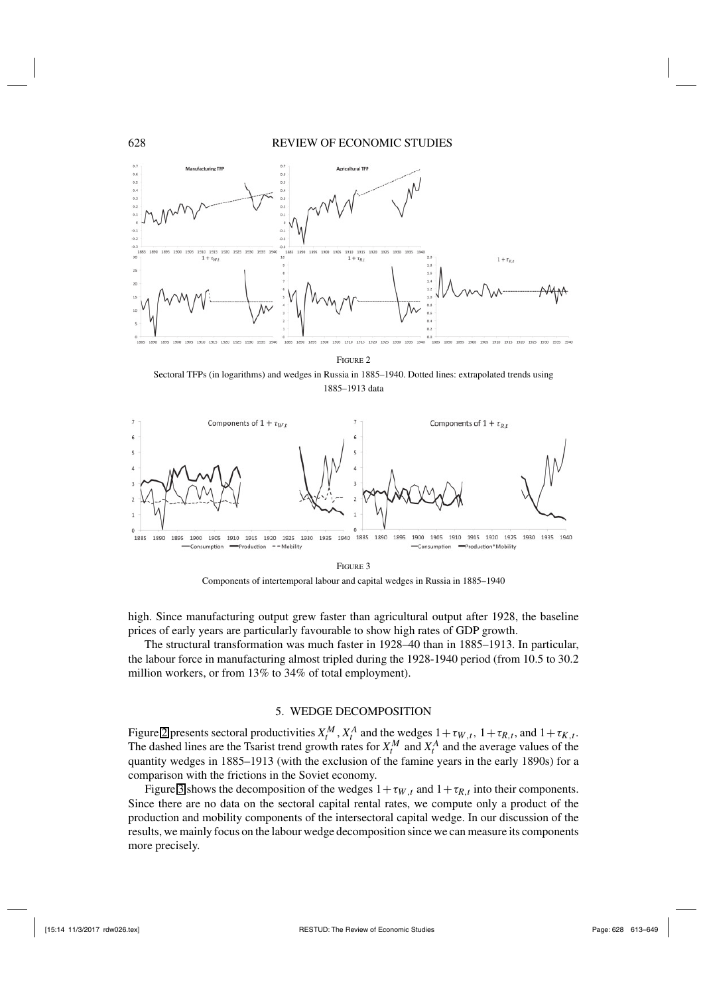<span id="page-15-0"></span>

FIGURE 2

Sectoral TFPs (in logarithms) and wedges in Russia in 1885–1940. Dotted lines: extrapolated trends using 1885–1913 data



Components of intertemporal labour and capital wedges in Russia in 1885–1940

high. Since manufacturing output grew faster than agricultural output after 1928, the baseline prices of early years are particularly favourable to show high rates of GDP growth.

The structural transformation was much faster in 1928–40 than in 1885–1913. In particular, the labour force in manufacturing almost tripled during the 1928-1940 period (from 10.5 to 30.2 million workers, or from 13% to 34% of total employment).

# 5. WEDGE DECOMPOSITION

Figure 2 presents sectoral productivities  $X_t^M$ ,  $X_t^A$  and the wedges  $1+\tau_{W,t}$ ,  $1+\tau_{R,t}$ , and  $1+\tau_{K,t}$ . The dashed lines are the Tsarist trend growth rates for  $X_t^M$  and  $X_t^A$  and the average values of the quantity wedges in 1885–1913 (with the exclusion of the famine years in the early 1890s) for a comparison with the frictions in the Soviet economy.

Figure 3 shows the decomposition of the wedges  $1+\tau_{W,t}$  and  $1+\tau_{R,t}$  into their components. Since there are no data on the sectoral capital rental rates, we compute only a product of the production and mobility components of the intersectoral capital wedge. In our discussion of the results, we mainly focus on the labour wedge decomposition since we can measure its components more precisely.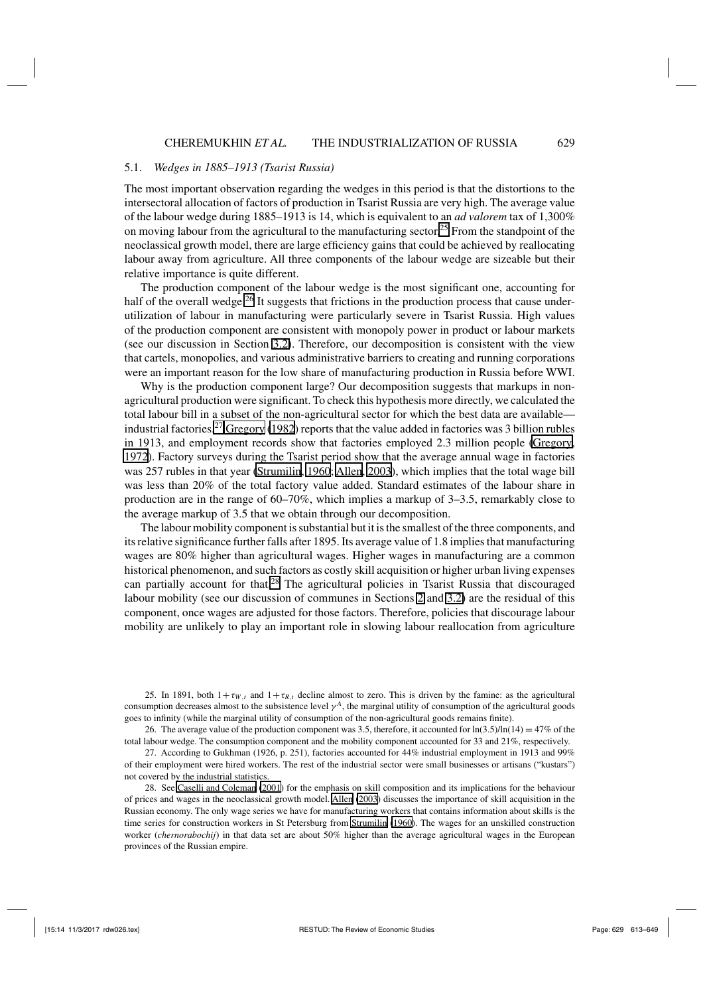# 5.1. *Wedges in 1885–1913 (Tsarist Russia)*

The most important observation regarding the wedges in this period is that the distortions to the intersectoral allocation of factors of production in Tsarist Russia are very high. The average value of the labour wedge during 1885–1913 is 14, which is equivalent to an *ad valorem* tax of 1,300% on moving labour from the agricultural to the manufacturing sector.<sup>25</sup> From the standpoint of the neoclassical growth model, there are large efficiency gains that could be achieved by reallocating labour away from agriculture. All three components of the labour wedge are sizeable but their relative importance is quite different.

The production component of the labour wedge is the most significant one, accounting for half of the overall wedge.<sup>26</sup> It suggests that frictions in the production process that cause underutilization of labour in manufacturing were particularly severe in Tsarist Russia. High values of the production component are consistent with monopoly power in product or labour markets (see our discussion in Section [3.2\)](#page-10-0). Therefore, our decomposition is consistent with the view that cartels, monopolies, and various administrative barriers to creating and running corporations were an important reason for the low share of manufacturing production in Russia before WWI.

Why is the production component large? Our decomposition suggests that markups in nonagricultural production were significant. To check this hypothesis more directly, we calculated the total labour bill in a subset of the non-agricultural sector for which the best data are available industrial factories.<sup>27</sup> [Gregory](#page-35-0) [\(1982\)](#page-35-0) reports that the value added in factories was 3 billion rubles in 1913, and employment records show that factories employed 2.3 million people [\(Gregory](#page-35-0), [1972](#page-35-0)). Factory surveys during the Tsarist period show that the average annual wage in factories was 257 rubles in that year [\(Strumilin](#page-36-0), [1960](#page-36-0); [Allen, 2003\)](#page-34-0), which implies that the total wage bill was less than 20% of the total factory value added. Standard estimates of the labour share in production are in the range of  $60-70\%$ , which implies a markup of  $3-3.5$ , remarkably close to the average markup of 3.5 that we obtain through our decomposition.

The labour mobility component is substantial but it is the smallest of the three components, and its relative significance further falls after 1895. Its average value of 1.8 implies that manufacturing wages are 80% higher than agricultural wages. Higher wages in manufacturing are a common historical phenomenon, and such factors as costly skill acquisition or higher urban living expenses can partially account for that.<sup>28</sup> The agricultural policies in Tsarist Russia that discouraged labour mobility (see our discussion of communes in Sections [2](#page-4-0) and [3.2\)](#page-10-0) are the residual of this component, once wages are adjusted for those factors. Therefore, policies that discourage labour mobility are unlikely to play an important role in slowing labour reallocation from agriculture

25. In 1891, both  $1+\tau_{W,t}$  and  $1+\tau_{R,t}$  decline almost to zero. This is driven by the famine: as the agricultural consumption decreases almost to the subsistence level  $\gamma^A$ , the marginal utility of consumption of the agricultural goods goes to infinity (while the marginal utility of consumption of the non-agricultural goods remains finite).

26. The average value of the production component was 3.5, therefore, it accounted for  $ln(3.5)/ln(14) = 47\%$  of the total labour wedge. The consumption component and the mobility component accounted for 33 and 21%, respectively.

27. According to Gukhman (1926, p. 251), factories accounted for 44% industrial employment in 1913 and 99% of their employment were hired workers. The rest of the industrial sector were small businesses or artisans ("kustars") not covered by the industrial statistics.

28. See [Caselli and Coleman](#page-34-0) [\(2001\)](#page-34-0) for the emphasis on skill composition and its implications for the behaviour of prices and wages in the neoclassical growth model. [Allen](#page-34-0) [\(2003\)](#page-34-0) discusses the importance of skill acquisition in the Russian economy. The only wage series we have for manufacturing workers that contains information about skills is the time series for construction workers in St Petersburg from [Strumilin](#page-36-0) [\(1960](#page-36-0)). The wages for an unskilled construction worker (*chernorabochij*) in that data set are about 50% higher than the average agricultural wages in the European provinces of the Russian empire.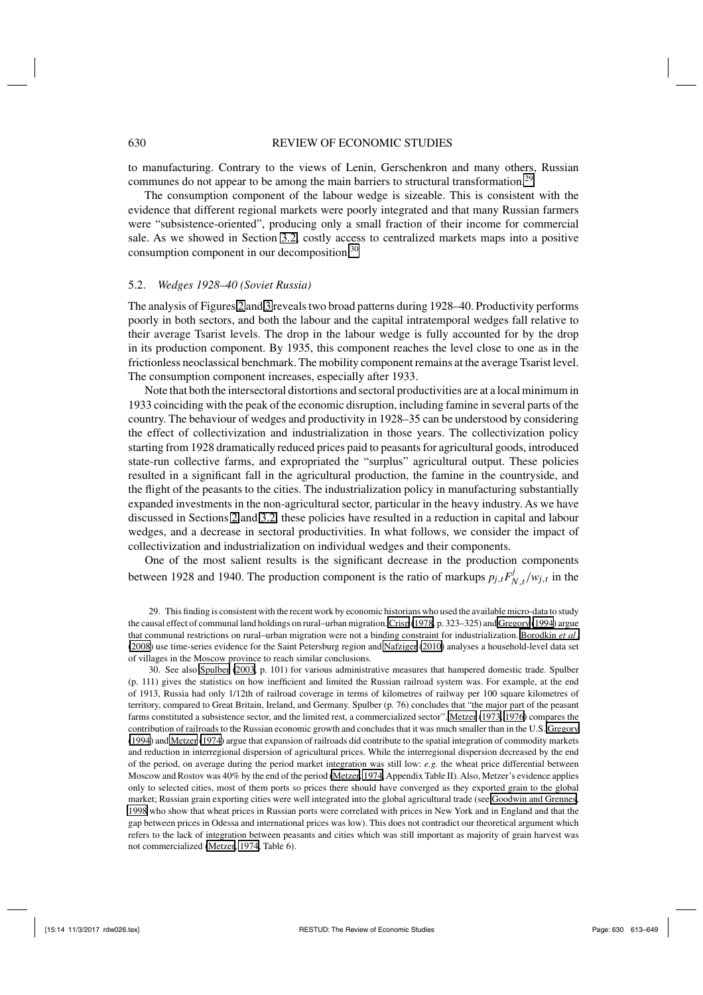to manufacturing. Contrary to the views of Lenin, Gerschenkron and many others, Russian communes do not appear to be among the main barriers to structural transformation.<sup>29</sup>

The consumption component of the labour wedge is sizeable. This is consistent with the evidence that different regional markets were poorly integrated and that many Russian farmers were "subsistence-oriented", producing only a small fraction of their income for commercial sale. As we showed in Section [3.2,](#page-10-0) costly access to centralized markets maps into a positive consumption component in our decomposition.<sup>30</sup>

# 5.2. *Wedges 1928–40 (Soviet Russia)*

The analysis of Figures [2](#page-15-0) and [3](#page-15-0) reveals two broad patterns during 1928–40. Productivity performs poorly in both sectors, and both the labour and the capital intratemporal wedges fall relative to their average Tsarist levels. The drop in the labour wedge is fully accounted for by the drop in its production component. By 1935, this component reaches the level close to one as in the frictionless neoclassical benchmark. The mobility component remains at the average Tsarist level. The consumption component increases, especially after 1933.

Note that both the intersectoral distortions and sectoral productivities are at a local minimum in 1933 coinciding with the peak of the economic disruption, including famine in several parts of the country. The behaviour of wedges and productivity in 1928–35 can be understood by considering the effect of collectivization and industrialization in those years. The collectivization policy starting from 1928 dramatically reduced prices paid to peasants for agricultural goods, introduced state-run collective farms, and expropriated the "surplus" agricultural output. These policies resulted in a significant fall in the agricultural production, the famine in the countryside, and the flight of the peasants to the cities. The industrialization policy in manufacturing substantially expanded investments in the non-agricultural sector, particular in the heavy industry. As we have discussed in Sections [2](#page-4-0) and [3.2,](#page-10-0) these policies have resulted in a reduction in capital and labour wedges, and a decrease in sectoral productivities. In what follows, we consider the impact of collectivization and industrialization on individual wedges and their components.

One of the most salient results is the significant decrease in the production components between 1928 and 1940. The production component is the ratio of markups  $p_{j,t}F^j_{N,t}/w_{j,t}$  in the

<sup>29.</sup> This finding is consistent with the recent work by economic historians who used the available micro-data to study the causal effect of communal land holdings on rural–urban migration. [Crisp](#page-35-0) [\(1978,](#page-35-0) p. 323–325) and [Gregory](#page-35-0) [\(1994\)](#page-35-0) argue that communal restrictions on rural–urban migration were not a binding constraint for industrialization. [Borodkin](#page-34-0) *et al*. [\(2008](#page-34-0)) use time-series evidence for the Saint Petersburg region and [Nafziger](#page-36-0) [\(2010\)](#page-36-0) analyses a household-level data set of villages in the Moscow province to reach similar conclusions.

<sup>30.</sup> See also [Spulber](#page-36-0) [\(2003,](#page-36-0) p. 101) for various administrative measures that hampered domestic trade. Spulber (p. 111) gives the statistics on how inefficient and limited the Russian railroad system was. For example, at the end of 1913, Russia had only 1/12th of railroad coverage in terms of kilometres of railway per 100 square kilometres of territory, compared to Great Britain, Ireland, and Germany. Spulber (p. 76) concludes that "the major part of the peasant farms constituted a subsistence sector, and the limited rest, a commercialized sector". [Metzer](#page-36-0) [\(1973, 1976\)](#page-36-0) compares the contribution of railroads to the Russian economic growth and concludes that it was much smaller than in the U.S. [Gregory](#page-35-0) [\(1994](#page-35-0)) and [Metzer](#page-36-0) [\(1974](#page-36-0)) argue that expansion of railroads did contribute to the spatial integration of commodity markets and reduction in interregional dispersion of agricultural prices. While the interregional dispersion decreased by the end of the period, on average during the period market integration was still low:  $e.g.$  the wheat price differential between Moscow and Rostov was 40% by the end of the period [\(Metzer, 1974,](#page-36-0) Appendix Table II). Also, Metzer's evidence applies only to selected cities, most of them ports so prices there should have converged as they exported grain to the global market; Russian grain exporting cities were well integrated into the global agricultural trade (see [Goodwin and Grennes](#page-35-0), [1998](#page-35-0) who show that wheat prices in Russian ports were correlated with prices in New York and in England and that the gap between prices in Odessa and international prices was low). This does not contradict our theoretical argument which refers to the lack of integration between peasants and cities which was still important as majority of grain harvest was not commercialized [\(Metzer](#page-36-0), [1974](#page-36-0), Table 6).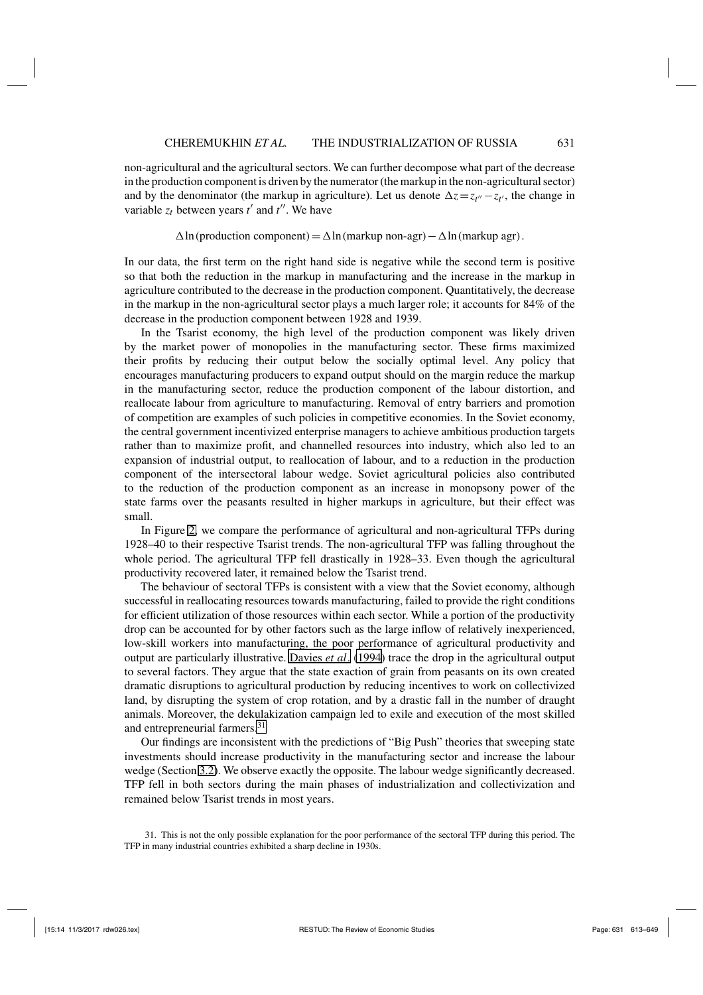non-agricultural and the agricultural sectors. We can further decompose what part of the decrease in the production component is driven by the numerator (the markup in the non-agricultural sector) and by the denominator (the markup in agriculture). Let us denote  $\Delta z = z_t r - z_t r$ , the change in variable  $z_t$  between years  $t'$  and  $t''$ . We have

 $\Delta \ln(p$  roduction component) =  $\Delta \ln(m$ arkup non-agr) –  $\Delta \ln(m$ arkup agr).

In our data, the first term on the right hand side is negative while the second term is positive so that both the reduction in the markup in manufacturing and the increase in the markup in agriculture contributed to the decrease in the production component. Quantitatively, the decrease in the markup in the non-agricultural sector plays a much larger role; it accounts for 84% of the decrease in the production component between 1928 and 1939.

In the Tsarist economy, the high level of the production component was likely driven by the market power of monopolies in the manufacturing sector. These firms maximized their profits by reducing their output below the socially optimal level. Any policy that encourages manufacturing producers to expand output should on the margin reduce the markup in the manufacturing sector, reduce the production component of the labour distortion, and reallocate labour from agriculture to manufacturing. Removal of entry barriers and promotion of competition are examples of such policies in competitive economies. In the Soviet economy, the central government incentivized enterprise managers to achieve ambitious production targets rather than to maximize profit, and channelled resources into industry, which also led to an expansion of industrial output, to reallocation of labour, and to a reduction in the production component of the intersectoral labour wedge. Soviet agricultural policies also contributed to the reduction of the production component as an increase in monopsony power of the state farms over the peasants resulted in higher markups in agriculture, but their effect was small.

In Figure [2,](#page-15-0) we compare the performance of agricultural and non-agricultural TFPs during 1928–40 to their respective Tsarist trends. The non-agricultural TFP was falling throughout the whole period. The agricultural TFP fell drastically in 1928–33. Even though the agricultural productivity recovered later, it remained below the Tsarist trend.

The behaviour of sectoral TFPs is consistent with a view that the Soviet economy, although successful in reallocating resources towards manufacturing, failed to provide the right conditions for efficient utilization of those resources within each sector. While a portion of the productivity drop can be accounted for by other factors such as the large inflow of relatively inexperienced, low-skill workers into manufacturing, the poor performance of agricultural productivity and output are particularly illustrative. [Davies](#page-35-0) *et al*. [\(1994\)](#page-35-0) trace the drop in the agricultural output to several factors. They argue that the state exaction of grain from peasants on its own created dramatic disruptions to agricultural production by reducing incentives to work on collectivized land, by disrupting the system of crop rotation, and by a drastic fall in the number of draught animals. Moreover, the dekulakization campaign led to exile and execution of the most skilled and entrepreneurial farmers.<sup>31</sup>

Our findings are inconsistent with the predictions of "Big Push" theories that sweeping state investments should increase productivity in the manufacturing sector and increase the labour wedge (Section [3.2\)](#page-10-0). We observe exactly the opposite. The labour wedge significantly decreased. TFP fell in both sectors during the main phases of industrialization and collectivization and remained below Tsarist trends in most years.

31. This is not the only possible explanation for the poor performance of the sectoral TFP during this period. The TFP in many industrial countries exhibited a sharp decline in 1930s.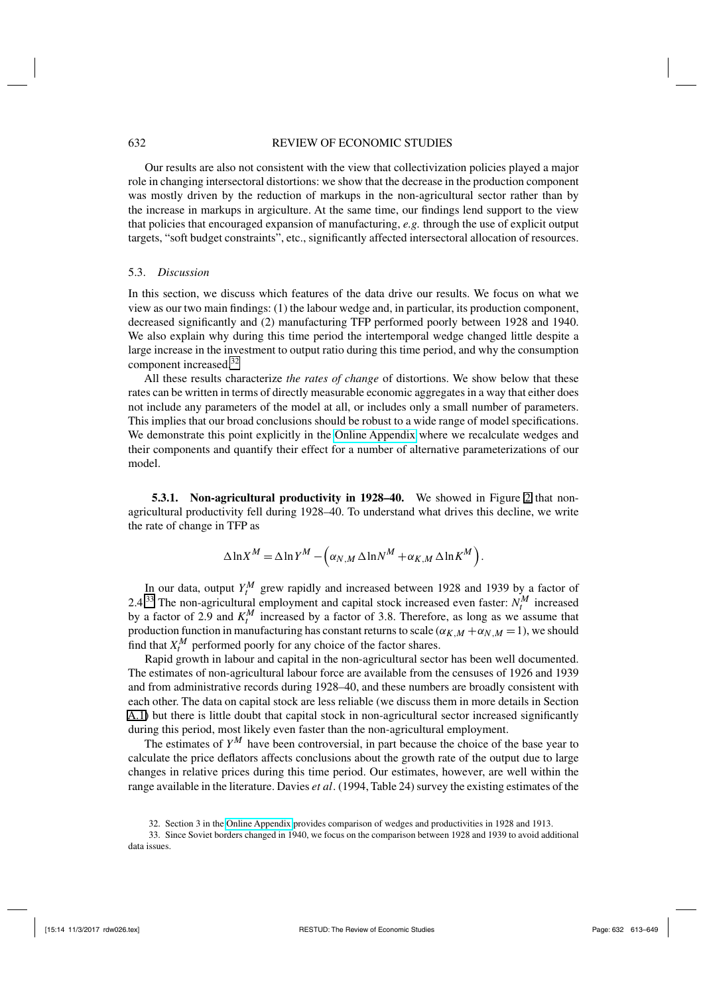Our results are also not consistent with the view that collectivization policies played a major role in changing intersectoral distortions: we show that the decrease in the production component was mostly driven by the reduction of markups in the non-agricultural sector rather than by the increase in markups in argiculture. At the same time, our findings lend support to the view that policies that encouraged expansion of manufacturing, *e.g.* through the use of explicit output targets, "soft budget constraints", etc., significantly affected intersectoral allocation of resources.

# 5.3. *Discussion*

In this section, we discuss which features of the data drive our results. We focus on what we view as our two main findings: (1) the labour wedge and, in particular, its production component, decreased significantly and (2) manufacturing TFP performed poorly between 1928 and 1940. We also explain why during this time period the intertemporal wedge changed little despite a large increase in the investment to output ratio during this time period, and why the consumption component increased.<sup>32</sup>

All these results characterize *the rates of change* of distortions. We show below that these rates can be written in terms of directly measurable economic aggregates in a way that either does not include any parameters of the model at all, or includes only a small number of parameters. This implies that our broad conclusions should be robust to a wide range of model specifications. We demonstrate this point explicitly in the [Online Appendix](http://restud.oxfordjournals.org/lookup/suppl/doi:10.1093/restud/rdw026/-/DC1) where we recalculate wedges and their components and quantify their effect for a number of alternative parameterizations of our model.

**5.3.1. Non-agricultural productivity in 1928–40.** We showed in Figure [2](#page-15-0) that nonagricultural productivity fell during 1928–40. To understand what drives this decline, we write the rate of change in TFP as

$$
\Delta \ln X^M = \Delta \ln Y^M - \left( \alpha_{N,M} \Delta \ln N^M + \alpha_{K,M} \Delta \ln K^M \right).
$$

In our data, output  $Y_t^M$  grew rapidly and increased between 1928 and 1939 by a factor of 2.4.<sup>33</sup> The non-agricultural employment and capital stock increased even faster:  $N_t^M$  increased by a factor of 2.9 and  $K_t^M$  increased by a factor of 3.8. Therefore, as long as we assume that production function in manufacturing has constant returns to scale ( $\alpha_{K,M} + \alpha_{N,M} = 1$ ), we should find that  $X_t^M$  performed poorly for any choice of the factor shares.

Rapid growth in labour and capital in the non-agricultural sector has been well documented. The estimates of non-agricultural labour force are available from the censuses of 1926 and 1939 and from administrative records during 1928–40, and these numbers are broadly consistent with each other. The data on capital stock are less reliable (we discuss them in more details in Section [A.1\)](#page-27-0) but there is little doubt that capital stock in non-agricultural sector increased significantly during this period, most likely even faster than the non-agricultural employment.

The estimates of  $Y^M$  have been controversial, in part because the choice of the base year to calculate the price deflators affects conclusions about the growth rate of the output due to large changes in relative prices during this time period. Our estimates, however, are well within the range available in the literature. Davies *et al*. (1994, Table 24) survey the existing estimates of the

<sup>32.</sup> Section 3 in the [Online Appendix](http://restud.oxfordjournals.org/lookup/suppl/doi:10.1093/restud/rdw026/-/DC1) provides comparison of wedges and productivities in 1928 and 1913.

<sup>33.</sup> Since Soviet borders changed in 1940, we focus on the comparison between 1928 and 1939 to avoid additional data issues.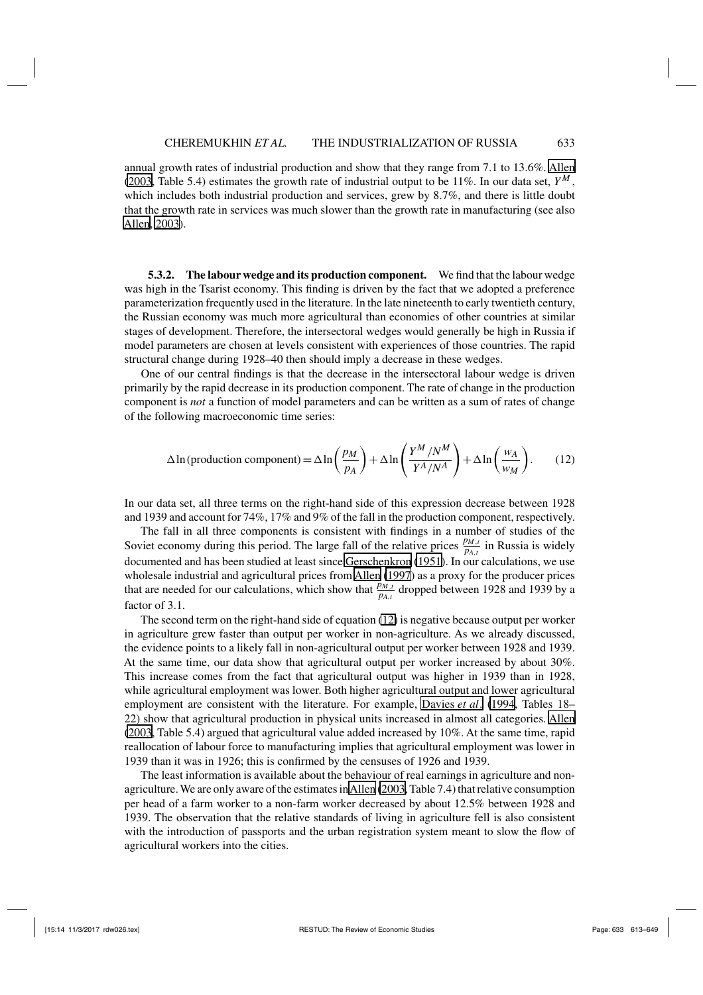annual growth rates of industrial production and show that they range from 7.1 to 13.6%. [Allen](#page-34-0) [\(2003,](#page-34-0) Table 5.4) estimates the growth rate of industrial output to be 11%. In our data set,  $Y^M$ , which includes both industrial production and services, grew by 8.7%, and there is little doubt that the growth rate in services was much slower than the growth rate in manufacturing (see also [Allen](#page-34-0), [2003](#page-34-0)).

**5.3.2. The labour wedge and its production component.** We find that the labour wedge was high in the Tsarist economy. This finding is driven by the fact that we adopted a preference parameterization frequently used in the literature. In the late nineteenth to early twentieth century, the Russian economy was much more agricultural than economies of other countries at similar stages of development. Therefore, the intersectoral wedges would generally be high in Russia if model parameters are chosen at levels consistent with experiences of those countries. The rapid structural change during 1928–40 then should imply a decrease in these wedges.

One of our central findings is that the decrease in the intersectoral labour wedge is driven primarily by the rapid decrease in its production component. The rate of change in the production component is *not* a function of model parameters and can be written as a sum of rates of change of the following macroeconomic time series:

$$
\Delta \ln(\text{production component}) = \Delta \ln\left(\frac{p_M}{p_A}\right) + \Delta \ln\left(\frac{Y^M / N^M}{Y^A / N^A}\right) + \Delta \ln\left(\frac{w_A}{w_M}\right). \tag{12}
$$

In our data set, all three terms on the right-hand side of this expression decrease between 1928 and 1939 and account for 74%, 17% and 9% of the fall in the production component, respectively.

The fall in all three components is consistent with findings in a number of studies of the Soviet economy during this period. The large fall of the relative prices  $\frac{p_{M,t}}{p_{A,t}}$  in Russia is widely documented and has been studied at least since [Gerschenkron](#page-35-0) [\(1951\)](#page-35-0). In our calculations, we use wholesale industrial and agricultural prices from [Allen](#page-34-0) [\(1997](#page-34-0)) as a proxy for the producer prices that are needed for our calculations, which show that  $\frac{p_{M,t}}{p_{A,t}}$  dropped between 1928 and 1939 by a factor of 3.1.

The second term on the right-hand side of equation (12) is negative because output per worker in agriculture grew faster than output per worker in non-agriculture. As we already discussed, the evidence points to a likely fall in non-agricultural output per worker between 1928 and 1939. At the same time, our data show that agricultural output per worker increased by about 30%. This increase comes from the fact that agricultural output was higher in 1939 than in 1928, while agricultural employment was lower. Both higher agricultural output and lower agricultural employment are consistent with the literature. For example, [Davies](#page-35-0) *et al*. [\(1994,](#page-35-0) Tables 18– 22) show that agricultural production in physical units increased in almost all categories. [Allen](#page-34-0) [\(2003,](#page-34-0) Table 5.4) argued that agricultural value added increased by 10%. At the same time, rapid reallocation of labour force to manufacturing implies that agricultural employment was lower in 1939 than it was in 1926; this is confirmed by the censuses of 1926 and 1939.

The least information is available about the behaviour of real earnings in agriculture and nonagriculture. We are only aware of the estimates in[Allen](#page-34-0) [\(2003](#page-34-0), Table 7.4) that relative consumption per head of a farm worker to a non-farm worker decreased by about 12.5% between 1928 and 1939. The observation that the relative standards of living in agriculture fell is also consistent with the introduction of passports and the urban registration system meant to slow the flow of agricultural workers into the cities.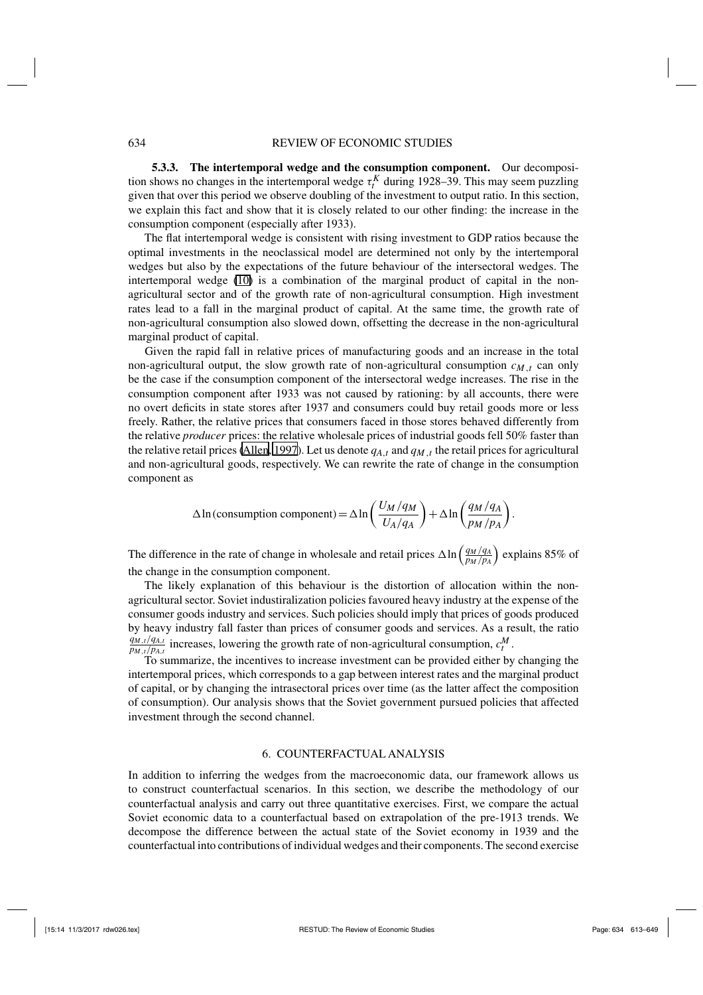**5.3.3. The intertemporal wedge and the consumption component.** Our decomposition shows no changes in the intertemporal wedge  $\tau_t^K$  during 1928–39. This may seem puzzling given that over this period we observe doubling of the investment to output ratio. In this section, we explain this fact and show that it is closely related to our other finding: the increase in the consumption component (especially after 1933).

The flat intertemporal wedge is consistent with rising investment to GDP ratios because the optimal investments in the neoclassical model are determined not only by the intertemporal wedges but also by the expectations of the future behaviour of the intersectoral wedges. The intertemporal wedge [\(10\)](#page-9-0) is a combination of the marginal product of capital in the nonagricultural sector and of the growth rate of non-agricultural consumption. High investment rates lead to a fall in the marginal product of capital. At the same time, the growth rate of non-agricultural consumption also slowed down, offsetting the decrease in the non-agricultural marginal product of capital.

Given the rapid fall in relative prices of manufacturing goods and an increase in the total non-agricultural output, the slow growth rate of non-agricultural consumption  $c_{M,t}$  can only be the case if the consumption component of the intersectoral wedge increases. The rise in the consumption component after 1933 was not caused by rationing: by all accounts, there were no overt deficits in state stores after 1937 and consumers could buy retail goods more or less freely. Rather, the relative prices that consumers faced in those stores behaved differently from the relative *producer* prices: the relative wholesale prices of industrial goods fell 50% faster than the relative retail prices [\(Allen, 1997](#page-34-0)). Let us denote  $q_{A,t}$  and  $q_{M,t}$  the retail prices for agricultural and non-agricultural goods, respectively. We can rewrite the rate of change in the consumption component as

$$
\Delta \ln \text{(consumption component)} = \Delta \ln \left( \frac{U_M / q_M}{U_A / q_A} \right) + \Delta \ln \left( \frac{q_M / q_A}{p_M / p_A} \right).
$$

The difference in the rate of change in wholesale and retail prices  $\Delta \ln \left(\frac{q_M/q_A}{p_M/p_A}\right)$  explains 85% of the change in the consumption component.

The likely explanation of this behaviour is the distortion of allocation within the nonagricultural sector. Soviet industiralization policies favoured heavy industry at the expense of the consumer goods industry and services. Such policies should imply that prices of goods produced by heavy industry fall faster than prices of consumer goods and services. As a result, the ratio  $q_{M,t}/q_{A,t}$  increases, lowering the growth rate of non-agricultural consumption,  $c_t^M$ .

To summarize, the incentives to increase investment can be provided either by changing the intertemporal prices, which corresponds to a gap between interest rates and the marginal product of capital, or by changing the intrasectoral prices over time (as the latter affect the composition of consumption). Our analysis shows that the Soviet government pursued policies that affected investment through the second channel.

# 6. COUNTERFACTUAL ANALYSIS

In addition to inferring the wedges from the macroeconomic data, our framework allows us to construct counterfactual scenarios. In this section, we describe the methodology of our counterfactual analysis and carry out three quantitative exercises. First, we compare the actual Soviet economic data to a counterfactual based on extrapolation of the pre-1913 trends. We decompose the difference between the actual state of the Soviet economy in 1939 and the counterfactual into contributions of individual wedges and their components. The second exercise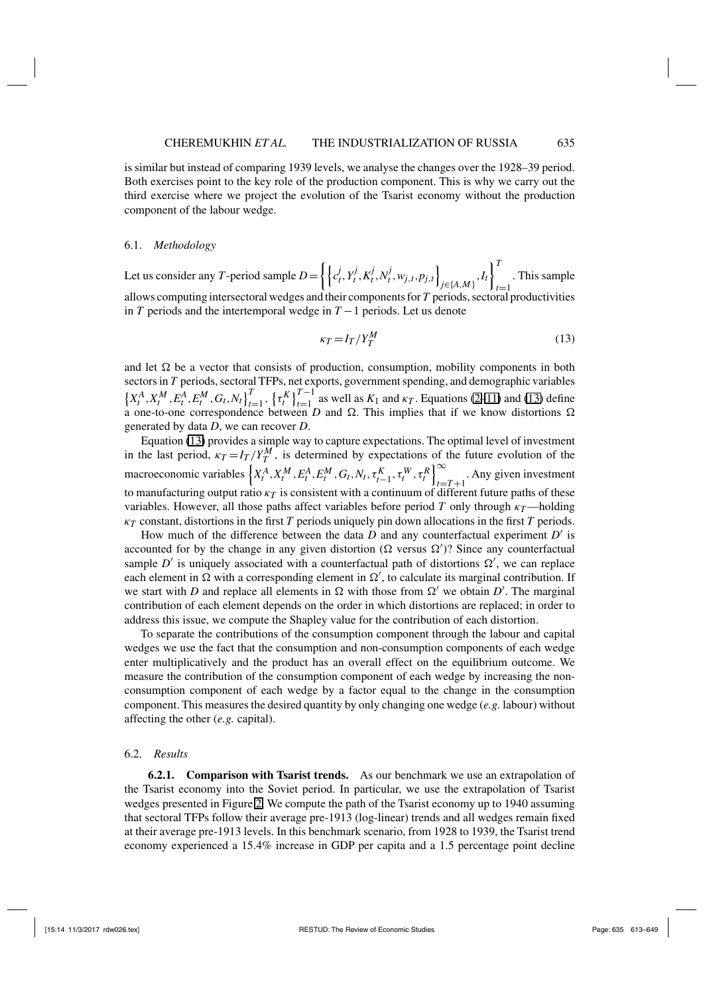is similar but instead of comparing 1939 levels, we analyse the changes over the 1928–39 period. Both exercises point to the key role of the production component. This is why we carry out the third exercise where we project the evolution of the Tsarist economy without the production component of the labour wedge.

# 6.1. *Methodology*

Let us consider any *T*-period sample  $D = \left\{ \left\{ c_t^j, Y_t^j, K_t^j, N_t^j, w_{j,t}, p_{j,t} \right\} \right\}$ *j*∈{*A*,*M* } ,*It T t*=1 . This sample allows computing intersectoral wedges and their components for *T* periods, sectoral productivities in *T* periods and the intertemporal wedge in *T* −1 periods. Let us denote

$$
\kappa_T = I_T / Y_T^M \tag{13}
$$

and let  $\Omega$  be a vector that consists of production, consumption, mobility components in both sectors in *T* periods, sectoral TFPs, net exports, government spending, and demographic variables  $\left\{X_t^A, X_t^M, E_t^A, E_t^M, G_t, N_t\right\}_{t=1}^T, \left\{\tau_t^K\right\}_{t=1}^{T-1}$  as well as  $K_1$  and  $\kappa_T$ . Equations [\(2–](#page-8-0)[11\)](#page-9-0) and (13) define a one-to-one correspondence between *D* and  $\Omega$ . This implies that if we know distortions  $\Omega$ generated by data *D*, we can recover *D*.

Equation (13) provides a simple way to capture expectations. The optimal level of investment in the last period,  $\kappa_T = I_T / Y_T^M$ , is determined by expectations of the future evolution of the macroeconomic variables  $\left\{X_t^A, X_t^M, E_t^A, E_t^M, G_t, N_t, \tau_{t-1}^K, \tau_t^W, \tau_t^R\right\}_{t=0}^\infty$  $_{t=T+1}$ . Any given investment to manufacturing output ratio  $\kappa_T$  is consistent with a continuum of different future paths of these variables. However, all those paths affect variables before period *T* only through κ*T*—holding  $\kappa_T$  constant, distortions in the first *T* periods uniquely pin down allocations in the first *T* periods.

How much of the difference between the data  $D$  and any counterfactual experiment  $D'$  is accounted for by the change in any given distortion ( $\Omega$  versus  $\Omega'$ )? Since any counterfactual sample  $D'$  is uniquely associated with a counterfactual path of distortions  $\Omega'$ , we can replace each element in  $\Omega$  with a corresponding element in  $\Omega'$ , to calculate its marginal contribution. If we start with *D* and replace all elements in  $\Omega$  with those from  $\Omega'$  we obtain *D'*. The marginal contribution of each element depends on the order in which distortions are replaced; in order to address this issue, we compute the Shapley value for the contribution of each distortion.

To separate the contributions of the consumption component through the labour and capital wedges we use the fact that the consumption and non-consumption components of each wedge enter multiplicatively and the product has an overall effect on the equilibrium outcome. We measure the contribution of the consumption component of each wedge by increasing the nonconsumption component of each wedge by a factor equal to the change in the consumption component. This measures the desired quantity by only changing one wedge (*e.g.* labour) without affecting the other (*e.g.* capital).

# 6.2. *Results*

**6.2.1. Comparison with Tsarist trends.** As our benchmark we use an extrapolation of the Tsarist economy into the Soviet period. In particular, we use the extrapolation of Tsarist wedges presented in Figure [2.](#page-15-0) We compute the path of the Tsarist economy up to 1940 assuming that sectoral TFPs follow their average pre-1913 (log-linear) trends and all wedges remain fixed at their average pre-1913 levels. In this benchmark scenario, from 1928 to 1939, the Tsarist trend economy experienced a 15.4% increase in GDP per capita and a 1.5 percentage point decline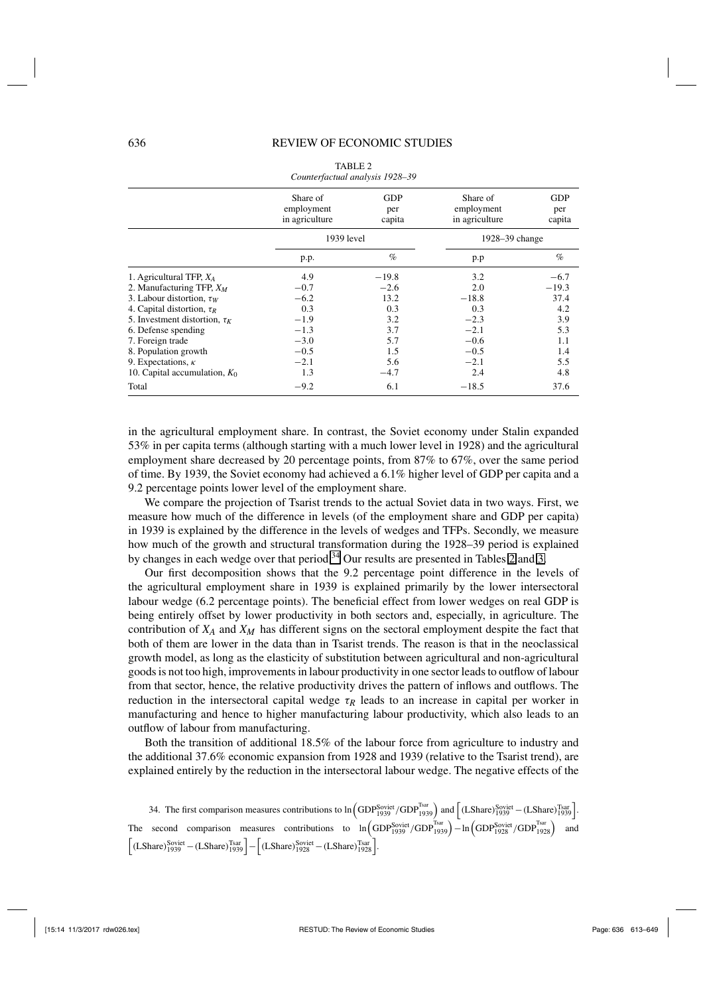<span id="page-23-0"></span>

|                                    | Share of<br>employment<br>in agriculture | <b>GDP</b><br>per<br>capita | Share of<br>employment<br>in agriculture | <b>GDP</b><br>per<br>capita |
|------------------------------------|------------------------------------------|-----------------------------|------------------------------------------|-----------------------------|
|                                    | 1939 level                               |                             | 1928–39 change                           |                             |
|                                    | p.p.                                     | $\%$                        | p.p                                      | $\%$                        |
| 1. Agricultural TFP, $X_A$         | 4.9                                      | $-19.8$                     | 3.2                                      | $-6.7$                      |
| 2. Manufacturing TFP, $X_M$        | $-0.7$                                   | $-2.6$                      | 2.0                                      | $-19.3$                     |
| 3. Labour distortion, $\tau_W$     | $-6.2$                                   | 13.2                        | $-18.8$                                  | 37.4                        |
| 4. Capital distortion, $\tau_R$    | 0.3                                      | 0.3                         | 0.3                                      | 4.2                         |
| 5. Investment distortion, $\tau_K$ | $-1.9$                                   | 3.2                         | $-2.3$                                   | 3.9                         |
| 6. Defense spending                | $-1.3$                                   | 3.7                         | $-2.1$                                   | 5.3                         |
| 7. Foreign trade                   | $-3.0$                                   | 5.7                         | $-0.6$                                   | 1.1                         |
| 8. Population growth               | $-0.5$                                   | 1.5                         | $-0.5$                                   | 1.4                         |
| 9. Expectations, $\kappa$          | $-2.1$                                   | 5.6                         | $-2.1$                                   | 5.5                         |
| 10. Capital accumulation, $K_0$    | 1.3                                      | $-4.7$                      | 2.4                                      | 4.8                         |
| Total                              | $-9.2$                                   | 6.1                         | $-18.5$                                  | 37.6                        |

TABLE 2 *Counterfactual analysis 1928–39*

in the agricultural employment share. In contrast, the Soviet economy under Stalin expanded 53% in per capita terms (although starting with a much lower level in 1928) and the agricultural employment share decreased by 20 percentage points, from 87% to 67%, over the same period of time. By 1939, the Soviet economy had achieved a 6.1% higher level of GDP per capita and a 9.2 percentage points lower level of the employment share.

We compare the projection of Tsarist trends to the actual Soviet data in two ways. First, we measure how much of the difference in levels (of the employment share and GDP per capita) in 1939 is explained by the difference in the levels of wedges and TFPs. Secondly, we measure how much of the growth and structural transformation during the 1928–39 period is explained by changes in each wedge over that period.<sup>34</sup> Our results are presented in Tables 2 and [3.](#page-24-0)

Our first decomposition shows that the 9.2 percentage point difference in the levels of the agricultural employment share in 1939 is explained primarily by the lower intersectoral labour wedge (6.2 percentage points). The beneficial effect from lower wedges on real GDP is being entirely offset by lower productivity in both sectors and, especially, in agriculture. The contribution of *XA* and *XM* has different signs on the sectoral employment despite the fact that both of them are lower in the data than in Tsarist trends. The reason is that in the neoclassical growth model, as long as the elasticity of substitution between agricultural and non-agricultural goods is not too high, improvements in labour productivity in one sector leads to outflow of labour from that sector, hence, the relative productivity drives the pattern of inflows and outflows. The reduction in the intersectoral capital wedge  $\tau_R$  leads to an increase in capital per worker in manufacturing and hence to higher manufacturing labour productivity, which also leads to an outflow of labour from manufacturing.

Both the transition of additional 18.5% of the labour force from agriculture to industry and the additional 37.6% economic expansion from 1928 and 1939 (relative to the Tsarist trend), are explained entirely by the reduction in the intersectoral labour wedge. The negative effects of the

34. The first comparison measures contributions to  $\ln \left( \text{GDP}_{1939}^{\text{Soviet}} / \text{GDP}_{1939}^{\text{Tsar}} \right)$  and  $\left[ (\text{LShare})_{1939}^{\text{Soviet}} - (\text{LShare})_{1939}^{\text{Tsar}} \right]$ The second comparison measures contributions to  $\ln(\text{GDP}_{1939}^{\text{Soviet}}/\text{GDP}_{1939}^{\text{Tsar}}) - \ln(\text{GDP}_{1928}^{\text{Soviet}}/\text{GDP}_{1928}^{\text{Tsar}})$  and  $\left[ (LShare)_{1939}^{Soviet} - (LShare)_{1939}^{Tsar} \right] - \left[ (LShare)_{1928}^{Soviet} - (LShare)_{1928}^{Tsar} \right]$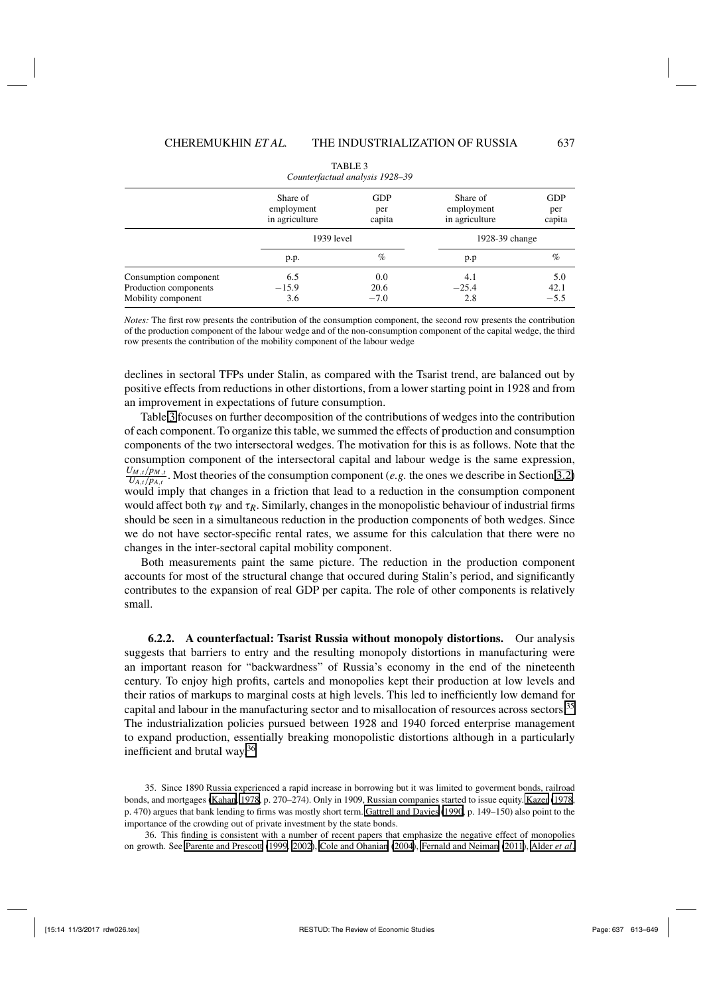<span id="page-24-0"></span>

|                       | Share of<br>employment<br>in agriculture | <b>GDP</b><br>per<br>capita | Share of<br>employment<br>in agriculture | <b>GDP</b><br>per<br>capita |
|-----------------------|------------------------------------------|-----------------------------|------------------------------------------|-----------------------------|
|                       | 1939 level                               |                             | 1928-39 change                           |                             |
|                       | p.p.                                     | $\%$                        | p.p                                      | $\%$                        |
| Consumption component | 6.5                                      | 0.0                         | 4.1                                      | 5.0                         |
| Production components | $-15.9$                                  | 20.6                        | $-25.4$                                  | 42.1                        |
| Mobility component    | 3.6                                      | $-7.0$                      | 2.8                                      | $-5.5$                      |

TABLE 3 *Counterfactual analysis 1928–39*

*Notes:* The first row presents the contribution of the consumption component, the second row presents the contribution of the production component of the labour wedge and of the non-consumption component of the capital wedge, the third row presents the contribution of the mobility component of the labour wedge

declines in sectoral TFPs under Stalin, as compared with the Tsarist trend, are balanced out by positive effects from reductions in other distortions, from a lower starting point in 1928 and from an improvement in expectations of future consumption.

Table 3 focuses on further decomposition of the contributions of wedges into the contribution of each component. To organize this table, we summed the effects of production and consumption components of the two intersectoral wedges. The motivation for this is as follows. Note that the consumption component of the intersectoral capital and labour wedge is the same expression,  $\frac{U_{M,t}/p_{M,t}}{U_{A,t}/p_{A,t}}$ . Most theories of the consumption component (*e.g.* the ones we describe in Section [3.2\)](#page-10-0) would imply that changes in a friction that lead to a reduction in the consumption component would affect both  $\tau_W$  and  $\tau_R$ . Similarly, changes in the monopolistic behaviour of industrial firms should be seen in a simultaneous reduction in the production components of both wedges. Since we do not have sector-specific rental rates, we assume for this calculation that there were no changes in the inter-sectoral capital mobility component.

Both measurements paint the same picture. The reduction in the production component accounts for most of the structural change that occured during Stalin's period, and significantly contributes to the expansion of real GDP per capita. The role of other components is relatively small.

**6.2.2. A counterfactual: Tsarist Russia without monopoly distortions.** Our analysis suggests that barriers to entry and the resulting monopoly distortions in manufacturing were an important reason for "backwardness" of Russia's economy in the end of the nineteenth century. To enjoy high profits, cartels and monopolies kept their production at low levels and their ratios of markups to marginal costs at high levels. This led to inefficiently low demand for capital and labour in the manufacturing sector and to misallocation of resources across sectors.<sup>35</sup> The industrialization policies pursued between 1928 and 1940 forced enterprise management to expand production, essentially breaking monopolistic distortions although in a particularly inefficient and brutal way.<sup>36</sup>

35. Since 1890 Russia experienced a rapid increase in borrowing but it was limited to goverment bonds, railroad bonds, and mortgages [\(Kahan](#page-36-0), [1978,](#page-36-0) p. 270–274). Only in 1909, Russian companies started to issue equity. [Kazer](#page-36-0) [\(1978,](#page-36-0) p. 470) argues that bank lending to firms was mostly short term. [Gattrell and Davies](#page-35-0) [\(1990](#page-35-0), p. 149–150) also point to the importance of the crowding out of private investment by the state bonds.

36. This finding is consistent with a number of recent papers that emphasize the negative effect of monopolies on growth. See [Parente and Prescott](#page-36-0) [\(1999, 2002](#page-36-0)), [Cole and Ohanian](#page-35-0) [\(2004\)](#page-35-0), [Fernald and Neiman](#page-35-0) [\(2011](#page-35-0)), [Alder](#page-34-0) *et al*.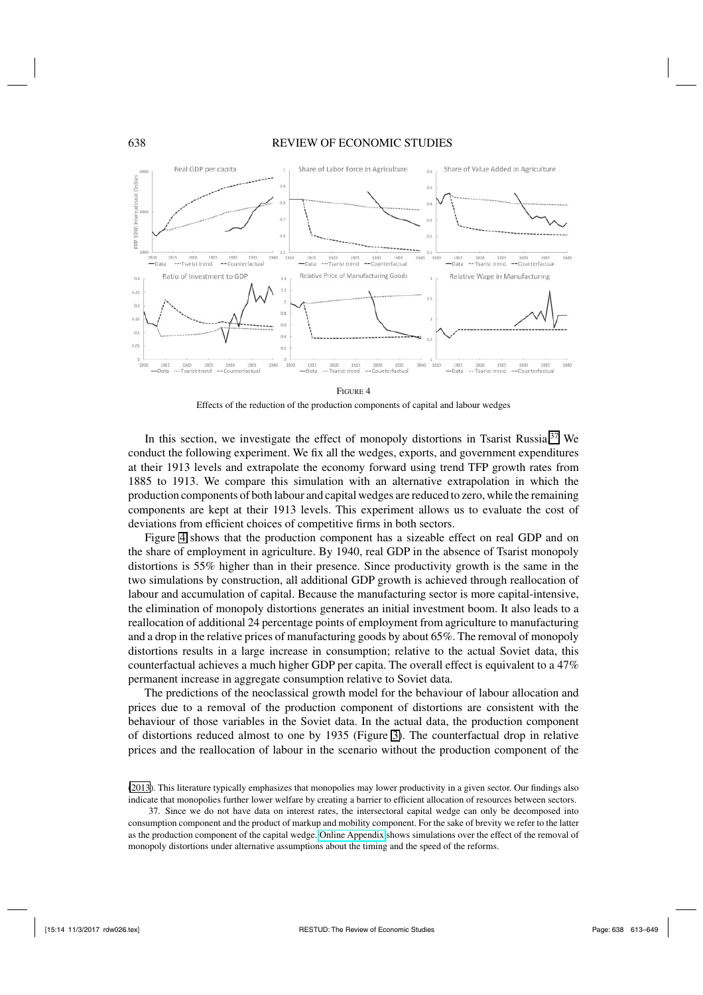<span id="page-25-0"></span>

FIGURE 4

Effects of the reduction of the production components of capital and labour wedges

In this section, we investigate the effect of monopoly distortions in Tsarist Russia.<sup>37</sup> We conduct the following experiment. We fix all the wedges, exports, and government expenditures at their 1913 levels and extrapolate the economy forward using trend TFP growth rates from 1885 to 1913. We compare this simulation with an alternative extrapolation in which the production components of both labour and capital wedges are reduced to zero, while the remaining components are kept at their 1913 levels. This experiment allows us to evaluate the cost of deviations from efficient choices of competitive firms in both sectors.

Figure 4 shows that the production component has a sizeable effect on real GDP and on the share of employment in agriculture. By 1940, real GDP in the absence of Tsarist monopoly distortions is 55% higher than in their presence. Since productivity growth is the same in the two simulations by construction, all additional GDP growth is achieved through reallocation of labour and accumulation of capital. Because the manufacturing sector is more capital-intensive, the elimination of monopoly distortions generates an initial investment boom. It also leads to a reallocation of additional 24 percentage points of employment from agriculture to manufacturing and a drop in the relative prices of manufacturing goods by about 65%. The removal of monopoly distortions results in a large increase in consumption; relative to the actual Soviet data, this counterfactual achieves a much higher GDP per capita. The overall effect is equivalent to a 47% permanent increase in aggregate consumption relative to Soviet data.

The predictions of the neoclassical growth model for the behaviour of labour allocation and prices due to a removal of the production component of distortions are consistent with the behaviour of those variables in the Soviet data. In the actual data, the production component of distortions reduced almost to one by 1935 (Figure [3\)](#page-15-0). The counterfactual drop in relative prices and the reallocation of labour in the scenario without the production component of the

[<sup>\(2013</sup>](#page-34-0)). This literature typically emphasizes that monopolies may lower productivity in a given sector. Our findings also indicate that monopolies further lower welfare by creating a barrier to efficient allocation of resources between sectors.

<sup>37.</sup> Since we do not have data on interest rates, the intersectoral capital wedge can only be decomposed into consumption component and the product of markup and mobility component. For the sake of brevity we refer to the latter as the production component of the capital wedge. [Online Appendix](http://restud.oxfordjournals.org/lookup/suppl/doi:10.1093/restud/rdw026/-/DC1) shows simulations over the effect of the removal of monopoly distortions under alternative assumptions about the timing and the speed of the reforms.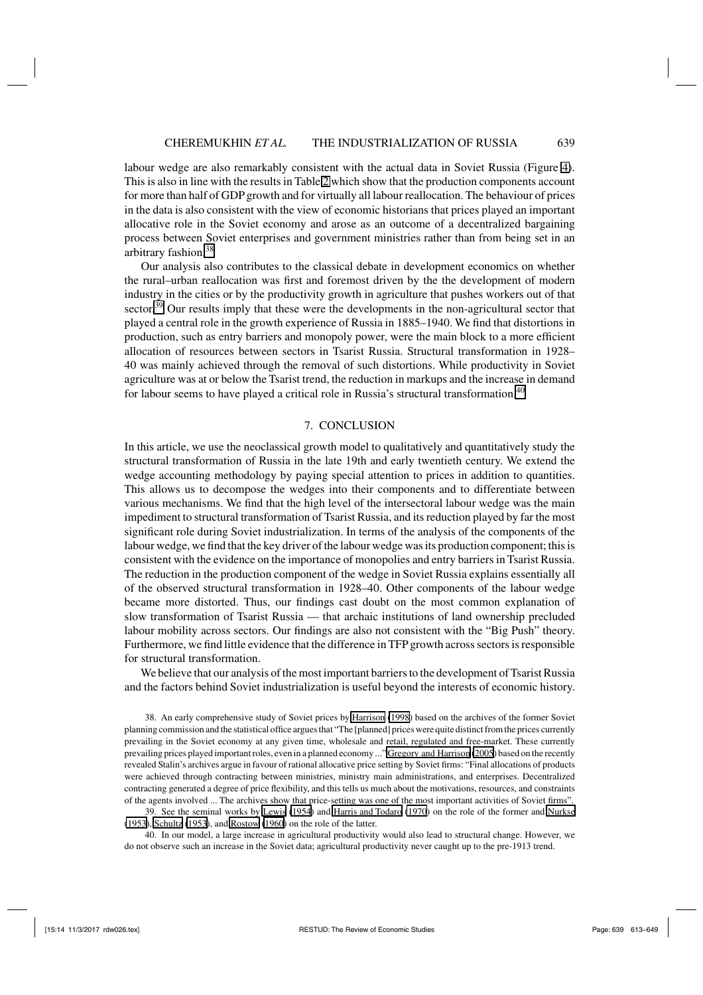labour wedge are also remarkably consistent with the actual data in Soviet Russia (Figure [4\)](#page-25-0). This is also in line with the results in Table [2](#page-23-0) which show that the production components account for more than half of GDP growth and for virtually all labour reallocation. The behaviour of prices in the data is also consistent with the view of economic historians that prices played an important allocative role in the Soviet economy and arose as an outcome of a decentralized bargaining process between Soviet enterprises and government ministries rather than from being set in an arbitrary fashion.<sup>38</sup>

Our analysis also contributes to the classical debate in development economics on whether the rural–urban reallocation was first and foremost driven by the the development of modern industry in the cities or by the productivity growth in agriculture that pushes workers out of that sector.<sup>39</sup> Our results imply that these were the developments in the non-agricultural sector that played a central role in the growth experience of Russia in 1885–1940. We find that distortions in production, such as entry barriers and monopoly power, were the main block to a more efficient allocation of resources between sectors in Tsarist Russia. Structural transformation in 1928– 40 was mainly achieved through the removal of such distortions. While productivity in Soviet agriculture was at or below the Tsarist trend, the reduction in markups and the increase in demand for labour seems to have played a critical role in Russia's structural transformation.<sup>40</sup>

# 7. CONCLUSION

In this article, we use the neoclassical growth model to qualitatively and quantitatively study the structural transformation of Russia in the late 19th and early twentieth century. We extend the wedge accounting methodology by paying special attention to prices in addition to quantities. This allows us to decompose the wedges into their components and to differentiate between various mechanisms. We find that the high level of the intersectoral labour wedge was the main impediment to structural transformation of Tsarist Russia, and its reduction played by far the most significant role during Soviet industrialization. In terms of the analysis of the components of the labour wedge, we find that the key driver of the labour wedge was its production component; this is consistent with the evidence on the importance of monopolies and entry barriers in Tsarist Russia. The reduction in the production component of the wedge in Soviet Russia explains essentially all of the observed structural transformation in 1928–40. Other components of the labour wedge became more distorted. Thus, our findings cast doubt on the most common explanation of slow transformation of Tsarist Russia — that archaic institutions of land ownership precluded labour mobility across sectors. Our findings are also not consistent with the "Big Push" theory. Furthermore, we find little evidence that the difference in TFP growth across sectors is responsible for structural transformation.

We believe that our analysis of the most important barriers to the development of Tsarist Russia and the factors behind Soviet industrialization is useful beyond the interests of economic history.

38. An early comprehensive study of Soviet prices by [Harrison](#page-35-0) [\(1998\)](#page-35-0) based on the archives of the former Soviet planning commission and the statistical office argues that "The [planned] prices were quite distinct from the prices currently prevailing in the Soviet economy at any given time, wholesale and retail, regulated and free-market. These currently prevailing prices played important roles, even in a planned economy ...[" Gregory and Harrison](#page-35-0) [\(2005](#page-35-0)) based on the recently revealed Stalin's archives argue in favour of rational allocative price setting by Soviet firms: "Final allocations of products were achieved through contracting between ministries, ministry main administrations, and enterprises. Decentralized contracting generated a degree of price flexibility, and this tells us much about the motivations, resources, and constraints of the agents involved ... The archives show that price-setting was one of the most important activities of Soviet firms".

39. See the seminal works by [Lewis](#page-36-0) [\(1954](#page-36-0)) and [Harris and Todaro](#page-35-0) [\(1970\)](#page-35-0) on the role of the former and [Nurkse](#page-36-0) [\(1953](#page-36-0)), [Schultz](#page-36-0) [\(1953](#page-36-0)), and [Rostow](#page-36-0) [\(1960](#page-36-0)) on the role of the latter.

40. In our model, a large increase in agricultural productivity would also lead to structural change. However, we do not observe such an increase in the Soviet data; agricultural productivity never caught up to the pre-1913 trend.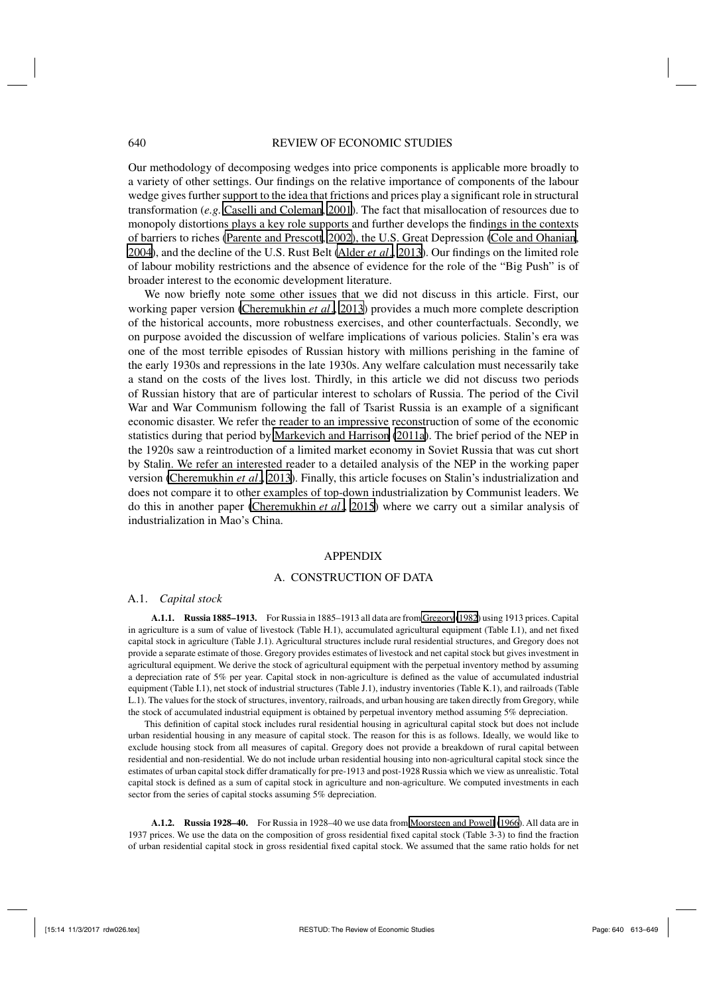<span id="page-27-0"></span>Our methodology of decomposing wedges into price components is applicable more broadly to a variety of other settings. Our findings on the relative importance of components of the labour wedge gives further support to the idea that frictions and prices play a significant role in structural transformation (*e.g.* [Caselli and Coleman](#page-34-0), [2001\)](#page-34-0). The fact that misallocation of resources due to monopoly distortions plays a key role supports and further develops the findings in the contexts of barriers to riches [\(Parente and Prescott](#page-36-0), [2002\)](#page-36-0), the U.S. Great Depression [\(Cole and Ohanian,](#page-35-0) [2004\)](#page-35-0), and the decline of the U.S. Rust Belt [\(Alder](#page-34-0) *et al*., [2013](#page-34-0)). Our findings on the limited role of labour mobility restrictions and the absence of evidence for the role of the "Big Push" is of broader interest to the economic development literature.

We now briefly note some other issues that we did not discuss in this article. First, our working paper version [\(Cheremukhin](#page-35-0) *et al*., [2013](#page-35-0)) provides a much more complete description of the historical accounts, more robustness exercises, and other counterfactuals. Secondly, we on purpose avoided the discussion of welfare implications of various policies. Stalin's era was one of the most terrible episodes of Russian history with millions perishing in the famine of the early 1930s and repressions in the late 1930s. Any welfare calculation must necessarily take a stand on the costs of the lives lost. Thirdly, in this article we did not discuss two periods of Russian history that are of particular interest to scholars of Russia. The period of the Civil War and War Communism following the fall of Tsarist Russia is an example of a significant economic disaster. We refer the reader to an impressive reconstruction of some of the economic statistics during that period by [Markevich and Harrison](#page-36-0) [\(2011a\)](#page-36-0). The brief period of the NEP in the 1920s saw a reintroduction of a limited market economy in Soviet Russia that was cut short by Stalin. We refer an interested reader to a detailed analysis of the NEP in the working paper version [\(Cheremukhin](#page-35-0) *et al*., [2013\)](#page-35-0). Finally, this article focuses on Stalin's industrialization and does not compare it to other examples of top-down industrialization by Communist leaders. We do this in another paper [\(Cheremukhin](#page-35-0) *et al*., [2015](#page-35-0)) where we carry out a similar analysis of industrialization in Mao's China.

# APPENDIX

# A. CONSTRUCTION OF DATA

# A.1. *Capital stock*

**A.1.1. Russia 1885–1913.** For Russia in 1885–1913 all data are from [Gregory](#page-35-0) [\(1982\)](#page-35-0) using 1913 prices. Capital in agriculture is a sum of value of livestock (Table H.1), accumulated agricultural equipment (Table I.1), and net fixed capital stock in agriculture (Table J.1). Agricultural structures include rural residential structures, and Gregory does not provide a separate estimate of those. Gregory provides estimates of livestock and net capital stock but gives investment in agricultural equipment. We derive the stock of agricultural equipment with the perpetual inventory method by assuming a depreciation rate of 5% per year. Capital stock in non-agriculture is defined as the value of accumulated industrial equipment (Table I.1), net stock of industrial structures (Table J.1), industry inventories (Table K.1), and railroads (Table L.1). The values for the stock of structures, inventory, railroads, and urban housing are taken directly from Gregory, while the stock of accumulated industrial equipment is obtained by perpetual inventory method assuming 5% depreciation.

This definition of capital stock includes rural residential housing in agricultural capital stock but does not include urban residential housing in any measure of capital stock. The reason for this is as follows. Ideally, we would like to exclude housing stock from all measures of capital. Gregory does not provide a breakdown of rural capital between residential and non-residential. We do not include urban residential housing into non-agricultural capital stock since the estimates of urban capital stock differ dramatically for pre-1913 and post-1928 Russia which we view as unrealistic. Total capital stock is defined as a sum of capital stock in agriculture and non-agriculture. We computed investments in each sector from the series of capital stocks assuming 5% depreciation.

**A.1.2. Russia 1928–40.** For Russia in 1928–40 we use data from [Moorsteen and Powell](#page-36-0) [\(1966\)](#page-36-0). All data are in 1937 prices. We use the data on the composition of gross residential fixed capital stock (Table 3-3) to find the fraction of urban residential capital stock in gross residential fixed capital stock. We assumed that the same ratio holds for net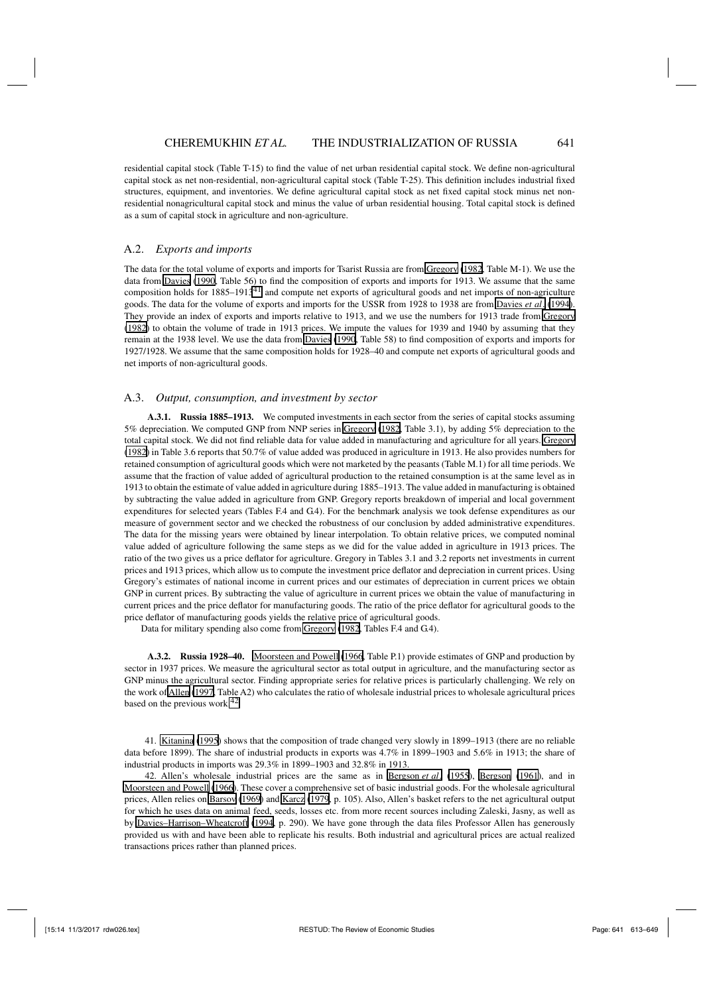residential capital stock (Table T-15) to find the value of net urban residential capital stock. We define non-agricultural capital stock as net non-residential, non-agricultural capital stock (Table T-25). This definition includes industrial fixed structures, equipment, and inventories. We define agricultural capital stock as net fixed capital stock minus net nonresidential nonagricultural capital stock and minus the value of urban residential housing. Total capital stock is defined as a sum of capital stock in agriculture and non-agriculture.

#### A.2. *Exports and imports*

The data for the total volume of exports and imports for Tsarist Russia are from [Gregory](#page-35-0) [\(1982](#page-35-0), Table M-1). We use the data from [Davies](#page-35-0) [\(1990](#page-35-0), Table 56) to find the composition of exports and imports for 1913. We assume that the same composition holds for 1885–1913<sup>41</sup> and compute net exports of agricultural goods and net imports of non-agriculture goods. The data for the volume of exports and imports for the USSR from 1928 to 1938 are from [Davies](#page-35-0) *et al*. [\(1994](#page-35-0)). They provide an index of exports and imports relative to 1913, and we use the numbers for 1913 trade from [Gregory](#page-35-0) [\(1982](#page-35-0)) to obtain the volume of trade in 1913 prices. We impute the values for 1939 and 1940 by assuming that they remain at the 1938 level. We use the data from [Davies](#page-35-0) [\(1990](#page-35-0), Table 58) to find composition of exports and imports for 1927/1928. We assume that the same composition holds for 1928–40 and compute net exports of agricultural goods and net imports of non-agricultural goods.

# A.3. *Output, consumption, and investment by sector*

**A.3.1. Russia 1885–1913.** We computed investments in each sector from the series of capital stocks assuming 5% depreciation. We computed GNP from NNP series in [Gregory](#page-35-0) [\(1982,](#page-35-0) Table 3.1), by adding 5% depreciation to the total capital stock. We did not find reliable data for value added in manufacturing and agriculture for all years. [Gregory](#page-35-0) [\(1982](#page-35-0)) in Table 3.6 reports that 50.7% of value added was produced in agriculture in 1913. He also provides numbers for retained consumption of agricultural goods which were not marketed by the peasants (Table M.1) for all time periods. We assume that the fraction of value added of agricultural production to the retained consumption is at the same level as in 1913 to obtain the estimate of value added in agriculture during 1885–1913. The value added in manufacturing is obtained by subtracting the value added in agriculture from GNP. Gregory reports breakdown of imperial and local government expenditures for selected years (Tables F.4 and G.4). For the benchmark analysis we took defense expenditures as our measure of government sector and we checked the robustness of our conclusion by added administrative expenditures. The data for the missing years were obtained by linear interpolation. To obtain relative prices, we computed nominal value added of agriculture following the same steps as we did for the value added in agriculture in 1913 prices. The ratio of the two gives us a price deflator for agriculture. Gregory in Tables 3.1 and 3.2 reports net investments in current prices and 1913 prices, which allow us to compute the investment price deflator and depreciation in current prices. Using Gregory's estimates of national income in current prices and our estimates of depreciation in current prices we obtain GNP in current prices. By subtracting the value of agriculture in current prices we obtain the value of manufacturing in current prices and the price deflator for manufacturing goods. The ratio of the price deflator for agricultural goods to the price deflator of manufacturing goods yields the relative price of agricultural goods.

Data for military spending also come from [Gregory](#page-35-0) [\(1982,](#page-35-0) Tables F.4 and G.4).

**A.3.2. Russia 1928–40.** [Moorsteen and Powell](#page-36-0) [\(1966](#page-36-0), Table P.1) provide estimates of GNP and production by sector in 1937 prices. We measure the agricultural sector as total output in agriculture, and the manufacturing sector as GNP minus the agricultural sector. Finding appropriate series for relative prices is particularly challenging. We rely on the work of [Allen](#page-34-0) [\(1997,](#page-34-0) Table A2) who calculates the ratio of wholesale industrial prices to wholesale agricultural prices based on the previous work.<sup>42</sup>

41. [Kitanina](#page-36-0) [\(1995\)](#page-36-0) shows that the composition of trade changed very slowly in 1899–1913 (there are no reliable data before 1899). The share of industrial products in exports was 4.7% in 1899–1903 and 5.6% in 1913; the share of industrial products in imports was 29.3% in 1899–1903 and 32.8% in 1913.

42. Allen's wholesale industrial prices are the same as in [Bergson](#page-34-0) *et al*. [\(1955](#page-34-0)), [Bergson](#page-34-0) [\(1961\)](#page-34-0), and in [Moorsteen and Powell](#page-36-0) [\(1966\)](#page-36-0). These cover a comprehensive set of basic industrial goods. For the wholesale agricultural prices, Allen relies on [Barsov](#page-34-0) [\(1969\)](#page-34-0) and [Karcz](#page-36-0) [\(1979,](#page-36-0) p. 105). Also, Allen's basket refers to the net agricultural output for which he uses data on animal feed, seeds, losses etc. from more recent sources including Zaleski, Jasny, as well as by [Davies–Harrison–Wheatcroft](#page-35-0) [\(1994,](#page-35-0) p. 290). We have gone through the data files Professor Allen has generously provided us with and have been able to replicate his results. Both industrial and agricultural prices are actual realized transactions prices rather than planned prices.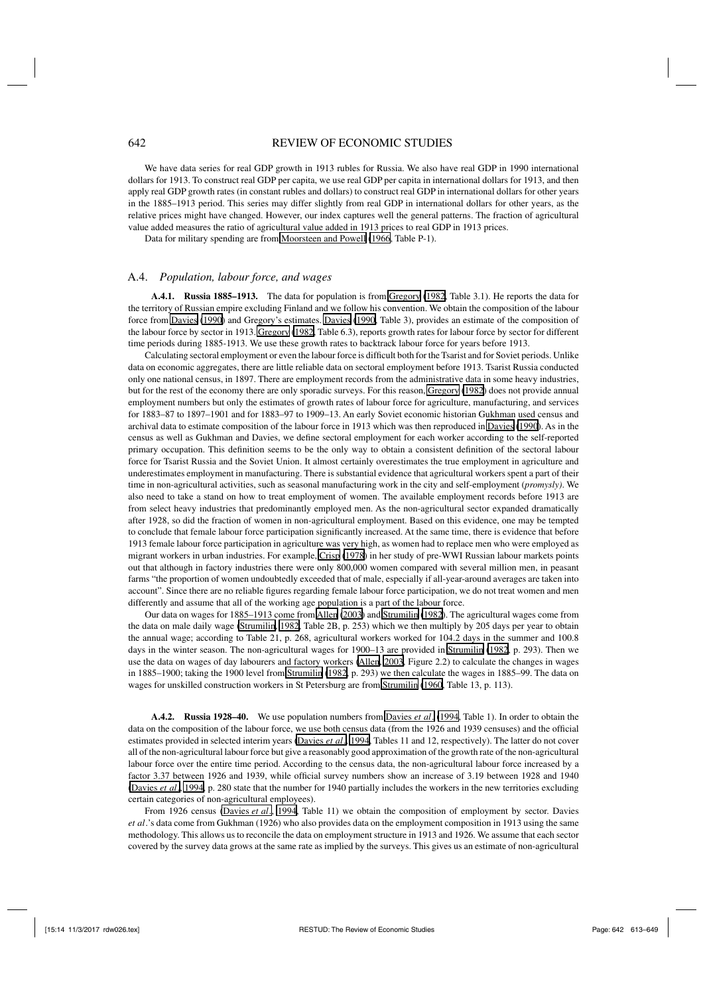We have data series for real GDP growth in 1913 rubles for Russia. We also have real GDP in 1990 international dollars for 1913. To construct real GDP per capita, we use real GDP per capita in international dollars for 1913, and then apply real GDP growth rates (in constant rubles and dollars) to construct real GDP in international dollars for other years in the 1885–1913 period. This series may differ slightly from real GDP in international dollars for other years, as the relative prices might have changed. However, our index captures well the general patterns. The fraction of agricultural value added measures the ratio of agricultural value added in 1913 prices to real GDP in 1913 prices.

Data for military spending are from [Moorsteen and Powell](#page-36-0) [\(1966,](#page-36-0) Table P-1).

#### A.4. *Population, labour force, and wages*

**A.4.1. Russia 1885–1913.** The data for population is from [Gregory](#page-35-0) [\(1982,](#page-35-0) Table 3.1). He reports the data for the territory of Russian empire excluding Finland and we follow his convention. We obtain the composition of the labour force from [Davies](#page-35-0) [\(1990](#page-35-0)) and Gregory's estimates. [Davies](#page-35-0) [\(1990,](#page-35-0) Table 3), provides an estimate of the composition of the labour force by sector in 1913. [Gregory](#page-35-0) [\(1982,](#page-35-0) Table 6.3), reports growth rates for labour force by sector for different time periods during 1885-1913. We use these growth rates to backtrack labour force for years before 1913.

Calculating sectoral employment or even the labour force is difficult both for the Tsarist and for Soviet periods. Unlike data on economic aggregates, there are little reliable data on sectoral employment before 1913. Tsarist Russia conducted only one national census, in 1897. There are employment records from the administrative data in some heavy industries, but for the rest of the economy there are only sporadic surveys. For this reason, [Gregory](#page-35-0) [\(1982](#page-35-0)) does not provide annual employment numbers but only the estimates of growth rates of labour force for agriculture, manufacturing, and services for 1883–87 to 1897–1901 and for 1883–97 to 1909–13. An early Soviet economic historian Gukhman used census and archival data to estimate composition of the labour force in 1913 which was then reproduced in [Davies](#page-35-0) [\(1990\)](#page-35-0). As in the census as well as Gukhman and Davies, we define sectoral employment for each worker according to the self-reported primary occupation. This definition seems to be the only way to obtain a consistent definition of the sectoral labour force for Tsarist Russia and the Soviet Union. It almost certainly overestimates the true employment in agriculture and underestimates employment in manufacturing. There is substantial evidence that agricultural workers spent a part of their time in non-agricultural activities, such as seasonal manufacturing work in the city and self-employment (*promysly)*. We also need to take a stand on how to treat employment of women. The available employment records before 1913 are from select heavy industries that predominantly employed men. As the non-agricultural sector expanded dramatically after 1928, so did the fraction of women in non-agricultural employment. Based on this evidence, one may be tempted to conclude that female labour force participation significantly increased. At the same time, there is evidence that before 1913 female labour force participation in agriculture was very high, as women had to replace men who were employed as migrant workers in urban industries. For example, [Crisp](#page-35-0) [\(1978](#page-35-0)) in her study of pre-WWI Russian labour markets points out that although in factory industries there were only 800,000 women compared with several million men, in peasant farms "the proportion of women undoubtedly exceeded that of male, especially if all-year-around averages are taken into account". Since there are no reliable figures regarding female labour force participation, we do not treat women and men differently and assume that all of the working age population is a part of the labour force.

Our data on wages for 1885–1913 come from [Allen](#page-34-0) [\(2003\)](#page-34-0) and [Strumilin](#page-36-0) [\(1982\)](#page-36-0). The agricultural wages come from the data on male daily wage [\(Strumilin](#page-36-0), [1982](#page-36-0), Table 2B, p. 253) which we then multiply by 205 days per year to obtain the annual wage; according to Table 21, p. 268, agricultural workers worked for 104.2 days in the summer and 100.8 days in the winter season. The non-agricultural wages for 1900–13 are provided in [Strumilin](#page-36-0) [\(1982](#page-36-0), p. 293). Then we use the data on wages of day labourers and factory workers [\(Allen](#page-34-0), [2003,](#page-34-0) Figure 2.2) to calculate the changes in wages in 1885–1900; taking the 1900 level from [Strumilin](#page-36-0) [\(1982,](#page-36-0) p. 293) we then calculate the wages in 1885–99. The data on wages for unskilled construction workers in St Petersburg are from [Strumilin](#page-36-0) [\(1960,](#page-36-0) Table 13, p. 113).

**A.4.2. Russia 1928–40.** We use population numbers from [Davies](#page-35-0) *et al*. [\(1994](#page-35-0), Table 1). In order to obtain the data on the composition of the labour force, we use both census data (from the 1926 and 1939 censuses) and the official estimates provided in selected interim years [\(Davies](#page-35-0) *et al*., [1994,](#page-35-0) Tables 11 and 12, respectively). The latter do not cover all of the non-agricultural labour force but give a reasonably good approximation of the growth rate of the non-agricultural labour force over the entire time period. According to the census data, the non-agricultural labour force increased by a factor 3.37 between 1926 and 1939, while official survey numbers show an increase of 3.19 between 1928 and 1940 [\(Davies](#page-35-0) *et al*., [1994](#page-35-0), p. 280 state that the number for 1940 partially includes the workers in the new territories excluding certain categories of non-agricultural employees).

From 1926 census [\(Davies](#page-35-0) *et al*., [1994](#page-35-0), Table 11) we obtain the composition of employment by sector. Davies *et al*.'s data come from Gukhman (1926) who also provides data on the employment composition in 1913 using the same methodology. This allows us to reconcile the data on employment structure in 1913 and 1926. We assume that each sector covered by the survey data grows at the same rate as implied by the surveys. This gives us an estimate of non-agricultural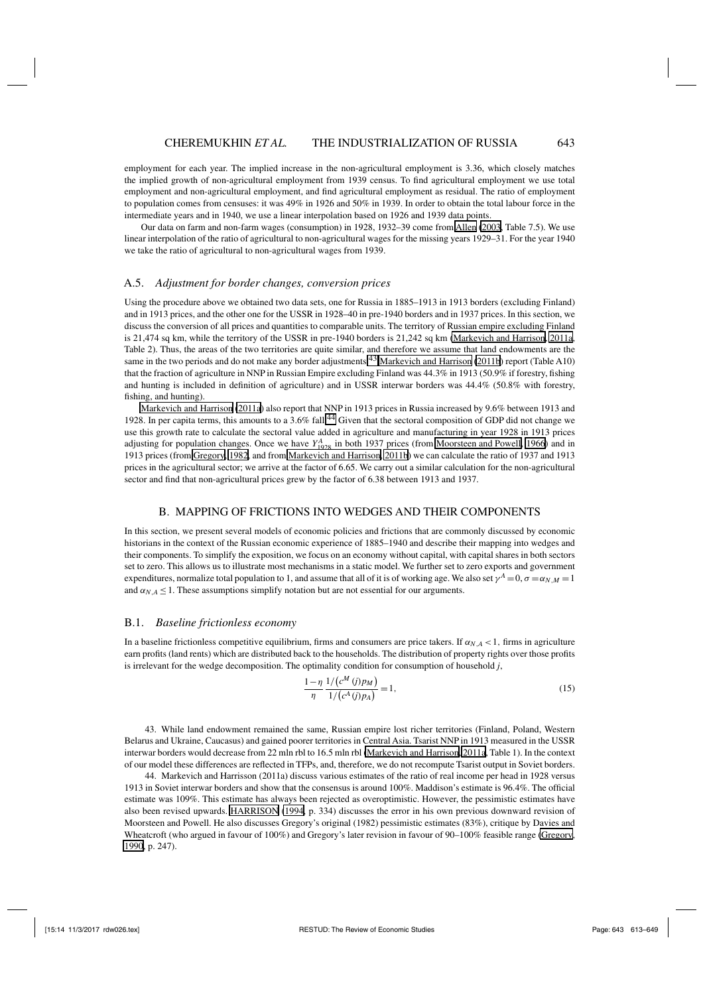<span id="page-30-0"></span>employment for each year. The implied increase in the non-agricultural employment is 3.36, which closely matches the implied growth of non-agricultural employment from 1939 census. To find agricultural employment we use total employment and non-agricultural employment, and find agricultural employment as residual. The ratio of employment to population comes from censuses: it was 49% in 1926 and 50% in 1939. In order to obtain the total labour force in the intermediate years and in 1940, we use a linear interpolation based on 1926 and 1939 data points.

Our data on farm and non-farm wages (consumption) in 1928, 1932–39 come from [Allen](#page-34-0) [\(2003](#page-34-0), Table 7.5). We use linear interpolation of the ratio of agricultural to non-agricultural wages for the missing years 1929–31. For the year 1940 we take the ratio of agricultural to non-agricultural wages from 1939.

#### A.5. *Adjustment for border changes, conversion prices*

Using the procedure above we obtained two data sets, one for Russia in 1885–1913 in 1913 borders (excluding Finland) and in 1913 prices, and the other one for the USSR in 1928–40 in pre-1940 borders and in 1937 prices. In this section, we discuss the conversion of all prices and quantities to comparable units. The territory of Russian empire excluding Finland is 21,474 sq km, while the territory of the USSR in pre-1940 borders is 21,242 sq km [\(Markevich and Harrison, 2011a,](#page-36-0) Table 2). Thus, the areas of the two territories are quite similar, and therefore we assume that land endowments are the same in the two periods and do not make any border adjustments.<sup>43</sup> [Markevich and Harrison](#page-36-0) [\(2011b\)](#page-36-0) report (Table A10) that the fraction of agriculture in NNP in Russian Empire excluding Finland was 44.3% in 1913 (50.9% if forestry, fishing and hunting is included in definition of agriculture) and in USSR interwar borders was 44.4% (50.8% with forestry, fishing, and hunting).

[Markevich and Harrison](#page-36-0) [\(2011a](#page-36-0)) also report that NNP in 1913 prices in Russia increased by 9.6% between 1913 and 1928. In per capita terms, this amounts to a  $3.6\%$  fall.<sup>44</sup> Given that the sectoral composition of GDP did not change we use this growth rate to calculate the sectoral value added in agriculture and manufacturing in year 1928 in 1913 prices adjusting for population changes. Once we have  $Y_{1928}^A$  in both 1937 prices (from [Moorsteen and Powell](#page-36-0), [1966\)](#page-36-0) and in 1913 prices (from [Gregory](#page-35-0), [1982](#page-35-0), and from [Markevich and Harrison](#page-36-0), [2011b\)](#page-36-0) we can calculate the ratio of 1937 and 1913 prices in the agricultural sector; we arrive at the factor of 6.65. We carry out a similar calculation for the non-agricultural sector and find that non-agricultural prices grew by the factor of 6.38 between 1913 and 1937.

# B. MAPPING OF FRICTIONS INTO WEDGES AND THEIR COMPONENTS

In this section, we present several models of economic policies and frictions that are commonly discussed by economic historians in the context of the Russian economic experience of 1885–1940 and describe their mapping into wedges and their components. To simplify the exposition, we focus on an economy without capital, with capital shares in both sectors set to zero. This allows us to illustrate most mechanisms in a static model. We further set to zero exports and government expenditures, normalize total population to 1, and assume that all of it is of working age. We also set  $\gamma^A = 0$ ,  $\sigma = \alpha_{N,M} = 1$ and  $\alpha_{N,A} \leq 1$ . These assumptions simplify notation but are not essential for our arguments.

#### B.1. *Baseline frictionless economy*

In a baseline frictionless competitive equilibrium, firms and consumers are price takers. If  $\alpha_{N,A}$  < 1, firms in agriculture earn profits (land rents) which are distributed back to the households. The distribution of property rights over those profits is irrelevant for the wedge decomposition. The optimality condition for consumption of household *j*,

$$
\frac{1-\eta}{\eta} \frac{1/(c^M(j)p_M)}{1/(c^A(j)p_A)} = 1,
$$
\n(15)

43. While land endowment remained the same, Russian empire lost richer territories (Finland, Poland, Western Belarus and Ukraine, Caucasus) and gained poorer territories in Central Asia. Tsarist NNP in 1913 measured in the USSR interwar borders would decrease from 22 mln rbl to 16.5 mln rbl [\(Markevich and Harrison, 2011a](#page-36-0), Table 1). In the context of our model these differences are reflected in TFPs, and, therefore, we do not recompute Tsarist output in Soviet borders.

44. Markevich and Harrisson (2011a) discuss various estimates of the ratio of real income per head in 1928 versus 1913 in Soviet interwar borders and show that the consensus is around 100%. Maddison's estimate is 96.4%. The official estimate was 109%. This estimate has always been rejected as overoptimistic. However, the pessimistic estimates have also been revised upwards. [HARRISON](#page-35-0) [\(1994](#page-35-0), p. 334) discusses the error in his own previous downward revision of Moorsteen and Powell. He also discusses Gregory's original (1982) pessimistic estimates (83%), critique by Davies and Wheatcroft (who argued in favour of 100%) and Gregory's later revision in favour of 90–100% feasible range [\(Gregory,](#page-35-0) [1990,](#page-35-0) p. 247).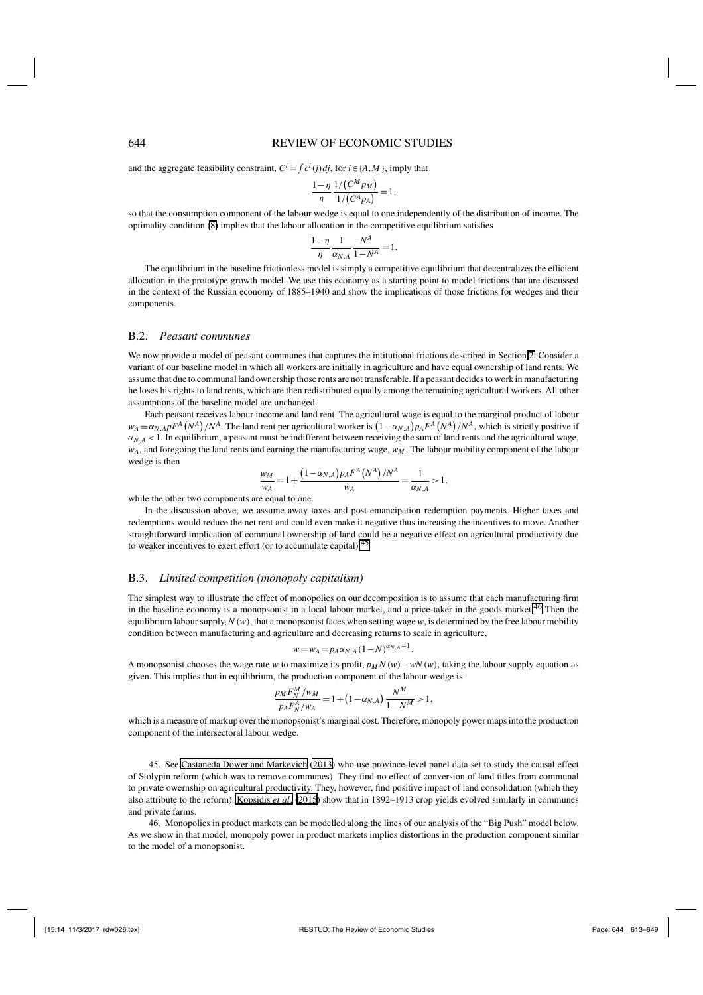and the aggregate feasibility constraint,  $C^i = \int c^i(j)dj$ , for  $i \in \{A, M\}$ , imply that

$$
\frac{1-\eta}{\eta} \frac{1/(C^M p_M)}{1/(C^A p_A)} = 1,
$$

so that the consumption component of the labour wedge is equal to one independently of the distribution of income. The optimality condition [\(8\)](#page-9-0) implies that the labour allocation in the competitive equilibrium satisfies

$$
\frac{1-\eta}{\eta} \frac{1}{\alpha_{N,A}} \frac{N^A}{1-N^A} = 1.
$$

The equilibrium in the baseline frictionless model is simply a competitive equilibrium that decentralizes the efficient allocation in the prototype growth model. We use this economy as a starting point to model frictions that are discussed in the context of the Russian economy of 1885–1940 and show the implications of those frictions for wedges and their components.

#### B.2. *Peasant communes*

We now provide a model of peasant communes that captures the intitutional frictions described in Section [2.](#page-4-0) Consider a variant of our baseline model in which all workers are initially in agriculture and have equal ownership of land rents. We assume that due to communal land ownership those rents are not transferable. If a peasant decides to work in manufacturing he loses his rights to land rents, which are then redistributed equally among the remaining agricultural workers. All other assumptions of the baseline model are unchanged.

Each peasant receives labour income and land rent. The agricultural wage is equal to the marginal product of labour  $w_A = \alpha_{N,A} pF^A (N^A)/N^A$ . The land rent per agricultural worker is  $(1-\alpha_{N,A}) p_A F^A (N^A)/N^A$ , which is strictly positive if  $\alpha_{N,A}$  < 1. In equilibrium, a peasant must be indifferent between receiving the sum of land rents and the agricultural wage,  $w_A$ , and foregoing the land rents and earning the manufacturing wage,  $w_M$ . The labour mobility component of the labour wedge is then

$$
\frac{w_M}{w_A} = 1 + \frac{(1 - \alpha_{N,A})p_A F^A (N^A)/N^A}{w_A} = \frac{1}{\alpha_{N,A}} > 1,
$$

while the other two components are equal to one.

In the discussion above, we assume away taxes and post-emancipation redemption payments. Higher taxes and redemptions would reduce the net rent and could even make it negative thus increasing the incentives to move. Another straightforward implication of communal ownership of land could be a negative effect on agricultural productivity due to weaker incentives to exert effort (or to accumulate capital).<sup>45</sup>

#### B.3. *Limited competition (monopoly capitalism)*

The simplest way to illustrate the effect of monopolies on our decomposition is to assume that each manufacturing firm in the baseline economy is a monopsonist in a local labour market, and a price-taker in the goods market.<sup>46</sup> Then the equilibrium labour supply,  $N(w)$ , that a monopsonist faces when setting wage w, is determined by the free labour mobility condition between manufacturing and agriculture and decreasing returns to scale in agriculture,

$$
w = w_A = p_A \alpha_{N,A} (1 - N)^{\alpha_{N,A} - 1}.
$$

A monopsonist chooses the wage rate *w* to maximize its profit, *pM N* (*w*)−*wN* (*w*), taking the labour supply equation as given. This implies that in equilibrium, the production component of the labour wedge is

$$
\frac{p_M F_N^M / w_M}{p_A F_N^A / w_A} = 1 + \left(1 - \alpha_{N,A}\right) \frac{N^M}{1 - N^M} > 1,
$$

which is a measure of markup over the monopsonist's marginal cost. Therefore, monopoly power maps into the production component of the intersectoral labour wedge.

45. See [Castaneda Dower and Markevich](#page-34-0) [\(2013](#page-34-0)) who use province-level panel data set to study the causal effect of Stolypin reform (which was to remove communes). They find no effect of conversion of land titles from communal to private owernship on agricultural productivity. They, however, find positive impact of land consolidation (which they also attribute to the reform). [Kopsidis](#page-36-0) *et al*. [\(2015\)](#page-36-0) show that in 1892–1913 crop yields evolved similarly in communes and private farms.

46. Monopolies in product markets can be modelled along the lines of our analysis of the "Big Push" model below. As we show in that model, monopoly power in product markets implies distortions in the production component similar to the model of a monopsonist.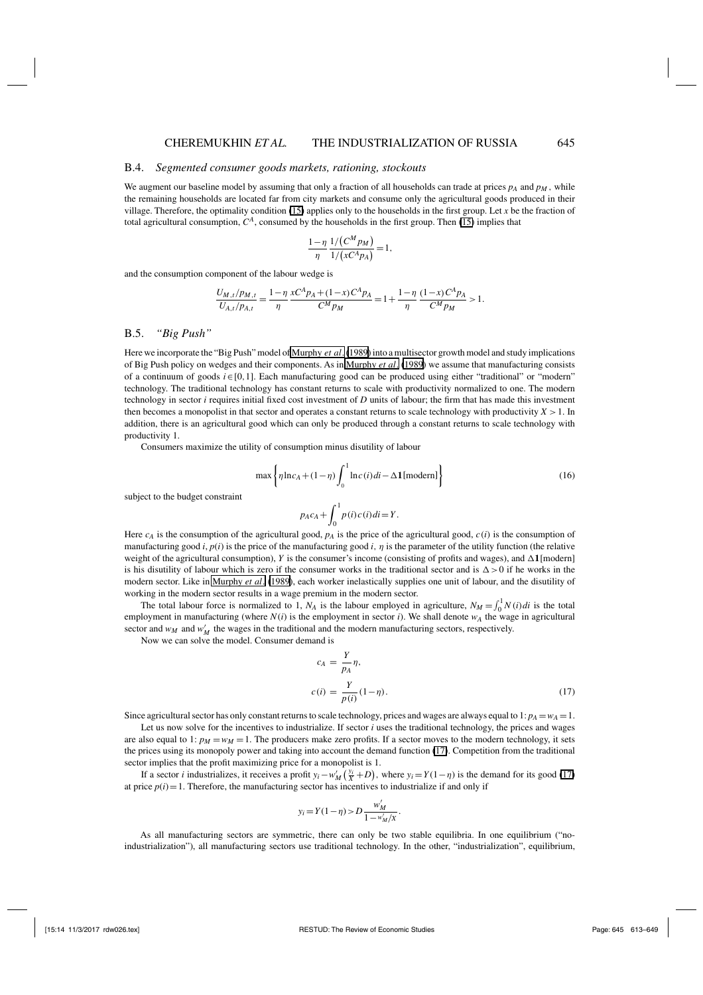#### B.4. *Segmented consumer goods markets, rationing, stockouts*

We augment our baseline model by assuming that only a fraction of all households can trade at prices  $p_A$  and  $p_M$ , while the remaining households are located far from city markets and consume only the agricultural goods produced in their village. Therefore, the optimality condition  $(15)$  applies only to the households in the first group. Let *x* be the fraction of total agricultural consumption,  $C^A$ , consumed by the households in the first group. Then [\(15\)](#page-30-0) implies that

$$
\frac{1-\eta}{\eta} \frac{1/(C^M p_M)}{1/(xC^A p_A)} = 1,
$$

and the consumption component of the labour wedge is

$$
\frac{U_{M,t}/p_{M,t}}{U_{A,t}/p_{A,t}} = \frac{1-\eta}{\eta} \frac{xC^A p_A + (1-x)C^A p_A}{C^M p_M} = 1 + \frac{1-\eta}{\eta} \frac{(1-x)C^A p_A}{C^M p_M} > 1.
$$

#### B.5. *"Big Push"*

Here we incorporate the "Big Push" model of [Murphy](#page-36-0) *et al*.[\(1989\)](#page-36-0) into a multisector growth model and study implications of Big Push policy on wedges and their components. As in [Murphy](#page-36-0) *et al*. [\(1989](#page-36-0)) we assume that manufacturing consists of a continuum of goods *i*∈ [0,1]. Each manufacturing good can be produced using either "traditional" or "modern" technology. The traditional technology has constant returns to scale with productivity normalized to one. The modern technology in sector *i* requires initial fixed cost investment of *D* units of labour; the firm that has made this investment then becomes a monopolist in that sector and operates a constant returns to scale technology with productivity  $X > 1$ . In addition, there is an agricultural good which can only be produced through a constant returns to scale technology with productivity 1.

Consumers maximize the utility of consumption minus disutility of labour

$$
\max\left\{\eta\ln c_A + (1-\eta)\int_0^1 \ln c(i)di - \Delta\mathbf{1}[\text{modern}]\right\}
$$
\n(16)

subject to the budget constraint

$$
p_A c_A + \int_0^1 p(i) c(i) di = Y.
$$

Here  $c_A$  is the consumption of the agricultural good,  $p_A$  is the price of the agricultural good,  $c(i)$  is the consumption of manufacturing good *i*,  $p(i)$  is the price of the manufacturing good *i*,  $\eta$  is the parameter of the utility function (the relative weight of the agricultural consumption), Y is the consumer's income (consisting of profits and wages), and  $\Delta\mathbf{1}$ [modern] is his disutility of labour which is zero if the consumer works in the traditional sector and is  $\Delta > 0$  if he works in the modern sector. Like in [Murphy](#page-36-0) *et al*. [\(1989](#page-36-0)), each worker inelastically supplies one unit of labour, and the disutility of working in the modern sector results in a wage premium in the modern sector.

The total labour force is normalized to 1,  $N_A$  is the labour employed in agriculture,  $N_M = \int_0^1 N(i)di$  is the total employment in manufacturing (where  $N(i)$  is the employment in sector *i*). We shall denote  $w_A$  the wage in agricultural sector and  $w_M$  and  $w'_M$  the wages in the traditional and the modern manufacturing sectors, respectively.

Now we can solve the model. Consumer demand is

$$
c_A = \frac{Y}{p_A} \eta,
$$
  
\n
$$
c(i) = \frac{Y}{p(i)} (1 - \eta).
$$
\n(17)

Since agricultural sector has only constant returns to scale technology, prices and wages are always equal to  $1: p_A = w_A = 1$ .

Let us now solve for the incentives to industrialize. If sector *i* uses the traditional technology, the prices and wages are also equal to 1:  $p_M = w_M = 1$ . The producers make zero profits. If a sector moves to the modern technology, it sets the prices using its monopoly power and taking into account the demand function (17). Competition from the traditional sector implies that the profit maximizing price for a monopolist is 1.

If a sector *i* industrializes, it receives a profit  $y_i - w'_M(\frac{y_i}{X} + D)$ , where  $y_i = Y(1 - \eta)$  is the demand for its good (17) at price  $p(i) = 1$ . Therefore, the manufacturing sector has incentives to industrialize if and only if

$$
y_i = Y(1 - \eta) > D \frac{w'_M}{1 - w'_M/x}.
$$

As all manufacturing sectors are symmetric, there can only be two stable equilibria. In one equilibrium ("noindustrialization"), all manufacturing sectors use traditional technology. In the other, "industrialization", equilibrium,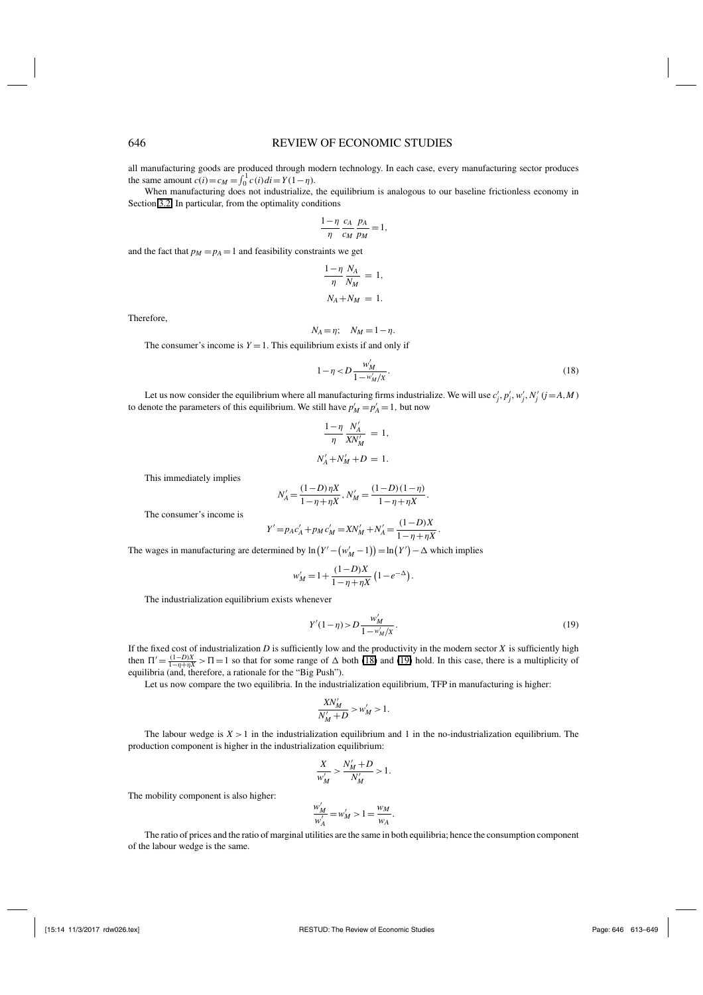all manufacturing goods are produced through modern technology. In each case, every manufacturing sector produces the same amount  $c(i) = c_M = \int_0^1 c(i) di = Y(1 - \eta)$ .

When manufacturing does not industrialize, the equilibrium is analogous to our baseline frictionless economy in Section [3.2.](#page-10-0) In particular, from the optimality conditions

$$
\frac{1-\eta}{\eta} \frac{c_A}{c_M} \frac{p_A}{p_M} = 1,
$$

and the fact that  $p_M = p_A = 1$  and feasibility constraints we get

$$
\frac{1-\eta}{\eta} \frac{N_A}{N_M} = 1,
$$
  

$$
N_A + N_M = 1.
$$

Therefore,

 $N_A = \eta$ ;  $N_M = 1 - \eta$ .

The consumer's income is  $Y = 1$ . This equilibrium exists if and only if

$$
1 - \eta < D \frac{w'_M}{1 - w'_M / X} \,. \tag{18}
$$

Let us now consider the equilibrium where all manufacturing firms industrialize. We will use  $c'_j$ ,  $p'_j$ ,  $w'_j$ ,  $N'_j$  ( $j = A, M$ ) to denote the parameters of this equilibrium. We still have  $p'_M = p'_A = 1$ , but now

$$
\frac{1-\eta}{\eta}\frac{N'_A}{XN'_M} = 1,
$$
  

$$
N'_A + N'_M + D = 1.
$$

This immediately implies

$$
N'_{A} = \frac{(1 - D)\eta X}{1 - \eta + \eta X}, N'_{M} = \frac{(1 - D)(1 - \eta)}{1 - \eta + \eta X}.
$$

The consumer's income is

$$
Y' = p_A c'_A + p_M c'_M = XN'_M + N'_A = \frac{(1 - D)X}{1 - \eta + \eta X}.
$$

The wages in manufacturing are determined by  $\ln(Y' - (w'_M - 1)) = \ln(Y') - \Delta$  which implies

$$
w'_M = 1 + \frac{(1 - D)X}{1 - \eta + \eta X} \left( 1 - e^{-\Delta} \right).
$$

The industrialization equilibrium exists whenever

$$
Y'(1-\eta) > D \frac{w'_M}{1 - w'_M / x} \,. \tag{19}
$$

If the fixed cost of industrialization  $D$  is sufficiently low and the productivity in the modern sector  $X$  is sufficiently high then  $\Pi' = \frac{(1-D)X}{1-\eta+\eta X} > \Pi = 1$  so that for some range of  $\Delta$  both (18) and (19) hold. In this case, there is a multiplicity of equilibria (and, therefore, a rationale for the "Big Push").

Let us now compare the two equilibria. In the industrialization equilibrium, TFP in manufacturing is higher:

$$
\frac{X N_M'}{N_M'+D} > w_M' > 1.
$$

The labour wedge is  $X > 1$  in the industrialization equilibrium and 1 in the no-industrialization equilibrium. The production component is higher in the industrialization equilibrium:

$$
\frac{X}{w'_M} > \frac{N'_M + D}{N'_M} > 1.
$$

The mobility component is also higher:

$$
\frac{w'_M}{w'_A} = w'_M > 1 = \frac{w_M}{w_A}.
$$

The ratio of prices and the ratio of marginal utilities are the same in both equilibria; hence the consumption component of the labour wedge is the same.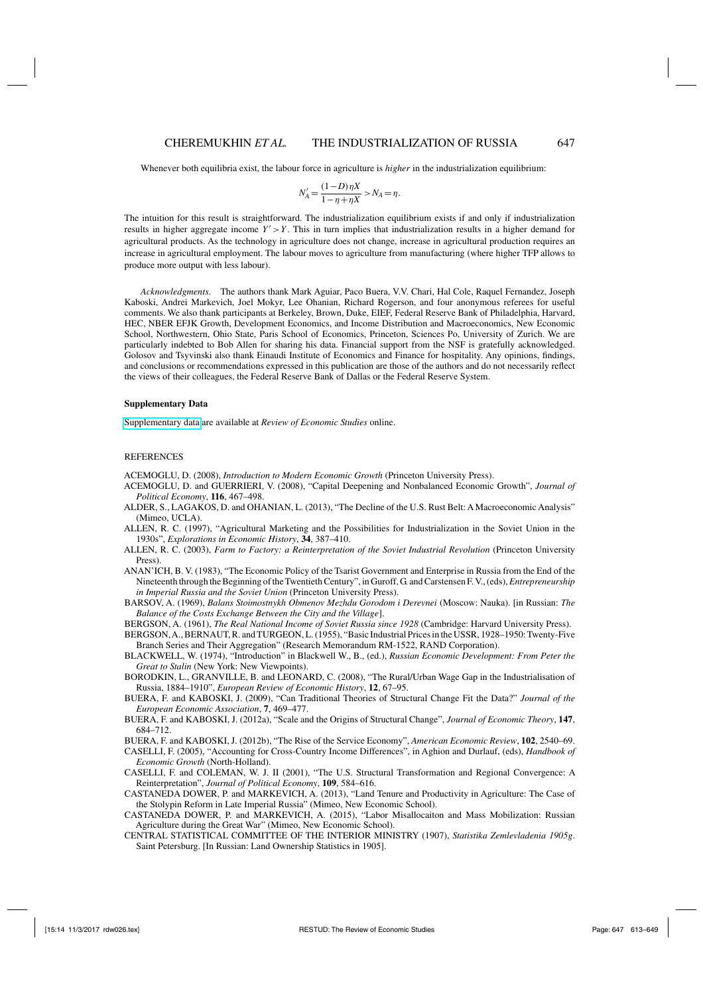<span id="page-34-0"></span>Whenever both equilibria exist, the labour force in agriculture is *higher* in the industrialization equilibrium:

$$
N'_A = \frac{(1 - D)\eta X}{1 - \eta + \eta X} > N_A = \eta.
$$

The intuition for this result is straightforward. The industrialization equilibrium exists if and only if industrialization results in higher aggregate income  $Y' > Y$ . This in turn implies that industrialization results in a higher demand for agricultural products. As the technology in agriculture does not change, increase in agricultural production requires an increase in agricultural employment. The labour moves to agriculture from manufacturing (where higher TFP allows to produce more output with less labour).

*Acknowledgments*. The authors thank Mark Aguiar, Paco Buera, V.V. Chari, Hal Cole, Raquel Fernandez, Joseph Kaboski, Andrei Markevich, Joel Mokyr, Lee Ohanian, Richard Rogerson, and four anonymous referees for useful comments. We also thank participants at Berkeley, Brown, Duke, EIEF, Federal Reserve Bank of Philadelphia, Harvard, HEC, NBER EFJK Growth, Development Economics, and Income Distribution and Macroeconomics, New Economic School, Northwestern, Ohio State, Paris School of Economics, Princeton, Sciences Po, University of Zurich. We are particularly indebted to Bob Allen for sharing his data. Financial support from the NSF is gratefully acknowledged. Golosov and Tsyvinski also thank Einaudi Institute of Economics and Finance for hospitality. Any opinions, findings, and conclusions or recommendations expressed in this publication are those of the authors and do not necessarily reflect the views of their colleagues, the Federal Reserve Bank of Dallas or the Federal Reserve System.

#### **Supplementary Data**

[Supplementary data](http://restud.oxfordjournals.org/lookup/suppl/doi:10.1093/restud/rdw026/-/DC1) are available at *Review of Economic Studies* online.

#### **REFERENCES**

ACEMOGLU, D. (2008), *Introduction to Modern Economic Growth* (Princeton University Press).

- ACEMOGLU, D. and GUERRIERI, V. (2008), "Capital Deepening and Nonbalanced Economic Growth", *Journal of Political Economy*, **116**, 467–498.
- ALDER, S., LAGAKOS, D. and OHANIAN, L. (2013), "The Decline of the U.S. Rust Belt: A Macroeconomic Analysis" (Mimeo, UCLA).
- ALLEN, R. C. (1997), "Agricultural Marketing and the Possibilities for Industrialization in the Soviet Union in the 1930s", *Explorations in Economic History*, **34**, 387–410.
- ALLEN, R. C. (2003), *Farm to Factory: a Reinterpretation of the Soviet Industrial Revolution* (Princeton University Press).
- ANAN'ICH, B. V. (1983), "The Economic Policy of the Tsarist Government and Enterprise in Russia from the End of the Nineteenth through the Beginning of the Twentieth Century", in Guroff, G. and Carstensen F. V., (eds),*Entrepreneurship in Imperial Russia and the Soviet Union* (Princeton University Press).
- BARSOV, A. (1969), *Balans Stoimostnykh Obmenov Mezhdu Gorodom i Derevnei* (Moscow: Nauka). [in Russian: *The Balance of the Costs Exchange Between the City and the Village*].
- BERGSON, A. (1961), *The Real National Income of Soviet Russia since 1928* (Cambridge: Harvard University Press).
- BERGSON,A., BERNAUT, R. and TURGEON, L. (1955), "Basic Industrial Prices in the USSR, 1928–1950: Twenty-Five Branch Series and Their Aggregation" (Research Memorandum RM-1522, RAND Corporation).
- BLACKWELL, W. (1974), "Introduction" in Blackwell W., B., (ed.), *Russian Economic Development: From Peter the Great to Stalin* (New York: New Viewpoints).
- BORODKIN, L., GRANVILLE, B. and LEONARD, C. (2008), "The Rural/Urban Wage Gap in the Industrialisation of Russia, 1884–1910", *European Review of Economic History*, **12**, 67–95.
- BUERA, F. and KABOSKI, J. (2009), "Can Traditional Theories of Structural Change Fit the Data?" *Journal of the European Economic Association*, **7**, 469–477.
- BUERA, F. and KABOSKI, J. (2012a), "Scale and the Origins of Structural Change", *Journal of Economic Theory*, **147**, 684–712.

BUERA, F. and KABOSKI, J. (2012b), "The Rise of the Service Economy", *American Economic Review*, **102**, 2540–69.

- CASELLI, F. (2005), "Accounting for Cross-Country Income Differences", in Aghion and Durlauf, (eds), *Handbook of Economic Growth* (North-Holland).
- CASELLI, F. and COLEMAN, W. J. II (2001), "The U.S. Structural Transformation and Regional Convergence: A Reinterpretation", *Journal of Political Economy*, **109**, 584–616.
- CASTANEDA DOWER, P. and MARKEVICH, A. (2013), "Land Tenure and Productivity in Agriculture: The Case of the Stolypin Reform in Late Imperial Russia" (Mimeo, New Economic School).
- CASTANEDA DOWER, P. and MARKEVICH, A. (2015), "Labor Misallocaiton and Mass Mobilization: Russian Agriculture during the Great War" (Mimeo, New Economic School).
- CENTRAL STATISTICAL COMMITTEE OF THE INTERIOR MINISTRY (1907), *Statistika Zemlevladenia 1905g*. Saint Petersburg. [In Russian: Land Ownership Statistics in 1905].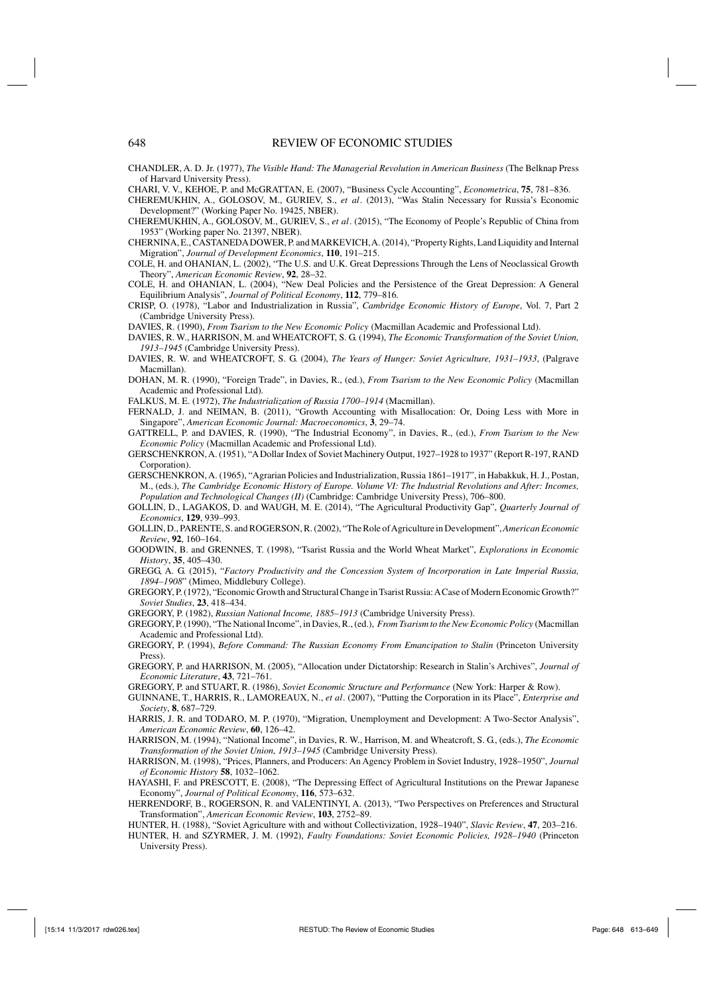- <span id="page-35-0"></span>CHANDLER, A. D. Jr. (1977), *The Visible Hand: The Managerial Revolution in American Business* (The Belknap Press of Harvard University Press).
- CHARI, V. V., KEHOE, P. and McGRATTAN, E. (2007), "Business Cycle Accounting", *Econometrica*, **75**, 781–836.
- CHEREMUKHIN, A., GOLOSOV, M., GURIEV, S., *et al*. (2013), "Was Stalin Necessary for Russia's Economic Development?" (Working Paper No. 19425, NBER).
- CHEREMUKHIN, A., GOLOSOV, M., GURIEV, S., *et al*. (2015), "The Economy of People's Republic of China from 1953" (Working paper No. 21397, NBER).

CHERNINA, E., CASTANEDADOWER, P. and MARKEVICH,A. (2014), "Property Rights, Land Liquidity and Internal Migration", *Journal of Development Economics*, **110**, 191–215.

- COLE, H. and OHANIAN, L. (2002), "The U.S. and U.K. Great Depressions Through the Lens of Neoclassical Growth Theory", *American Economic Review*, **92**, 28–32.
- COLE, H. and OHANIAN, L. (2004), "New Deal Policies and the Persistence of the Great Depression: A General Equilibrium Analysis", *Journal of Political Economy*, **112**, 779–816.
- CRISP, O. (1978), "Labor and Industrialization in Russia", *Cambridge Economic History of Europe*, Vol. 7, Part 2 (Cambridge University Press).
- DAVIES, R. (1990), *From Tsarism to the New Economic Policy* (Macmillan Academic and Professional Ltd).
- DAVIES, R. W., HARRISON, M. and WHEATCROFT, S. G. (1994), *The Economic Transformation of the Soviet Union, 1913–1945* (Cambridge University Press).
- DAVIES, R. W. and WHEATCROFT, S. G. (2004), *The Years of Hunger: Soviet Agriculture, 1931–1933*, (Palgrave Macmillan).
- DOHAN, M. R. (1990), "Foreign Trade", in Davies, R., (ed.), *From Tsarism to the New Economic Policy* (Macmillan Academic and Professional Ltd).
- FALKUS, M. E. (1972), *The Industrialization of Russia 1700–1914* (Macmillan).
- FERNALD, J. and NEIMAN, B. (2011), "Growth Accounting with Misallocation: Or, Doing Less with More in Singapore", *American Economic Journal: Macroeconomics*, **3**, 29–74.
- GATTRELL, P. and DAVIES, R. (1990), "The Industrial Economy", in Davies, R., (ed.), *From Tsarism to the New Economic Policy* (Macmillan Academic and Professional Ltd).
- GERSCHENKRON,A. (1951), "ADollar Index of Soviet Machinery Output, 1927–1928 to 1937" (Report R-197, RAND Corporation).
- GERSCHENKRON, A. (1965), "Agrarian Policies and Industrialization, Russia 1861–1917", in Habakkuk, H. J., Postan, M., (eds.), *The Cambridge Economic History of Europe. Volume VI: The Industrial Revolutions and After: Incomes, Population and Technological Changes (II)* (Cambridge: Cambridge University Press), 706–800.
- GOLLIN, D., LAGAKOS, D. and WAUGH, M. E. (2014), "The Agricultural Productivity Gap", *Quarterly Journal of Economics*, **129**, 939–993.
- GOLLIN, D., PARENTE, S. and ROGERSON, R. (2002), "The Role of Agriculture in Development", American Economic *Review*, **92**, 160–164.
- GOODWIN, B. and GRENNES, T. (1998), "Tsarist Russia and the World Wheat Market", *Explorations in Economic History*, **35**, 405–430.
- GREGG, A. G. (2015), "*Factory Productivity and the Concession System of Incorporation in Late Imperial Russia, 1894–1908*" (Mimeo, Middlebury College).
- GREGORY, P. (1972), "Economic Growth and Structural Change in Tsarist Russia:ACase of Modern Economic Growth?" *Soviet Studies*, **23**, 418–434.

GREGORY, P. (1982), *Russian National Income, 1885–1913* (Cambridge University Press).

- GREGORY, P. (1990), "The National Income", in Davies, R., (ed.), *From Tsarism to the New Economic Policy* (Macmillan Academic and Professional Ltd).
- GREGORY, P. (1994), *Before Command: The Russian Economy From Emancipation to Stalin* (Princeton University Press).
- GREGORY, P. and HARRISON, M. (2005), "Allocation under Dictatorship: Research in Stalin's Archives", *Journal of Economic Literature*, **43**, 721–761.
- GREGORY, P. and STUART, R. (1986), *Soviet Economic Structure and Performance* (New York: Harper & Row).
- GUINNANE, T., HARRIS, R., LAMOREAUX, N., *et al*. (2007), "Putting the Corporation in its Place", *Enterprise and Society*, **8**, 687–729.
- HARRIS, J. R. and TODARO, M. P. (1970), "Migration, Unemployment and Development: A Two-Sector Analysis", *American Economic Review*, **60**, 126–42.
- HARRISON, M. (1994), "National Income", in Davies, R. W., Harrison, M. and Wheatcroft, S. G., (eds.), *The Economic Transformation of the Soviet Union, 1913–1945* (Cambridge University Press).
- HARRISON, M. (1998), "Prices, Planners, and Producers: An Agency Problem in Soviet Industry, 1928–1950", *Journal of Economic History* **58**, 1032–1062.
- HAYASHI, F. and PRESCOTT, E. (2008), "The Depressing Effect of Agricultural Institutions on the Prewar Japanese Economy", *Journal of Political Economy*, **116**, 573–632.
- HERRENDORF, B., ROGERSON, R. and VALENTINYI, A. (2013), "Two Perspectives on Preferences and Structural Transformation", *American Economic Review*, **103**, 2752–89.
- HUNTER, H. (1988), "Soviet Agriculture with and without Collectivization, 1928–1940", *Slavic Review*, **47**, 203–216.
- HUNTER, H. and SZYRMER, J. M. (1992), *Faulty Foundations: Soviet Economic Policies, 1928–1940* (Princeton University Press).